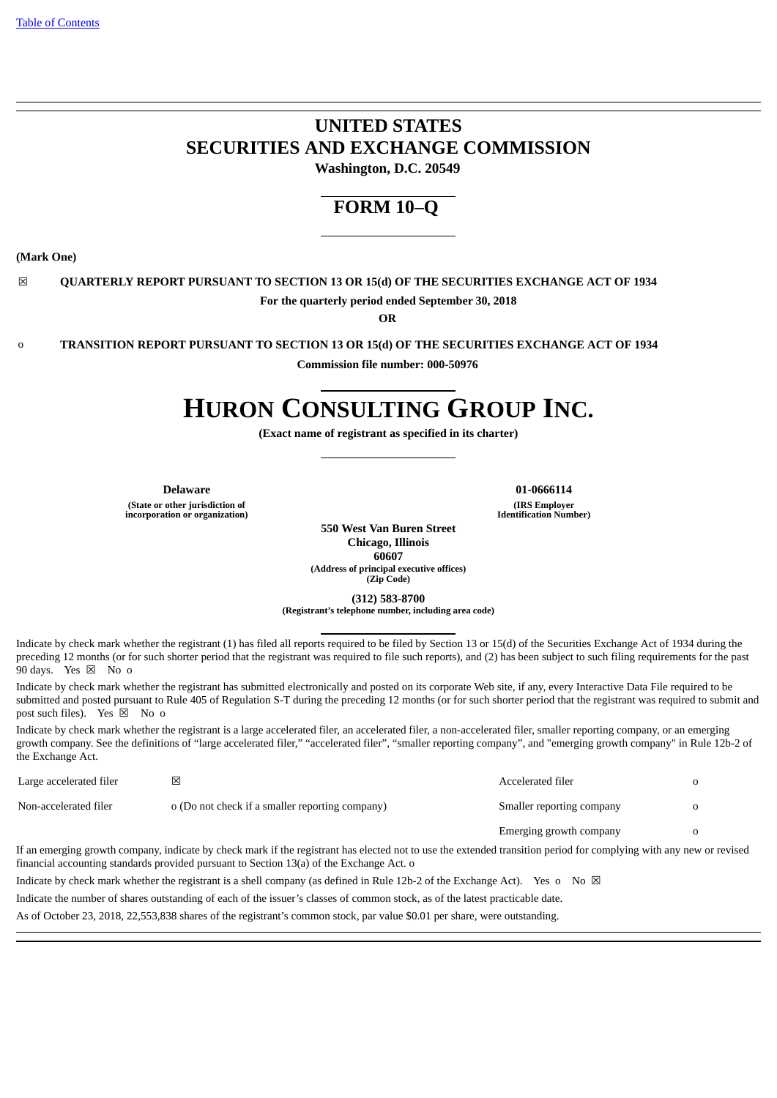# **UNITED STATES SECURITIES AND EXCHANGE COMMISSION**

**Washington, D.C. 20549**

# **FORM 10–Q**

**(Mark One)**

☒ **QUARTERLY REPORT PURSUANT TO SECTION 13 OR 15(d) OF THE SECURITIES EXCHANGE ACT OF 1934 For the quarterly period ended September 30, 2018**

**OR**

o **TRANSITION REPORT PURSUANT TO SECTION 13 OR 15(d) OF THE SECURITIES EXCHANGE ACT OF 1934**

**Commission file number: 000-50976**

# **HURON CONSULTING GROUP INC.**

**(Exact name of registrant as specified in its charter)**

**(State or other jurisdiction of incorporation or organization)**

**Delaware 01-0666114 (IRS Employer Identification Number)**

**550 West Van Buren Street Chicago, Illinois 60607 (Address of principal executive offices) (Zip Code)**

**(312) 583-8700**

**(Registrant's telephone number, including area code)**

Indicate by check mark whether the registrant (1) has filed all reports required to be filed by Section 13 or 15(d) of the Securities Exchange Act of 1934 during the preceding 12 months (or for such shorter period that the registrant was required to file such reports), and (2) has been subject to such filing requirements for the past 90 days. Yes  $\boxtimes$  No o

Indicate by check mark whether the registrant has submitted electronically and posted on its corporate Web site, if any, every Interactive Data File required to be submitted and posted pursuant to Rule 405 of Regulation S-T during the preceding 12 months (or for such shorter period that the registrant was required to submit and post such files). Yes  $\boxtimes$  No o

Indicate by check mark whether the registrant is a large accelerated filer, an accelerated filer, a non-accelerated filer, smaller reporting company, or an emerging growth company. See the definitions of "large accelerated filer," "accelerated filer", "smaller reporting company", and "emerging growth company" in Rule 12b-2 of the Exchange Act.

| Large accelerated filer | ⊠                                                                                                                                                                                                                                                                 | Accelerated filer         |  |
|-------------------------|-------------------------------------------------------------------------------------------------------------------------------------------------------------------------------------------------------------------------------------------------------------------|---------------------------|--|
| Non-accelerated filer   | o (Do not check if a smaller reporting company)                                                                                                                                                                                                                   | Smaller reporting company |  |
|                         |                                                                                                                                                                                                                                                                   | Emerging growth company   |  |
|                         | If an emerging growth company, indicate by check mark if the registrant has elected not to use the extended transition period for complying with any new or revised<br>financial accounting standards provided pursuant to Section $13(a)$ of the Exchange Act. o |                           |  |
|                         | Indicate by check mark whether the registrant is a shell company (as defined in Rule 12b-2 of the Exchange Act). Yes o No $\boxtimes$                                                                                                                             |                           |  |

Indicate the number of shares outstanding of each of the issuer's classes of common stock, as of the latest practicable date.

As of October 23, 2018, 22,553,838 shares of the registrant's common stock, par value \$0.01 per share, were outstanding.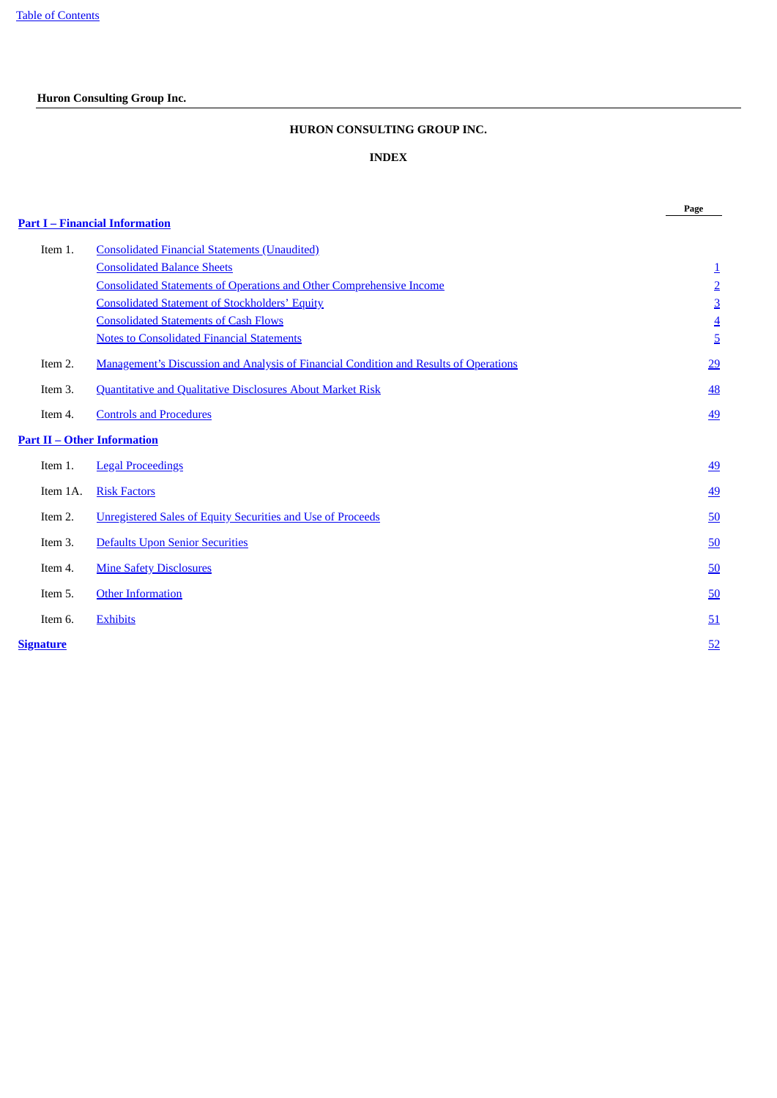# <span id="page-1-0"></span>**Huron Consulting Group Inc.**

## **HURON CONSULTING GROUP INC.**

# **INDEX**

**Page**

|           |                                                                                       | Page             |
|-----------|---------------------------------------------------------------------------------------|------------------|
|           | <b>Part I – Financial Information</b>                                                 |                  |
| Item 1.   | <b>Consolidated Financial Statements (Unaudited)</b>                                  |                  |
|           | <b>Consolidated Balance Sheets</b>                                                    | $\overline{1}$   |
|           | <b>Consolidated Statements of Operations and Other Comprehensive Income</b>           | $\overline{2}$   |
|           | <b>Consolidated Statement of Stockholders' Equity</b>                                 | $\overline{3}$   |
|           | <b>Consolidated Statements of Cash Flows</b>                                          | $\overline{4}$   |
|           | <b>Notes to Consolidated Financial Statements</b>                                     | $\overline{5}$   |
| Item 2.   | Management's Discussion and Analysis of Financial Condition and Results of Operations | 29               |
| Item 3.   | <b>Quantitative and Qualitative Disclosures About Market Risk</b>                     | $\underline{48}$ |
| Item 4.   | <b>Controls and Procedures</b>                                                        | 49               |
|           | <u> Part II – Other Information</u>                                                   |                  |
| Item 1.   | <b>Legal Proceedings</b>                                                              | 49               |
| Item 1A.  | <b>Risk Factors</b>                                                                   | <u>49</u>        |
| Item 2.   | <b>Unregistered Sales of Equity Securities and Use of Proceeds</b>                    | 50               |
| Item 3.   | <b>Defaults Upon Senior Securities</b>                                                | 50               |
| Item 4.   | <b>Mine Safety Disclosures</b>                                                        | 50               |
| Item 5.   | <b>Other Information</b>                                                              | 50               |
| Item 6.   | <b>Exhibits</b>                                                                       | 51               |
| Signature |                                                                                       | 52               |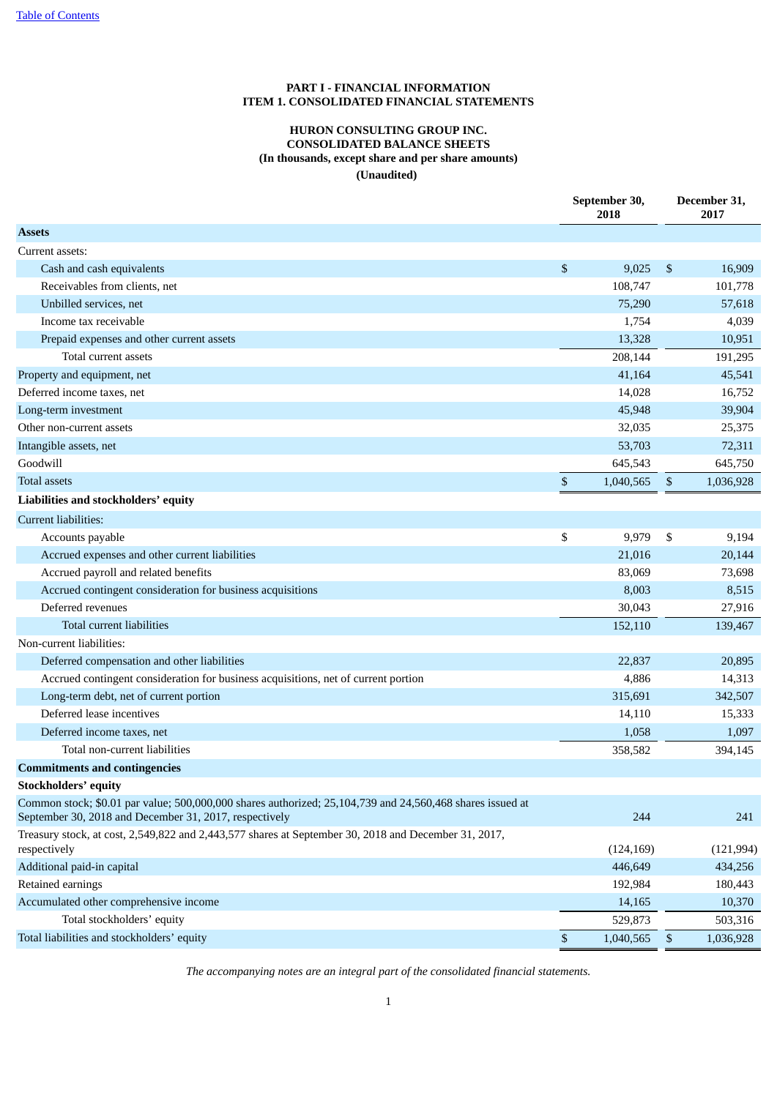## **PART I - FINANCIAL INFORMATION ITEM 1. CONSOLIDATED FINANCIAL STATEMENTS**

## **HURON CONSULTING GROUP INC. CONSOLIDATED BALANCE SHEETS (In thousands, except share and per share amounts) (Unaudited)**

<span id="page-2-2"></span><span id="page-2-1"></span><span id="page-2-0"></span>

|                                                                                                                                                                     |                                           | September 30,<br>2018 |                           | December 31,<br>2017 |
|---------------------------------------------------------------------------------------------------------------------------------------------------------------------|-------------------------------------------|-----------------------|---------------------------|----------------------|
| <b>Assets</b>                                                                                                                                                       |                                           |                       |                           |                      |
| Current assets:                                                                                                                                                     |                                           |                       |                           |                      |
| Cash and cash equivalents                                                                                                                                           | \$                                        | 9,025                 | $\mathfrak{S}$            | 16,909               |
| Receivables from clients, net                                                                                                                                       |                                           | 108,747               |                           | 101,778              |
| Unbilled services, net                                                                                                                                              |                                           | 75,290                |                           | 57,618               |
| Income tax receivable                                                                                                                                               |                                           | 1,754                 |                           | 4,039                |
| Prepaid expenses and other current assets                                                                                                                           |                                           | 13,328                |                           | 10,951               |
| Total current assets                                                                                                                                                |                                           | 208,144               |                           | 191,295              |
| Property and equipment, net                                                                                                                                         |                                           | 41,164                |                           | 45,541               |
| Deferred income taxes, net                                                                                                                                          |                                           | 14,028                |                           | 16,752               |
| Long-term investment                                                                                                                                                |                                           | 45,948                |                           | 39,904               |
| Other non-current assets                                                                                                                                            |                                           | 32,035                |                           | 25,375               |
| Intangible assets, net                                                                                                                                              |                                           | 53,703                |                           | 72,311               |
| Goodwill                                                                                                                                                            |                                           | 645,543               |                           | 645,750              |
| <b>Total assets</b>                                                                                                                                                 | \$                                        | 1,040,565             | $\boldsymbol{\mathsf{S}}$ | 1,036,928            |
| Liabilities and stockholders' equity                                                                                                                                |                                           |                       |                           |                      |
| Current liabilities:                                                                                                                                                |                                           |                       |                           |                      |
| Accounts payable                                                                                                                                                    | \$                                        | 9,979                 | \$                        | 9,194                |
| Accrued expenses and other current liabilities                                                                                                                      |                                           | 21,016                |                           | 20,144               |
| Accrued payroll and related benefits                                                                                                                                |                                           | 83,069                |                           | 73,698               |
| Accrued contingent consideration for business acquisitions                                                                                                          |                                           | 8,003                 |                           | 8,515                |
| Deferred revenues                                                                                                                                                   |                                           | 30,043                |                           | 27,916               |
| Total current liabilities                                                                                                                                           |                                           | 152,110               |                           | 139,467              |
| Non-current liabilities:                                                                                                                                            |                                           |                       |                           |                      |
| Deferred compensation and other liabilities                                                                                                                         |                                           | 22,837                |                           | 20,895               |
| Accrued contingent consideration for business acquisitions, net of current portion                                                                                  |                                           | 4,886                 |                           | 14,313               |
| Long-term debt, net of current portion                                                                                                                              |                                           | 315,691               |                           | 342,507              |
| Deferred lease incentives                                                                                                                                           |                                           | 14,110                |                           | 15,333               |
| Deferred income taxes, net                                                                                                                                          |                                           | 1,058                 |                           | 1,097                |
| Total non-current liabilities                                                                                                                                       |                                           | 358,582               |                           | 394,145              |
| <b>Commitments and contingencies</b>                                                                                                                                |                                           |                       |                           |                      |
| <b>Stockholders' equity</b>                                                                                                                                         |                                           |                       |                           |                      |
| Common stock; \$0.01 par value; 500,000,000 shares authorized; 25,104,739 and 24,560,468 shares issued at<br>September 30, 2018 and December 31, 2017, respectively |                                           | 244                   |                           | 241                  |
| Treasury stock, at cost, 2,549,822 and 2,443,577 shares at September 30, 2018 and December 31, 2017,<br>respectively                                                |                                           | (124, 169)            |                           | (121, 994)           |
| Additional paid-in capital                                                                                                                                          |                                           | 446,649               |                           | 434,256              |
| Retained earnings                                                                                                                                                   |                                           | 192,984               |                           | 180,443              |
| Accumulated other comprehensive income                                                                                                                              |                                           | 14,165                |                           | 10,370               |
| Total stockholders' equity                                                                                                                                          |                                           | 529,873               |                           | 503,316              |
| Total liabilities and stockholders' equity                                                                                                                          | $\, \, \raisebox{12pt}{$\scriptstyle \$}$ | 1,040,565             | $\mathbb{S}$              | 1,036,928            |

*The accompanying notes are an integral part of the consolidated financial statements.*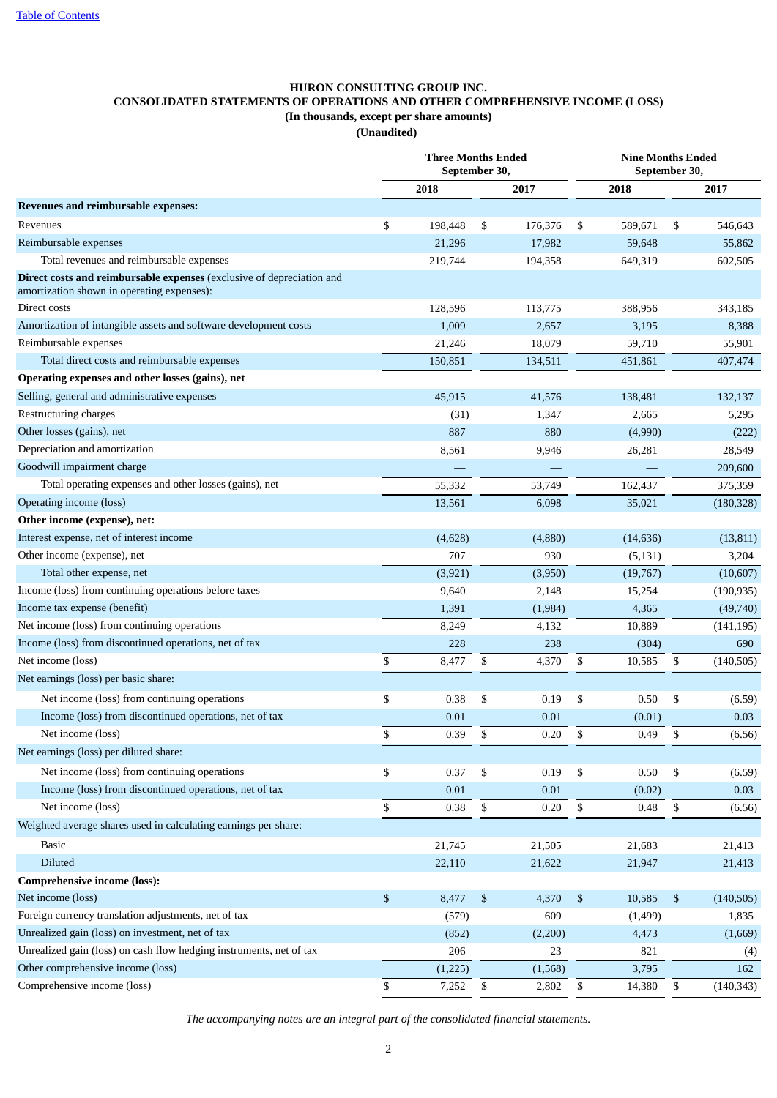## <span id="page-3-0"></span>**HURON CONSULTING GROUP INC. CONSOLIDATED STATEMENTS OF OPERATIONS AND OTHER COMPREHENSIVE INCOME (LOSS) (In thousands, except per share amounts) (Unaudited)**

|                                                                                                                     | <b>Three Months Ended</b><br>September 30, |               |             | <b>Nine Months Ended</b><br>September 30, |              |            |  |  |  |
|---------------------------------------------------------------------------------------------------------------------|--------------------------------------------|---------------|-------------|-------------------------------------------|--------------|------------|--|--|--|
|                                                                                                                     | 2018                                       | 2017          |             | 2018                                      |              | 2017       |  |  |  |
| Revenues and reimbursable expenses:                                                                                 |                                            |               |             |                                           |              |            |  |  |  |
| Revenues                                                                                                            | \$<br>198,448                              | \$<br>176,376 | \$          | 589,671                                   | \$           | 546,643    |  |  |  |
| Reimbursable expenses                                                                                               | 21,296                                     | 17,982        |             | 59,648                                    |              | 55,862     |  |  |  |
| Total revenues and reimbursable expenses                                                                            | 219,744                                    | 194,358       |             | 649,319                                   |              | 602,505    |  |  |  |
| Direct costs and reimbursable expenses (exclusive of depreciation and<br>amortization shown in operating expenses): |                                            |               |             |                                           |              |            |  |  |  |
| Direct costs                                                                                                        | 128,596                                    | 113,775       |             | 388,956                                   |              | 343,185    |  |  |  |
| Amortization of intangible assets and software development costs                                                    | 1,009                                      | 2,657         |             | 3,195                                     |              | 8,388      |  |  |  |
| Reimbursable expenses                                                                                               | 21,246                                     | 18,079        |             | 59,710                                    |              | 55,901     |  |  |  |
| Total direct costs and reimbursable expenses                                                                        | 150,851                                    | 134,511       |             | 451,861                                   |              | 407,474    |  |  |  |
| Operating expenses and other losses (gains), net                                                                    |                                            |               |             |                                           |              |            |  |  |  |
| Selling, general and administrative expenses                                                                        | 45,915                                     | 41,576        |             | 138,481                                   |              | 132,137    |  |  |  |
| Restructuring charges                                                                                               | (31)                                       | 1,347         |             | 2,665                                     |              | 5,295      |  |  |  |
| Other losses (gains), net                                                                                           | 887                                        | 880           |             | (4,990)                                   |              | (222)      |  |  |  |
| Depreciation and amortization                                                                                       | 8,561                                      | 9,946         |             | 26,281                                    |              | 28,549     |  |  |  |
| Goodwill impairment charge                                                                                          |                                            |               |             |                                           |              | 209,600    |  |  |  |
| Total operating expenses and other losses (gains), net                                                              | 55,332                                     | 53,749        |             | 162,437                                   |              | 375,359    |  |  |  |
| Operating income (loss)                                                                                             | 13,561                                     | 6,098         |             | 35,021                                    |              | (180, 328) |  |  |  |
| Other income (expense), net:                                                                                        |                                            |               |             |                                           |              |            |  |  |  |
| Interest expense, net of interest income                                                                            | (4,628)                                    | (4,880)       |             | (14, 636)                                 |              | (13, 811)  |  |  |  |
| Other income (expense), net                                                                                         | 707                                        | 930           |             | (5, 131)                                  |              | 3,204      |  |  |  |
| Total other expense, net                                                                                            | (3,921)                                    | (3,950)       |             | (19,767)                                  |              | (10,607)   |  |  |  |
| Income (loss) from continuing operations before taxes                                                               | 9,640                                      | 2,148         |             | 15,254                                    |              | (190, 935) |  |  |  |
| Income tax expense (benefit)                                                                                        | 1,391                                      | (1,984)       |             | 4,365                                     |              | (49,740)   |  |  |  |
| Net income (loss) from continuing operations                                                                        | 8,249                                      | 4,132         |             | 10,889                                    |              | (141, 195) |  |  |  |
| Income (loss) from discontinued operations, net of tax                                                              | 228                                        | 238           |             | (304)                                     |              | 690        |  |  |  |
| Net income (loss)                                                                                                   | \$<br>8,477                                | \$<br>4,370   | \$          | 10,585                                    | \$           | (140, 505) |  |  |  |
| Net earnings (loss) per basic share:                                                                                |                                            |               |             |                                           |              |            |  |  |  |
| Net income (loss) from continuing operations                                                                        | \$<br>0.38                                 | \$<br>0.19    | \$          | 0.50                                      | \$           | (6.59)     |  |  |  |
| Income (loss) from discontinued operations, net of tax                                                              | 0.01                                       | 0.01          |             | (0.01)                                    |              | 0.03       |  |  |  |
| Net income (loss)                                                                                                   | \$<br>0.39                                 | \$<br>0.20    | \$          | 0.49                                      | \$           | (6.56)     |  |  |  |
| Net earnings (loss) per diluted share:                                                                              |                                            |               |             |                                           |              |            |  |  |  |
| Net income (loss) from continuing operations                                                                        | \$<br>0.37                                 | \$<br>0.19    | \$          | 0.50                                      | \$           | (6.59)     |  |  |  |
| Income (loss) from discontinued operations, net of tax                                                              | 0.01                                       | $0.01\,$      |             | (0.02)                                    |              | 0.03       |  |  |  |
| Net income (loss)                                                                                                   | \$<br>$0.38\,$                             | \$<br>0.20    | \$          | $0.48\,$                                  | $\mathbb{S}$ | (6.56)     |  |  |  |
| Weighted average shares used in calculating earnings per share:                                                     |                                            |               |             |                                           |              |            |  |  |  |
| <b>Basic</b>                                                                                                        | 21,745                                     | 21,505        |             | 21,683                                    |              | 21,413     |  |  |  |
| Diluted                                                                                                             | 22,110                                     | 21,622        |             | 21,947                                    |              | 21,413     |  |  |  |
| <b>Comprehensive income (loss):</b>                                                                                 |                                            |               |             |                                           |              |            |  |  |  |
| Net income (loss)                                                                                                   | \$<br>8,477                                | \$<br>4,370   | \$          | 10,585                                    | \$           | (140, 505) |  |  |  |
| Foreign currency translation adjustments, net of tax                                                                | (579)                                      | 609           |             | (1, 499)                                  |              | 1,835      |  |  |  |
| Unrealized gain (loss) on investment, net of tax                                                                    | (852)                                      | (2,200)       |             | 4,473                                     |              | (1,669)    |  |  |  |
| Unrealized gain (loss) on cash flow hedging instruments, net of tax                                                 | 206                                        | 23            |             | 821                                       |              | (4)        |  |  |  |
| Other comprehensive income (loss)                                                                                   | (1,225)                                    | (1,568)       |             | 3,795                                     |              | 162        |  |  |  |
| Comprehensive income (loss)                                                                                         | \$<br>7,252                                | \$<br>2,802   | $\mathbb S$ | 14,380                                    | \$           | (140, 343) |  |  |  |

*The accompanying notes are an integral part of the consolidated financial statements.*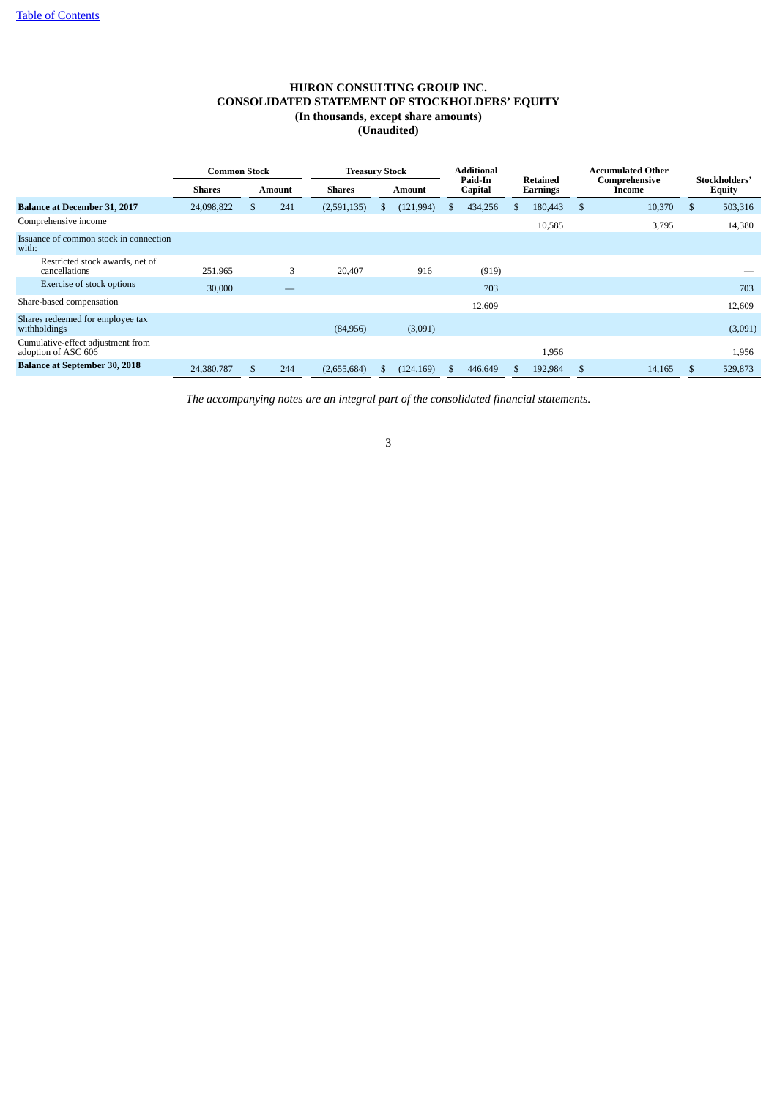## **HURON CONSULTING GROUP INC. CONSOLIDATED STATEMENT OF STOCKHOLDERS' EQUITY (In thousands, except share amounts) (Unaudited)**

<span id="page-4-0"></span>

|                                                          | <b>Common Stock</b> |   |        | <b>Treasury Stock</b> |               |      | Additional         |                                    | <b>Accumulated Other</b> |    |        |      |         |  |                         |  |                                |
|----------------------------------------------------------|---------------------|---|--------|-----------------------|---------------|------|--------------------|------------------------------------|--------------------------|----|--------|------|---------|--|-------------------------|--|--------------------------------|
|                                                          | <b>Shares</b>       |   | Amount | Shares                | <b>Amount</b> |      | Paid-In<br>Capital | <b>Retained</b><br><b>Earnings</b> |                          |    |        |      |         |  | Comprehensive<br>Income |  | Stockholders'<br><b>Equity</b> |
| <b>Balance at December 31, 2017</b>                      | 24,098,822          | S | 241    | (2,591,135)           | (121, 994)    | Ж    | 434,256            |                                    | 180,443                  | -S | 10,370 | S    | 503,316 |  |                         |  |                                |
| Comprehensive income                                     |                     |   |        |                       |               |      |                    |                                    | 10,585                   |    | 3,795  |      | 14,380  |  |                         |  |                                |
| Issuance of common stock in connection<br>with:          |                     |   |        |                       |               |      |                    |                                    |                          |    |        |      |         |  |                         |  |                                |
| Restricted stock awards, net of<br>cancellations         | 251,965             |   | 3      | 20,407                | 916           |      | (919)              |                                    |                          |    |        |      |         |  |                         |  |                                |
| Exercise of stock options                                | 30,000              |   |        |                       |               |      | 703                |                                    |                          |    |        |      | 703     |  |                         |  |                                |
| Share-based compensation                                 |                     |   |        |                       |               |      | 12,609             |                                    |                          |    |        |      | 12,609  |  |                         |  |                                |
| Shares redeemed for employee tax<br>withholdings         |                     |   |        | (84,956)              | (3,091)       |      |                    |                                    |                          |    |        |      | (3,091) |  |                         |  |                                |
| Cumulative-effect adjustment from<br>adoption of ASC 606 |                     |   |        |                       |               |      |                    |                                    | 1,956                    |    |        |      | 1,956   |  |                         |  |                                |
| <b>Balance at September 30, 2018</b>                     | 24,380,787          |   | 244    | (2,655,684)           | (124, 169)    | - 86 | 446,649            |                                    | 192,984                  |    | 14,165 | - 86 | 529,873 |  |                         |  |                                |

*The accompanying notes are an integral part of the consolidated financial statements.*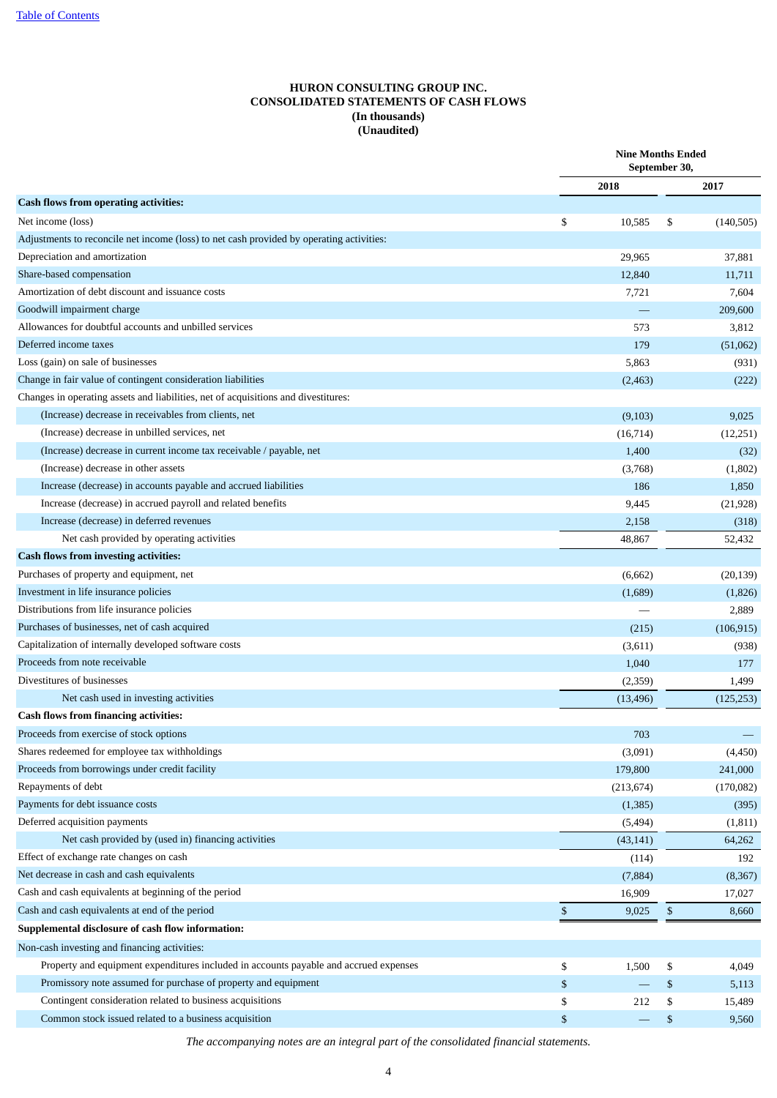## **HURON CONSULTING GROUP INC. CONSOLIDATED STATEMENTS OF CASH FLOWS (In thousands) (Unaudited)**

<span id="page-5-0"></span>

|                                                                                          | <b>Nine Months Ended</b><br>September 30, |                  |
|------------------------------------------------------------------------------------------|-------------------------------------------|------------------|
|                                                                                          | 2018                                      | 2017             |
| <b>Cash flows from operating activities:</b>                                             |                                           |                  |
| Net income (loss)                                                                        | \$<br>10,585                              | \$<br>(140, 505) |
| Adjustments to reconcile net income (loss) to net cash provided by operating activities: |                                           |                  |
| Depreciation and amortization                                                            | 29,965                                    | 37,881           |
| Share-based compensation                                                                 | 12,840                                    | 11,711           |
| Amortization of debt discount and issuance costs                                         | 7,721                                     | 7,604            |
| Goodwill impairment charge                                                               |                                           | 209,600          |
| Allowances for doubtful accounts and unbilled services                                   | 573                                       | 3,812            |
| Deferred income taxes                                                                    | 179                                       | (51,062)         |
| Loss (gain) on sale of businesses                                                        | 5,863                                     | (931)            |
| Change in fair value of contingent consideration liabilities                             | (2, 463)                                  | (222)            |
| Changes in operating assets and liabilities, net of acquisitions and divestitures:       |                                           |                  |
| (Increase) decrease in receivables from clients, net                                     | (9,103)                                   | 9,025            |
| (Increase) decrease in unbilled services, net                                            | (16, 714)                                 | (12, 251)        |
| (Increase) decrease in current income tax receivable / payable, net                      | 1,400                                     | (32)             |
| (Increase) decrease in other assets                                                      | (3,768)                                   | (1,802)          |
| Increase (decrease) in accounts payable and accrued liabilities                          | 186                                       | 1,850            |
| Increase (decrease) in accrued payroll and related benefits                              | 9,445                                     | (21, 928)        |
| Increase (decrease) in deferred revenues                                                 | 2,158                                     | (318)            |
| Net cash provided by operating activities                                                | 48,867                                    | 52,432           |
| <b>Cash flows from investing activities:</b>                                             |                                           |                  |
| Purchases of property and equipment, net                                                 | (6,662)                                   | (20, 139)        |
| Investment in life insurance policies                                                    | (1,689)                                   | (1,826)          |
| Distributions from life insurance policies                                               |                                           | 2,889            |
| Purchases of businesses, net of cash acquired                                            | (215)                                     | (106, 915)       |
| Capitalization of internally developed software costs                                    | (3,611)                                   | (938)            |
| Proceeds from note receivable                                                            | 1,040                                     | 177              |
| Divestitures of businesses                                                               | (2,359)                                   | 1,499            |
| Net cash used in investing activities                                                    | (13, 496)                                 | (125, 253)       |
| <b>Cash flows from financing activities:</b>                                             |                                           |                  |
| Proceeds from exercise of stock options                                                  | 703                                       |                  |
| Shares redeemed for employee tax withholdings                                            | (3,091)                                   | (4, 450)         |
| Proceeds from borrowings under credit facility                                           | 179,800                                   | 241,000          |
| Repayments of debt                                                                       | (213, 674)                                | (170,082)        |
| Payments for debt issuance costs                                                         | (1, 385)                                  | (395)            |
| Deferred acquisition payments                                                            | (5, 494)                                  | (1, 811)         |
| Net cash provided by (used in) financing activities                                      | (43, 141)                                 | 64,262           |
| Effect of exchange rate changes on cash                                                  | (114)                                     | 192              |
| Net decrease in cash and cash equivalents                                                | (7, 884)                                  | (8, 367)         |
| Cash and cash equivalents at beginning of the period                                     | 16,909                                    | 17,027           |
| Cash and cash equivalents at end of the period                                           | \$<br>9,025                               | \$<br>8,660      |
| Supplemental disclosure of cash flow information:                                        |                                           |                  |
| Non-cash investing and financing activities:                                             |                                           |                  |
| Property and equipment expenditures included in accounts payable and accrued expenses    | \$<br>1,500                               | \$<br>4,049      |
| Promissory note assumed for purchase of property and equipment                           | \$                                        | \$<br>5,113      |
| Contingent consideration related to business acquisitions                                | \$<br>212                                 | \$<br>15,489     |
| Common stock issued related to a business acquisition                                    | \$                                        | \$<br>9,560      |
|                                                                                          |                                           |                  |

*The accompanying notes are an integral part of the consolidated financial statements.*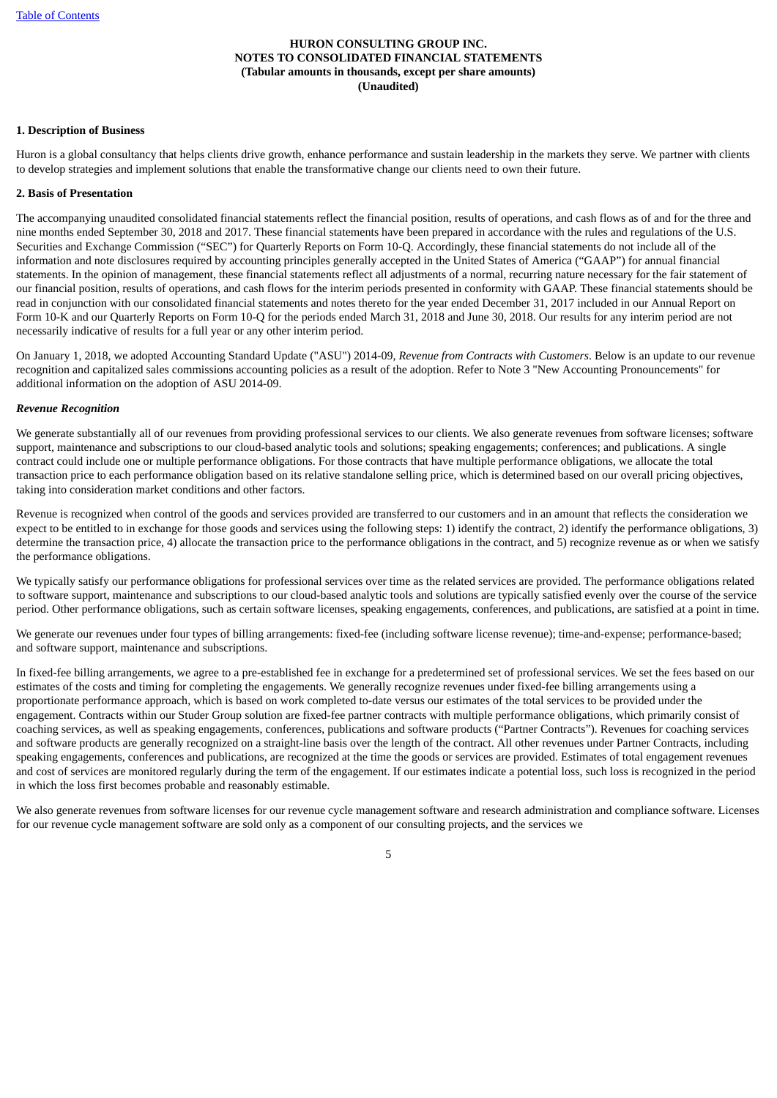### <span id="page-6-0"></span>**1. Description of Business**

Huron is a global consultancy that helps clients drive growth, enhance performance and sustain leadership in the markets they serve. We partner with clients to develop strategies and implement solutions that enable the transformative change our clients need to own their future.

#### **2. Basis of Presentation**

The accompanying unaudited consolidated financial statements reflect the financial position, results of operations, and cash flows as of and for the three and nine months ended September 30, 2018 and 2017. These financial statements have been prepared in accordance with the rules and regulations of the U.S. Securities and Exchange Commission ("SEC") for Quarterly Reports on Form 10-Q. Accordingly, these financial statements do not include all of the information and note disclosures required by accounting principles generally accepted in the United States of America ("GAAP") for annual financial statements. In the opinion of management, these financial statements reflect all adjustments of a normal, recurring nature necessary for the fair statement of our financial position, results of operations, and cash flows for the interim periods presented in conformity with GAAP. These financial statements should be read in conjunction with our consolidated financial statements and notes thereto for the year ended December 31, 2017 included in our Annual Report on Form 10-K and our Quarterly Reports on Form 10-Q for the periods ended March 31, 2018 and June 30, 2018. Our results for any interim period are not necessarily indicative of results for a full year or any other interim period.

On January 1, 2018, we adopted Accounting Standard Update ("ASU") 2014-09, *Revenue from Contracts with Customers*. Below is an update to our revenue recognition and capitalized sales commissions accounting policies as a result of the adoption. Refer to Note 3 "New Accounting Pronouncements" for additional information on the adoption of ASU 2014-09.

#### *Revenue Recognition*

We generate substantially all of our revenues from providing professional services to our clients. We also generate revenues from software licenses; software support, maintenance and subscriptions to our cloud-based analytic tools and solutions; speaking engagements; conferences; and publications. A single contract could include one or multiple performance obligations. For those contracts that have multiple performance obligations, we allocate the total transaction price to each performance obligation based on its relative standalone selling price, which is determined based on our overall pricing objectives, taking into consideration market conditions and other factors.

Revenue is recognized when control of the goods and services provided are transferred to our customers and in an amount that reflects the consideration we expect to be entitled to in exchange for those goods and services using the following steps: 1) identify the contract, 2) identify the performance obligations, 3) determine the transaction price, 4) allocate the transaction price to the performance obligations in the contract, and 5) recognize revenue as or when we satisfy the performance obligations.

We typically satisfy our performance obligations for professional services over time as the related services are provided. The performance obligations related to software support, maintenance and subscriptions to our cloud-based analytic tools and solutions are typically satisfied evenly over the course of the service period. Other performance obligations, such as certain software licenses, speaking engagements, conferences, and publications, are satisfied at a point in time.

We generate our revenues under four types of billing arrangements: fixed-fee (including software license revenue); time-and-expense; performance-based; and software support, maintenance and subscriptions.

In fixed-fee billing arrangements, we agree to a pre-established fee in exchange for a predetermined set of professional services. We set the fees based on our estimates of the costs and timing for completing the engagements. We generally recognize revenues under fixed-fee billing arrangements using a proportionate performance approach, which is based on work completed to-date versus our estimates of the total services to be provided under the engagement. Contracts within our Studer Group solution are fixed-fee partner contracts with multiple performance obligations, which primarily consist of coaching services, as well as speaking engagements, conferences, publications and software products ("Partner Contracts"). Revenues for coaching services and software products are generally recognized on a straight-line basis over the length of the contract. All other revenues under Partner Contracts, including speaking engagements, conferences and publications, are recognized at the time the goods or services are provided. Estimates of total engagement revenues and cost of services are monitored regularly during the term of the engagement. If our estimates indicate a potential loss, such loss is recognized in the period in which the loss first becomes probable and reasonably estimable.

We also generate revenues from software licenses for our revenue cycle management software and research administration and compliance software. Licenses for our revenue cycle management software are sold only as a component of our consulting projects, and the services we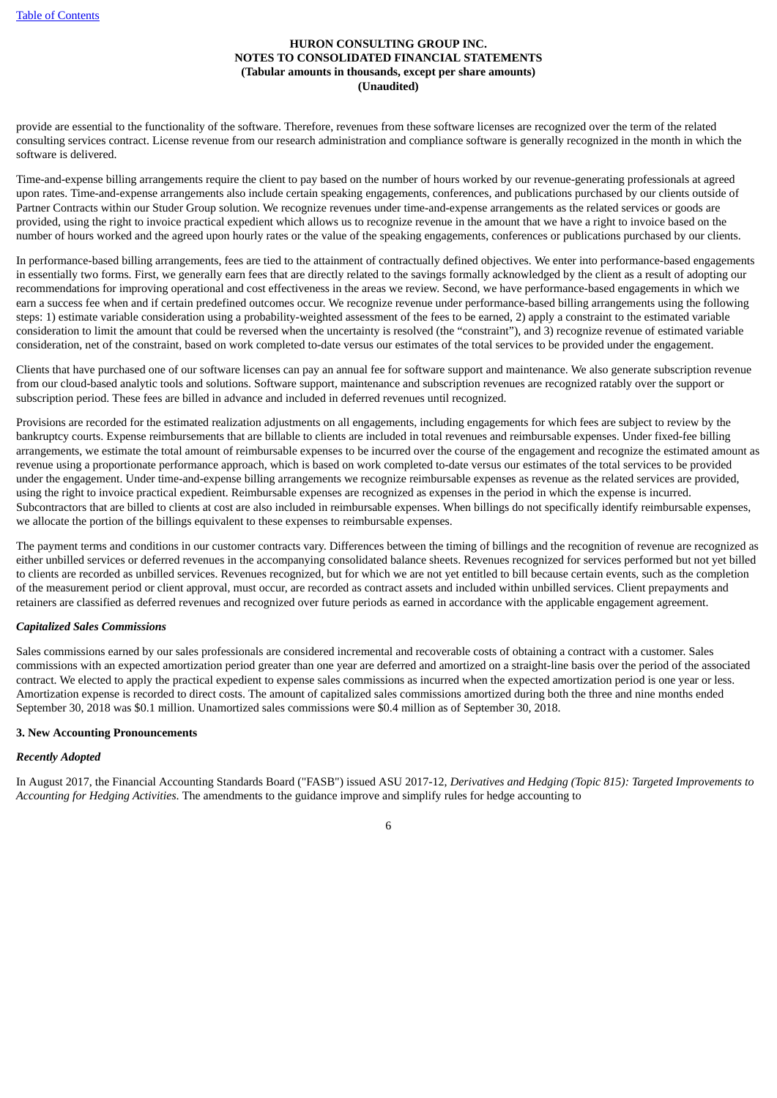provide are essential to the functionality of the software. Therefore, revenues from these software licenses are recognized over the term of the related consulting services contract. License revenue from our research administration and compliance software is generally recognized in the month in which the software is delivered.

Time-and-expense billing arrangements require the client to pay based on the number of hours worked by our revenue-generating professionals at agreed upon rates. Time-and-expense arrangements also include certain speaking engagements, conferences, and publications purchased by our clients outside of Partner Contracts within our Studer Group solution. We recognize revenues under time-and-expense arrangements as the related services or goods are provided, using the right to invoice practical expedient which allows us to recognize revenue in the amount that we have a right to invoice based on the number of hours worked and the agreed upon hourly rates or the value of the speaking engagements, conferences or publications purchased by our clients.

In performance-based billing arrangements, fees are tied to the attainment of contractually defined objectives. We enter into performance-based engagements in essentially two forms. First, we generally earn fees that are directly related to the savings formally acknowledged by the client as a result of adopting our recommendations for improving operational and cost effectiveness in the areas we review. Second, we have performance-based engagements in which we earn a success fee when and if certain predefined outcomes occur. We recognize revenue under performance-based billing arrangements using the following steps: 1) estimate variable consideration using a probability-weighted assessment of the fees to be earned, 2) apply a constraint to the estimated variable consideration to limit the amount that could be reversed when the uncertainty is resolved (the "constraint"), and 3) recognize revenue of estimated variable consideration, net of the constraint, based on work completed to-date versus our estimates of the total services to be provided under the engagement.

Clients that have purchased one of our software licenses can pay an annual fee for software support and maintenance. We also generate subscription revenue from our cloud-based analytic tools and solutions. Software support, maintenance and subscription revenues are recognized ratably over the support or subscription period. These fees are billed in advance and included in deferred revenues until recognized.

Provisions are recorded for the estimated realization adjustments on all engagements, including engagements for which fees are subject to review by the bankruptcy courts. Expense reimbursements that are billable to clients are included in total revenues and reimbursable expenses. Under fixed-fee billing arrangements, we estimate the total amount of reimbursable expenses to be incurred over the course of the engagement and recognize the estimated amount as revenue using a proportionate performance approach, which is based on work completed to-date versus our estimates of the total services to be provided under the engagement. Under time-and-expense billing arrangements we recognize reimbursable expenses as revenue as the related services are provided, using the right to invoice practical expedient. Reimbursable expenses are recognized as expenses in the period in which the expense is incurred. Subcontractors that are billed to clients at cost are also included in reimbursable expenses. When billings do not specifically identify reimbursable expenses, we allocate the portion of the billings equivalent to these expenses to reimbursable expenses.

The payment terms and conditions in our customer contracts vary. Differences between the timing of billings and the recognition of revenue are recognized as either unbilled services or deferred revenues in the accompanying consolidated balance sheets. Revenues recognized for services performed but not yet billed to clients are recorded as unbilled services. Revenues recognized, but for which we are not yet entitled to bill because certain events, such as the completion of the measurement period or client approval, must occur, are recorded as contract assets and included within unbilled services. Client prepayments and retainers are classified as deferred revenues and recognized over future periods as earned in accordance with the applicable engagement agreement.

## *Capitalized Sales Commissions*

Sales commissions earned by our sales professionals are considered incremental and recoverable costs of obtaining a contract with a customer. Sales commissions with an expected amortization period greater than one year are deferred and amortized on a straight-line basis over the period of the associated contract. We elected to apply the practical expedient to expense sales commissions as incurred when the expected amortization period is one year or less. Amortization expense is recorded to direct costs. The amount of capitalized sales commissions amortized during both the three and nine months ended September 30, 2018 was \$0.1 million. Unamortized sales commissions were \$0.4 million as of September 30, 2018.

## **3. New Accounting Pronouncements**

## *Recently Adopted*

In August 2017, the Financial Accounting Standards Board ("FASB") issued ASU 2017-12, *Derivatives and Hedging (Topic 815): Targeted Improvements to Accounting for Hedging Activities*. The amendments to the guidance improve and simplify rules for hedge accounting to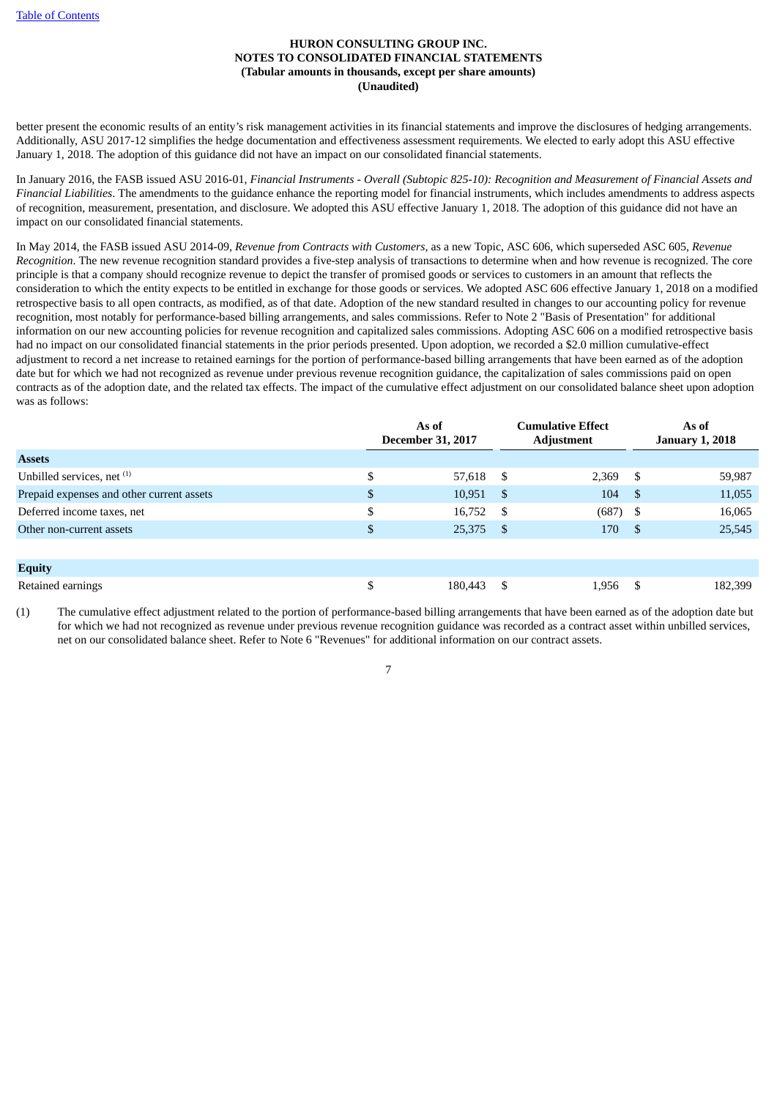better present the economic results of an entity's risk management activities in its financial statements and improve the disclosures of hedging arrangements. Additionally, ASU 2017-12 simplifies the hedge documentation and effectiveness assessment requirements. We elected to early adopt this ASU effective January 1, 2018. The adoption of this guidance did not have an impact on our consolidated financial statements.

In January 2016, the FASB issued ASU 2016-01, Financial Instruments - Overall (Subtopic 825-10): Recognition and Measurement of Financial Assets and *Financial Liabilities*. The amendments to the guidance enhance the reporting model for financial instruments, which includes amendments to address aspects of recognition, measurement, presentation, and disclosure. We adopted this ASU effective January 1, 2018. The adoption of this guidance did not have an impact on our consolidated financial statements.

In May 2014, the FASB issued ASU 2014-09, *Revenue from Contracts with Customers*, as a new Topic, ASC 606, which superseded ASC 605, *Revenue Recognition*. The new revenue recognition standard provides a five-step analysis of transactions to determine when and how revenue is recognized. The core principle is that a company should recognize revenue to depict the transfer of promised goods or services to customers in an amount that reflects the consideration to which the entity expects to be entitled in exchange for those goods or services. We adopted ASC 606 effective January 1, 2018 on a modified retrospective basis to all open contracts, as modified, as of that date. Adoption of the new standard resulted in changes to our accounting policy for revenue recognition, most notably for performance-based billing arrangements, and sales commissions. Refer to Note 2 "Basis of Presentation" for additional information on our new accounting policies for revenue recognition and capitalized sales commissions. Adopting ASC 606 on a modified retrospective basis had no impact on our consolidated financial statements in the prior periods presented. Upon adoption, we recorded a \$2.0 million cumulative-effect adjustment to record a net increase to retained earnings for the portion of performance-based billing arrangements that have been earned as of the adoption date but for which we had not recognized as revenue under previous revenue recognition guidance, the capitalization of sales commissions paid on open contracts as of the adoption date, and the related tax effects. The impact of the cumulative effect adjustment on our consolidated balance sheet upon adoption was as follows:

|                                           | As of<br><b>December 31, 2017</b> |      | <b>Cumulative Effect</b><br><b>Adjustment</b> |      | As of<br><b>January 1, 2018</b> |  |
|-------------------------------------------|-----------------------------------|------|-----------------------------------------------|------|---------------------------------|--|
| <b>Assets</b>                             |                                   |      |                                               |      |                                 |  |
| Unbilled services, net (1)                | \$<br>57,618                      | -S   | 2,369                                         | - \$ | 59,987                          |  |
| Prepaid expenses and other current assets | 10,951                            | -S   | 104                                           | - \$ | 11,055                          |  |
| Deferred income taxes, net                | \$<br>16,752                      | S    | $(687)$ \$                                    |      | 16,065                          |  |
| Other non-current assets                  | \$<br>25,375                      | - \$ | 170                                           | - \$ | 25,545                          |  |
|                                           |                                   |      |                                               |      |                                 |  |
| <b>Equity</b>                             |                                   |      |                                               |      |                                 |  |
| Retained earnings                         | \$<br>180,443                     | S    | 1,956                                         |      | 182,399                         |  |

(1) The cumulative effect adjustment related to the portion of performance-based billing arrangements that have been earned as of the adoption date but for which we had not recognized as revenue under previous revenue recognition guidance was recorded as a contract asset within unbilled services, net on our consolidated balance sheet. Refer to Note 6 "Revenues" for additional information on our contract assets.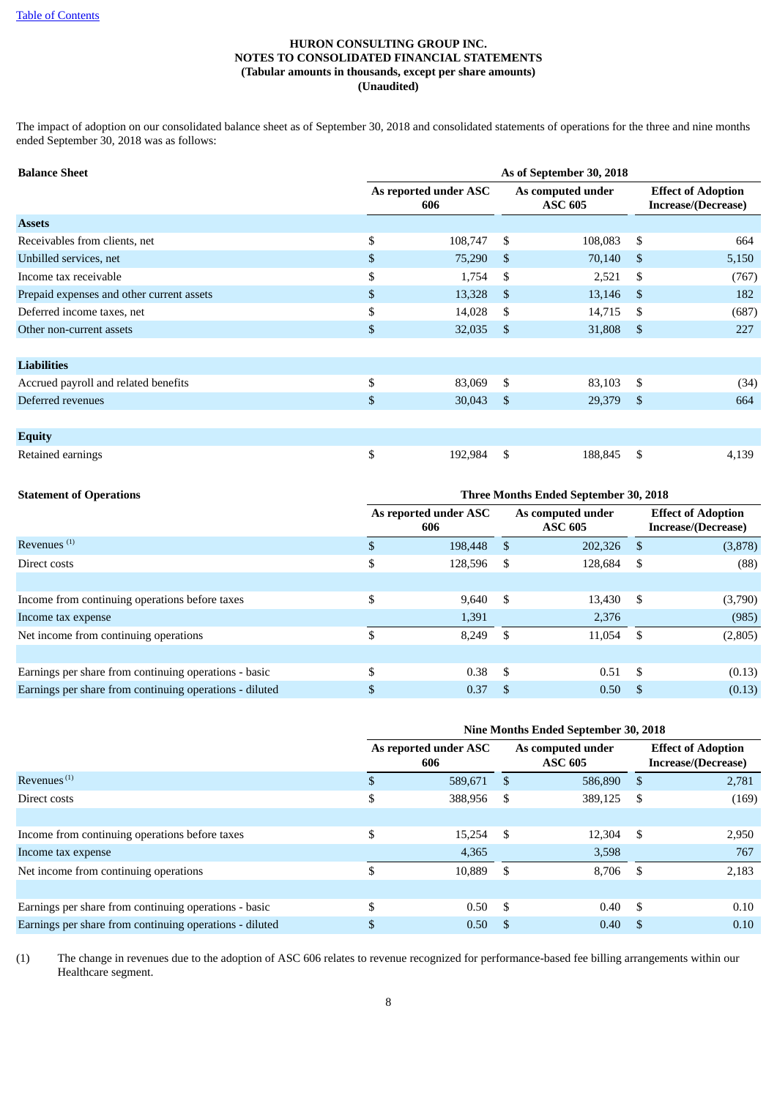The impact of adoption on our consolidated balance sheet as of September 30, 2018 and consolidated statements of operations for the three and nine months ended September 30, 2018 was as follows:

| <b>Balance Sheet</b>                      | As of September 30, 2018                                            |         |     |         |     |                                                  |  |  |  |
|-------------------------------------------|---------------------------------------------------------------------|---------|-----|---------|-----|--------------------------------------------------|--|--|--|
|                                           | As reported under ASC<br>As computed under<br><b>ASC 605</b><br>606 |         |     |         |     | <b>Effect of Adoption</b><br>Increase/(Decrease) |  |  |  |
| <b>Assets</b>                             |                                                                     |         |     |         |     |                                                  |  |  |  |
| Receivables from clients, net             | \$                                                                  | 108,747 | \$. | 108,083 | \$  | 664                                              |  |  |  |
| Unbilled services, net                    | $\mathfrak{S}$                                                      | 75,290  | \$  | 70,140  | \$  | 5,150                                            |  |  |  |
| Income tax receivable                     | \$                                                                  | 1,754   | S.  | 2,521   | \$  | (767)                                            |  |  |  |
| Prepaid expenses and other current assets | \$                                                                  | 13,328  | \$. | 13,146  | -S  | 182                                              |  |  |  |
| Deferred income taxes, net                | \$                                                                  | 14,028  | S   | 14,715  | \$  | (687)                                            |  |  |  |
| Other non-current assets                  | \$                                                                  | 32,035  | \$. | 31,808  | \$  | 227                                              |  |  |  |
|                                           |                                                                     |         |     |         |     |                                                  |  |  |  |
| <b>Liabilities</b>                        |                                                                     |         |     |         |     |                                                  |  |  |  |
| Accrued payroll and related benefits      | \$                                                                  | 83,069  | \$  | 83,103  | -\$ | (34)                                             |  |  |  |
| Deferred revenues                         | $\mathfrak{S}$                                                      | 30,043  | \$  | 29,379  | \$  | 664                                              |  |  |  |
|                                           |                                                                     |         |     |         |     |                                                  |  |  |  |
| <b>Equity</b>                             |                                                                     |         |     |         |     |                                                  |  |  |  |
| Retained earnings                         | \$                                                                  | 192,984 | \$  | 188,845 | S   | 4,139                                            |  |  |  |

## **Statement of Operations Three Months Ended September 30, 2018**

|                                                         | As reported under ASC<br>606 |     | As computed under<br><b>ASC 605</b> |      | <b>Effect of Adoption</b><br>Increase/(Decrease) |
|---------------------------------------------------------|------------------------------|-----|-------------------------------------|------|--------------------------------------------------|
| Revenues <sup>(1)</sup>                                 | 198,448                      | -\$ | 202,326                             | - \$ | (3,878)                                          |
| Direct costs                                            | \$<br>128,596                | S   | 128,684                             | - \$ | (88)                                             |
|                                                         |                              |     |                                     |      |                                                  |
| Income from continuing operations before taxes          | \$<br>9,640                  | -S  | 13,430                              | - \$ | (3,790)                                          |
| Income tax expense                                      | 1,391                        |     | 2,376                               |      | (985)                                            |
| Net income from continuing operations                   | 8.249                        | -S  | 11,054                              | - \$ | (2,805)                                          |
|                                                         |                              |     |                                     |      |                                                  |
| Earnings per share from continuing operations - basic   | \$<br>0.38                   | -S  | 0.51                                | - \$ | (0.13)                                           |
| Earnings per share from continuing operations - diluted | 0.37                         |     | 0.50                                |      | (0.13)                                           |

|                                                         | Nine Months Ended September 30, 2018 |                              |     |                                     |      |                                                  |  |  |  |
|---------------------------------------------------------|--------------------------------------|------------------------------|-----|-------------------------------------|------|--------------------------------------------------|--|--|--|
|                                                         |                                      | As reported under ASC<br>606 |     | As computed under<br><b>ASC 605</b> |      | <b>Effect of Adoption</b><br>Increase/(Decrease) |  |  |  |
| Revenues $(1)$                                          |                                      | 589,671 \$                   |     | 586,890                             | -S   | 2,781                                            |  |  |  |
| Direct costs                                            | \$                                   | 388,956                      | S   | 389,125                             | -S   | (169)                                            |  |  |  |
|                                                         |                                      |                              |     |                                     |      |                                                  |  |  |  |
| Income from continuing operations before taxes          | \$                                   | 15,254                       | S   | 12,304                              | -S   | 2,950                                            |  |  |  |
| Income tax expense                                      |                                      | 4,365                        |     | 3,598                               |      | 767                                              |  |  |  |
| Net income from continuing operations                   | \$.                                  | 10,889                       | S   | 8,706                               | - \$ | 2,183                                            |  |  |  |
|                                                         |                                      |                              |     |                                     |      |                                                  |  |  |  |
| Earnings per share from continuing operations - basic   | \$                                   | 0.50                         | \$. | 0.40                                | -\$  | 0.10                                             |  |  |  |
| Earnings per share from continuing operations - diluted | \$                                   | 0.50                         | -S  | 0.40                                |      | 0.10                                             |  |  |  |

(1) The change in revenues due to the adoption of ASC 606 relates to revenue recognized for performance-based fee billing arrangements within our Healthcare segment.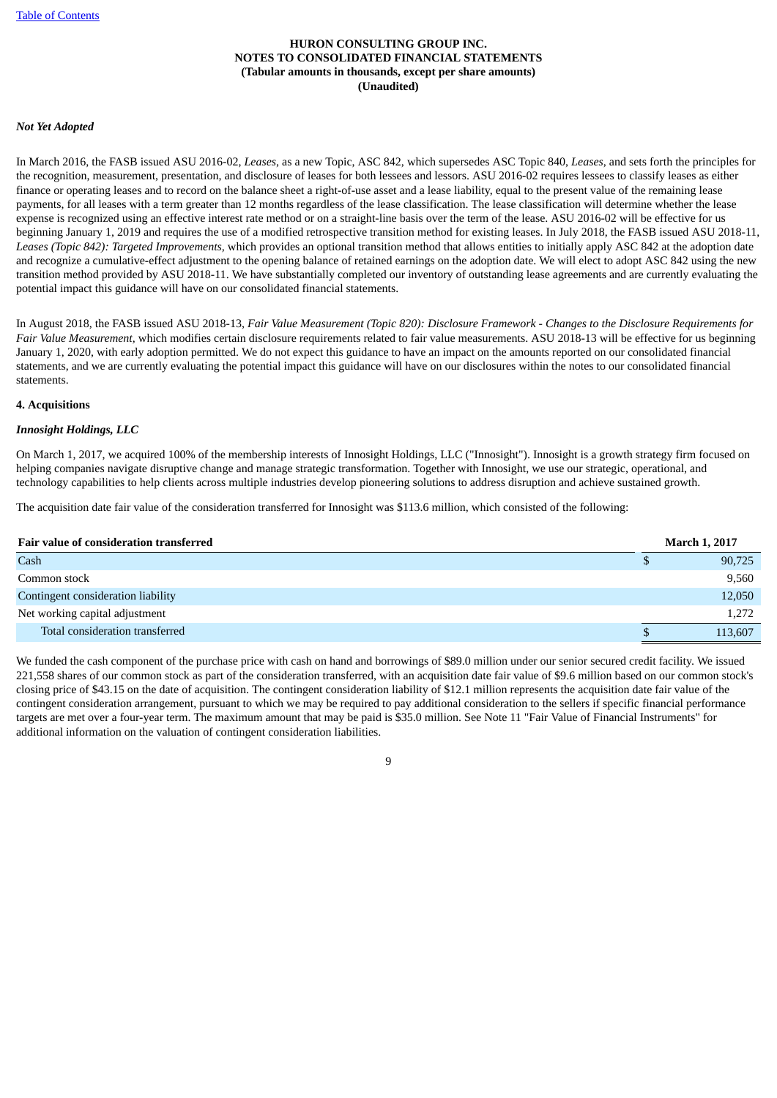#### *Not Yet Adopted*

In March 2016, the FASB issued ASU 2016-02, *Leases*, as a new Topic, ASC 842, which supersedes ASC Topic 840, *Leases*, and sets forth the principles for the recognition, measurement, presentation, and disclosure of leases for both lessees and lessors. ASU 2016-02 requires lessees to classify leases as either finance or operating leases and to record on the balance sheet a right-of-use asset and a lease liability, equal to the present value of the remaining lease payments, for all leases with a term greater than 12 months regardless of the lease classification. The lease classification will determine whether the lease expense is recognized using an effective interest rate method or on a straight-line basis over the term of the lease. ASU 2016-02 will be effective for us beginning January 1, 2019 and requires the use of a modified retrospective transition method for existing leases. In July 2018, the FASB issued ASU 2018-11, *Leases (Topic 842): Targeted Improvements,* which provides an optional transition method that allows entities to initially apply ASC 842 at the adoption date and recognize a cumulative-effect adjustment to the opening balance of retained earnings on the adoption date. We will elect to adopt ASC 842 using the new transition method provided by ASU 2018-11. We have substantially completed our inventory of outstanding lease agreements and are currently evaluating the potential impact this guidance will have on our consolidated financial statements.

In August 2018, the FASB issued ASU 2018-13, Fair Value Measurement (Topic 820): Disclosure Framework - Changes to the Disclosure Requirements for *Fair Value Measurement,* which modifies certain disclosure requirements related to fair value measurements. ASU 2018-13 will be effective for us beginning January 1, 2020, with early adoption permitted. We do not expect this guidance to have an impact on the amounts reported on our consolidated financial statements, and we are currently evaluating the potential impact this guidance will have on our disclosures within the notes to our consolidated financial statements.

#### **4. Acquisitions**

#### *Innosight Holdings, LLC*

On March 1, 2017, we acquired 100% of the membership interests of Innosight Holdings, LLC ("Innosight"). Innosight is a growth strategy firm focused on helping companies navigate disruptive change and manage strategic transformation. Together with Innosight, we use our strategic, operational, and technology capabilities to help clients across multiple industries develop pioneering solutions to address disruption and achieve sustained growth.

The acquisition date fair value of the consideration transferred for Innosight was \$113.6 million, which consisted of the following:

| Fair value of consideration transferred | <b>March 1, 2017</b> |
|-----------------------------------------|----------------------|
| Cash                                    | 90,725               |
| Common stock                            | 9,560                |
| Contingent consideration liability      | 12,050               |
| Net working capital adjustment          | 1,272                |
| Total consideration transferred         | 113,607              |

We funded the cash component of the purchase price with cash on hand and borrowings of \$89.0 million under our senior secured credit facility. We issued 221,558 shares of our common stock as part of the consideration transferred, with an acquisition date fair value of \$9.6 million based on our common stock's closing price of \$43.15 on the date of acquisition. The contingent consideration liability of \$12.1 million represents the acquisition date fair value of the contingent consideration arrangement, pursuant to which we may be required to pay additional consideration to the sellers if specific financial performance targets are met over a four-year term. The maximum amount that may be paid is \$35.0 million. See Note 11 "Fair Value of Financial Instruments" for additional information on the valuation of contingent consideration liabilities.

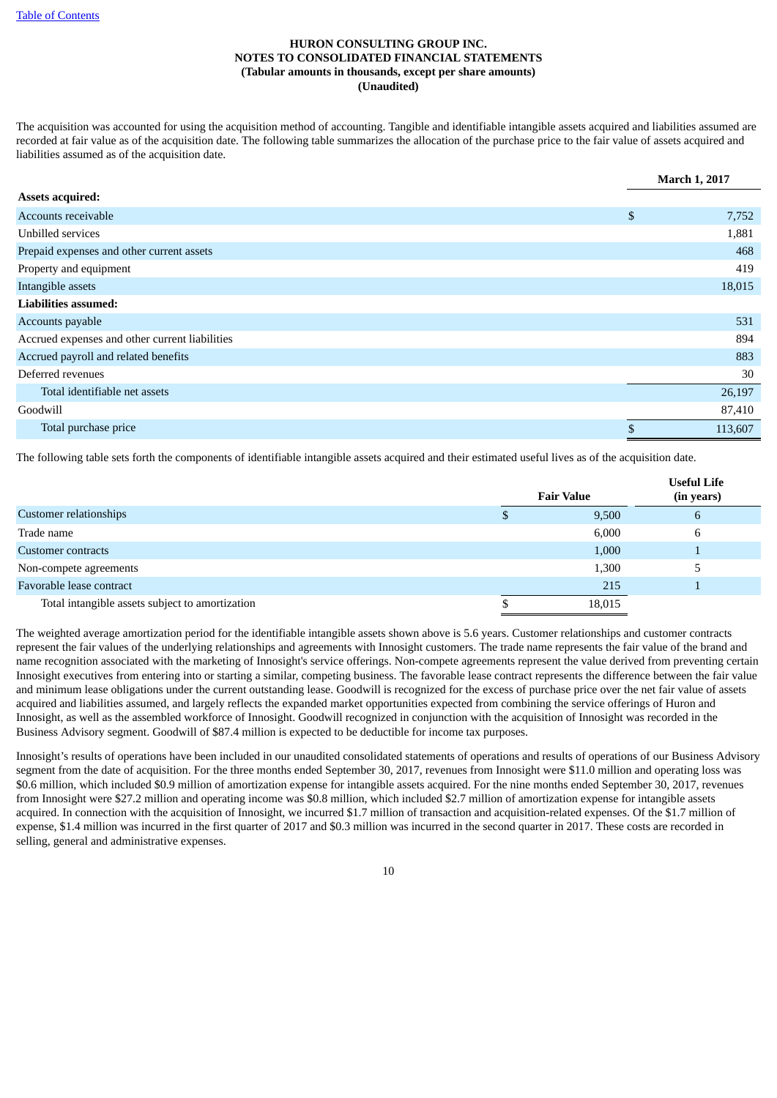The acquisition was accounted for using the acquisition method of accounting. Tangible and identifiable intangible assets acquired and liabilities assumed are recorded at fair value as of the acquisition date. The following table summarizes the allocation of the purchase price to the fair value of assets acquired and liabilities assumed as of the acquisition date.

|                                                | <b>March 1, 2017</b> |
|------------------------------------------------|----------------------|
| <b>Assets acquired:</b>                        |                      |
| Accounts receivable                            | \$<br>7,752          |
| Unbilled services                              | 1,881                |
| Prepaid expenses and other current assets      | 468                  |
| Property and equipment                         | 419                  |
| Intangible assets                              | 18,015               |
| Liabilities assumed:                           |                      |
| Accounts payable                               | 531                  |
| Accrued expenses and other current liabilities | 894                  |
| Accrued payroll and related benefits           | 883                  |
| Deferred revenues                              | 30                   |
| Total identifiable net assets                  | 26,197               |
| Goodwill                                       | 87,410               |
| Total purchase price                           | \$<br>113,607        |

The following table sets forth the components of identifiable intangible assets acquired and their estimated useful lives as of the acquisition date.

|                                                 |                   | <b>Useful Life</b> |
|-------------------------------------------------|-------------------|--------------------|
|                                                 | <b>Fair Value</b> | (in years)         |
| Customer relationships                          | 9,500             | $\mathfrak b$      |
| Trade name                                      | 6,000             | b                  |
| Customer contracts                              | 1,000             |                    |
| Non-compete agreements                          | 1,300             |                    |
| Favorable lease contract                        | 215               |                    |
| Total intangible assets subject to amortization | 18,015            |                    |

The weighted average amortization period for the identifiable intangible assets shown above is 5.6 years. Customer relationships and customer contracts represent the fair values of the underlying relationships and agreements with Innosight customers. The trade name represents the fair value of the brand and name recognition associated with the marketing of Innosight's service offerings. Non-compete agreements represent the value derived from preventing certain Innosight executives from entering into or starting a similar, competing business. The favorable lease contract represents the difference between the fair value and minimum lease obligations under the current outstanding lease. Goodwill is recognized for the excess of purchase price over the net fair value of assets acquired and liabilities assumed, and largely reflects the expanded market opportunities expected from combining the service offerings of Huron and Innosight, as well as the assembled workforce of Innosight. Goodwill recognized in conjunction with the acquisition of Innosight was recorded in the Business Advisory segment. Goodwill of \$87.4 million is expected to be deductible for income tax purposes.

Innosight's results of operations have been included in our unaudited consolidated statements of operations and results of operations of our Business Advisory segment from the date of acquisition. For the three months ended September 30, 2017, revenues from Innosight were \$11.0 million and operating loss was \$0.6 million, which included \$0.9 million of amortization expense for intangible assets acquired. For the nine months ended September 30, 2017, revenues from Innosight were \$27.2 million and operating income was \$0.8 million, which included \$2.7 million of amortization expense for intangible assets acquired. In connection with the acquisition of Innosight, we incurred \$1.7 million of transaction and acquisition-related expenses. Of the \$1.7 million of expense, \$1.4 million was incurred in the first quarter of 2017 and \$0.3 million was incurred in the second quarter in 2017. These costs are recorded in selling, general and administrative expenses.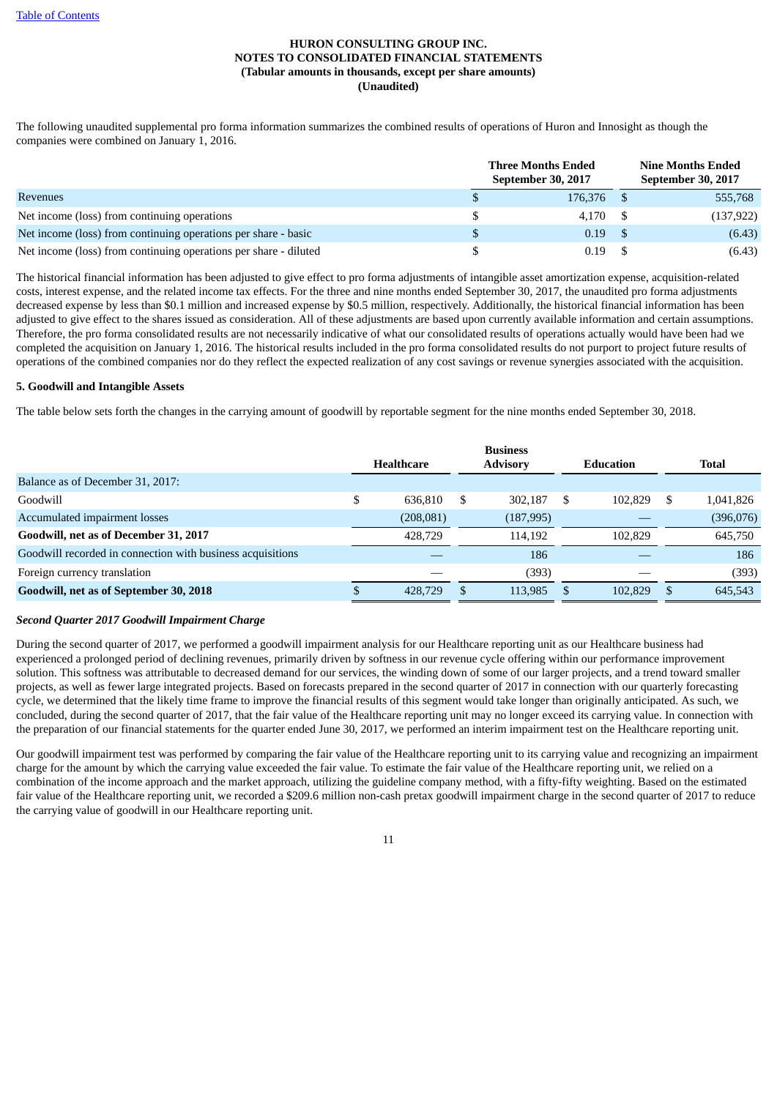The following unaudited supplemental pro forma information summarizes the combined results of operations of Huron and Innosight as though the companies were combined on January 1, 2016.

|                                                                  |   | <b>Three Months Ended</b><br>September 30, 2017 | <b>Nine Months Ended</b><br>September 30, 2017 |
|------------------------------------------------------------------|---|-------------------------------------------------|------------------------------------------------|
| Revenues                                                         |   | 176,376                                         | 555,768                                        |
| Net income (loss) from continuing operations                     | S | 4.170                                           | (137, 922)                                     |
| Net income (loss) from continuing operations per share - basic   | S | 0.19                                            | (6.43)                                         |
| Net income (loss) from continuing operations per share - diluted |   | 0.19                                            | (6.43)                                         |

The historical financial information has been adjusted to give effect to pro forma adjustments of intangible asset amortization expense, acquisition-related costs, interest expense, and the related income tax effects. For the three and nine months ended September 30, 2017, the unaudited pro forma adjustments decreased expense by less than \$0.1 million and increased expense by \$0.5 million, respectively. Additionally, the historical financial information has been adjusted to give effect to the shares issued as consideration. All of these adjustments are based upon currently available information and certain assumptions. Therefore, the pro forma consolidated results are not necessarily indicative of what our consolidated results of operations actually would have been had we completed the acquisition on January 1, 2016. The historical results included in the pro forma consolidated results do not purport to project future results of operations of the combined companies nor do they reflect the expected realization of any cost savings or revenue synergies associated with the acquisition.

## **5. Goodwill and Intangible Assets**

The table below sets forth the changes in the carrying amount of goodwill by reportable segment for the nine months ended September 30, 2018.

|                                                            | <b>Healthcare</b> |            | <b>Business</b><br><b>Advisory</b> |            | Education |         |    | <b>Total</b> |  |
|------------------------------------------------------------|-------------------|------------|------------------------------------|------------|-----------|---------|----|--------------|--|
| Balance as of December 31, 2017:                           |                   |            |                                    |            |           |         |    |              |  |
| Goodwill                                                   | \$                | 636.810    | -S                                 | 302.187    | .S        | 102,829 | S. | 1,041,826    |  |
| Accumulated impairment losses                              |                   | (208, 081) |                                    | (187, 995) |           |         |    | (396,076)    |  |
| Goodwill, net as of December 31, 2017                      |                   | 428,729    |                                    | 114,192    |           | 102.829 |    | 645,750      |  |
| Goodwill recorded in connection with business acquisitions |                   |            |                                    | 186        |           |         |    | 186          |  |
| Foreign currency translation                               |                   |            |                                    | (393)      |           |         |    | (393)        |  |
| Goodwill, net as of September 30, 2018                     |                   | 428,729    |                                    | 113,985    |           | 102.829 |    | 645,543      |  |

## *Second Quarter 2017 Goodwill Impairment Charge*

During the second quarter of 2017, we performed a goodwill impairment analysis for our Healthcare reporting unit as our Healthcare business had experienced a prolonged period of declining revenues, primarily driven by softness in our revenue cycle offering within our performance improvement solution. This softness was attributable to decreased demand for our services, the winding down of some of our larger projects, and a trend toward smaller projects, as well as fewer large integrated projects. Based on forecasts prepared in the second quarter of 2017 in connection with our quarterly forecasting cycle, we determined that the likely time frame to improve the financial results of this segment would take longer than originally anticipated. As such, we concluded, during the second quarter of 2017, that the fair value of the Healthcare reporting unit may no longer exceed its carrying value. In connection with the preparation of our financial statements for the quarter ended June 30, 2017, we performed an interim impairment test on the Healthcare reporting unit.

Our goodwill impairment test was performed by comparing the fair value of the Healthcare reporting unit to its carrying value and recognizing an impairment charge for the amount by which the carrying value exceeded the fair value. To estimate the fair value of the Healthcare reporting unit, we relied on a combination of the income approach and the market approach, utilizing the guideline company method, with a fifty-fifty weighting. Based on the estimated fair value of the Healthcare reporting unit, we recorded a \$209.6 million non-cash pretax goodwill impairment charge in the second quarter of 2017 to reduce the carrying value of goodwill in our Healthcare reporting unit.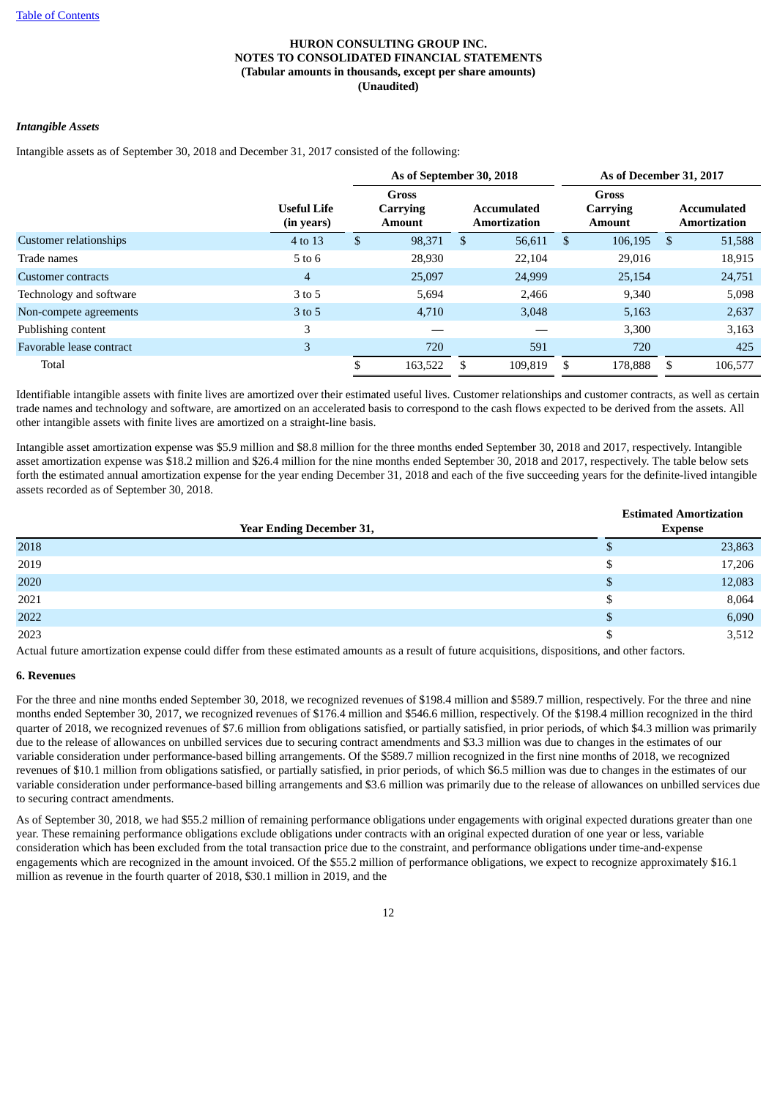## *Intangible Assets*

Intangible assets as of September 30, 2018 and December 31, 2017 consisted of the following:

|                          |                                  |                                    | As of September 30, 2018 |    |         | As of December 31, 2017 |                                           |    |         |  |                                    |  |                                           |
|--------------------------|----------------------------------|------------------------------------|--------------------------|----|---------|-------------------------|-------------------------------------------|----|---------|--|------------------------------------|--|-------------------------------------------|
|                          | <b>Useful Life</b><br>(in years) | Gross<br>Carrying<br><b>Amount</b> |                          |    |         |                         | <b>Accumulated</b><br><b>Amortization</b> |    |         |  | Gross<br>Carrying<br><b>Amount</b> |  | <b>Accumulated</b><br><b>Amortization</b> |
| Customer relationships   | 4 to 13                          | \$                                 | 98,371                   | -S | 56,611  | <sup>\$</sup>           | 106,195                                   | -S | 51,588  |  |                                    |  |                                           |
| Trade names              | $5$ to $6$                       |                                    | 28,930                   |    | 22,104  |                         | 29.016                                    |    | 18,915  |  |                                    |  |                                           |
| Customer contracts       | $\overline{4}$                   |                                    | 25,097                   |    | 24,999  |                         | 25,154                                    |    | 24,751  |  |                                    |  |                                           |
| Technology and software  | 3 to 5                           |                                    | 5,694                    |    | 2,466   |                         | 9,340                                     |    | 5,098   |  |                                    |  |                                           |
| Non-compete agreements   | 3 to 5                           |                                    | 4,710                    |    | 3,048   |                         | 5,163                                     |    | 2,637   |  |                                    |  |                                           |
| Publishing content       | 3                                |                                    |                          |    |         |                         | 3,300                                     |    | 3,163   |  |                                    |  |                                           |
| Favorable lease contract | 3                                |                                    | 720                      |    | 591     |                         | 720                                       |    | 425     |  |                                    |  |                                           |
| Total                    |                                  | \$                                 | 163,522                  |    | 109,819 |                         | 178,888                                   |    | 106,577 |  |                                    |  |                                           |

Identifiable intangible assets with finite lives are amortized over their estimated useful lives. Customer relationships and customer contracts, as well as certain trade names and technology and software, are amortized on an accelerated basis to correspond to the cash flows expected to be derived from the assets. All other intangible assets with finite lives are amortized on a straight-line basis.

Intangible asset amortization expense was \$5.9 million and \$8.8 million for the three months ended September 30, 2018 and 2017, respectively. Intangible asset amortization expense was \$18.2 million and \$26.4 million for the nine months ended September 30, 2018 and 2017, respectively. The table below sets forth the estimated annual amortization expense for the year ending December 31, 2018 and each of the five succeeding years for the definite-lived intangible assets recorded as of September 30, 2018.

|      |                                 |   | <b>Estimated Amortization</b> |
|------|---------------------------------|---|-------------------------------|
|      | <b>Year Ending December 31,</b> |   | <b>Expense</b>                |
| 2018 |                                 | D | 23,863                        |
| 2019 |                                 | S | 17,206                        |
| 2020 |                                 | S | 12,083                        |
| 2021 |                                 | S | 8,064                         |
| 2022 |                                 | S | 6,090                         |
| 2023 |                                 | S | 3,512                         |

Actual future amortization expense could differ from these estimated amounts as a result of future acquisitions, dispositions, and other factors.

## **6. Revenues**

For the three and nine months ended September 30, 2018, we recognized revenues of \$198.4 million and \$589.7 million, respectively. For the three and nine months ended September 30, 2017, we recognized revenues of \$176.4 million and \$546.6 million, respectively. Of the \$198.4 million recognized in the third quarter of 2018, we recognized revenues of \$7.6 million from obligations satisfied, or partially satisfied, in prior periods, of which \$4.3 million was primarily due to the release of allowances on unbilled services due to securing contract amendments and \$3.3 million was due to changes in the estimates of our variable consideration under performance-based billing arrangements. Of the \$589.7 million recognized in the first nine months of 2018, we recognized revenues of \$10.1 million from obligations satisfied, or partially satisfied, in prior periods, of which \$6.5 million was due to changes in the estimates of our variable consideration under performance-based billing arrangements and \$3.6 million was primarily due to the release of allowances on unbilled services due to securing contract amendments.

As of September 30, 2018, we had \$55.2 million of remaining performance obligations under engagements with original expected durations greater than one year. These remaining performance obligations exclude obligations under contracts with an original expected duration of one year or less, variable consideration which has been excluded from the total transaction price due to the constraint, and performance obligations under time-and-expense engagements which are recognized in the amount invoiced. Of the \$55.2 million of performance obligations, we expect to recognize approximately \$16.1 million as revenue in the fourth quarter of 2018, \$30.1 million in 2019, and the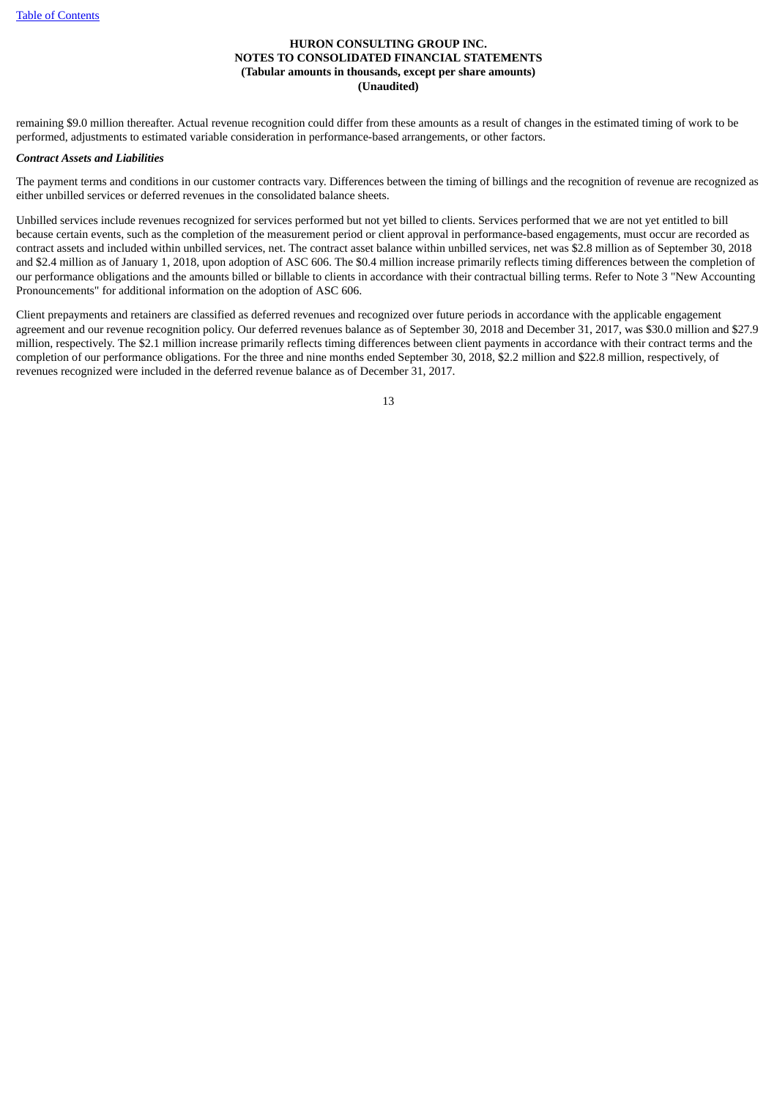remaining \$9.0 million thereafter. Actual revenue recognition could differ from these amounts as a result of changes in the estimated timing of work to be performed, adjustments to estimated variable consideration in performance-based arrangements, or other factors.

## *Contract Assets and Liabilities*

The payment terms and conditions in our customer contracts vary. Differences between the timing of billings and the recognition of revenue are recognized as either unbilled services or deferred revenues in the consolidated balance sheets.

Unbilled services include revenues recognized for services performed but not yet billed to clients. Services performed that we are not yet entitled to bill because certain events, such as the completion of the measurement period or client approval in performance-based engagements, must occur are recorded as contract assets and included within unbilled services, net. The contract asset balance within unbilled services, net was \$2.8 million as of September 30, 2018 and \$2.4 million as of January 1, 2018, upon adoption of ASC 606. The \$0.4 million increase primarily reflects timing differences between the completion of our performance obligations and the amounts billed or billable to clients in accordance with their contractual billing terms. Refer to Note 3 "New Accounting Pronouncements" for additional information on the adoption of ASC 606.

Client prepayments and retainers are classified as deferred revenues and recognized over future periods in accordance with the applicable engagement agreement and our revenue recognition policy. Our deferred revenues balance as of September 30, 2018 and December 31, 2017, was \$30.0 million and \$27.9 million, respectively. The \$2.1 million increase primarily reflects timing differences between client payments in accordance with their contract terms and the completion of our performance obligations. For the three and nine months ended September 30, 2018, \$2.2 million and \$22.8 million, respectively, of revenues recognized were included in the deferred revenue balance as of December 31, 2017.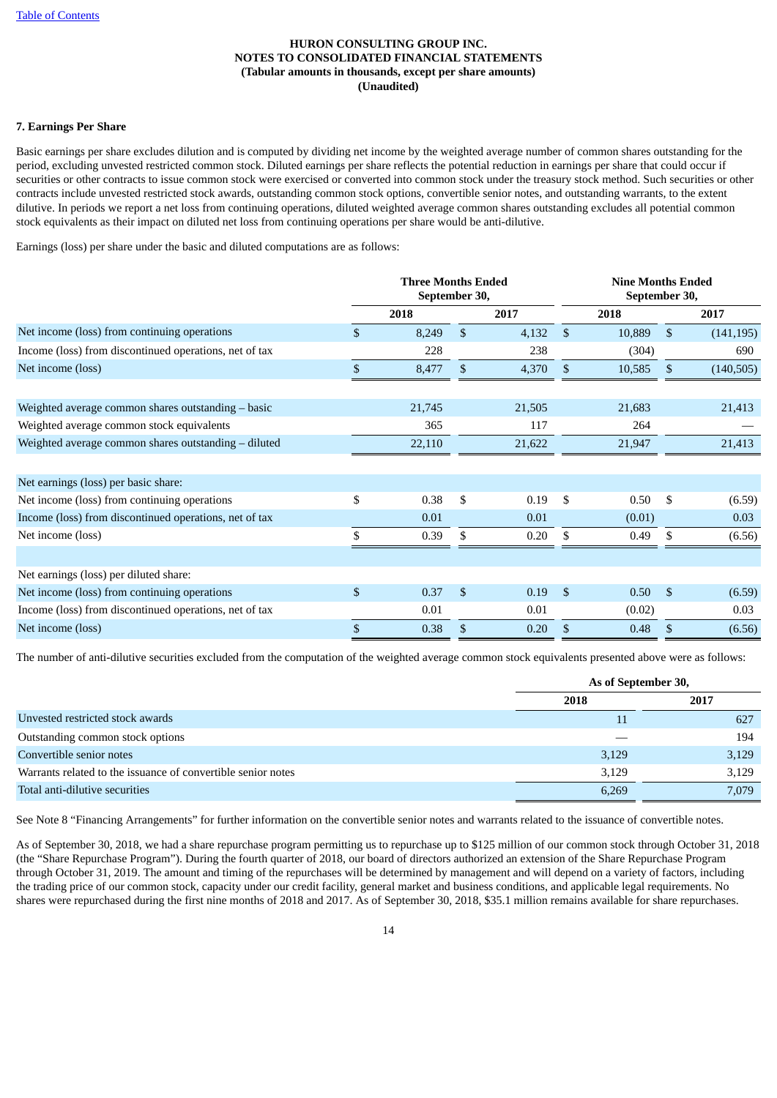## **7. Earnings Per Share**

Basic earnings per share excludes dilution and is computed by dividing net income by the weighted average number of common shares outstanding for the period, excluding unvested restricted common stock. Diluted earnings per share reflects the potential reduction in earnings per share that could occur if securities or other contracts to issue common stock were exercised or converted into common stock under the treasury stock method. Such securities or other contracts include unvested restricted stock awards, outstanding common stock options, convertible senior notes, and outstanding warrants, to the extent dilutive. In periods we report a net loss from continuing operations, diluted weighted average common shares outstanding excludes all potential common stock equivalents as their impact on diluted net loss from continuing operations per share would be anti-dilutive.

Earnings (loss) per share under the basic and diluted computations are as follows:

|                                                        | <b>Three Months Ended</b><br>September 30, |              |        |                | <b>Nine Months Ended</b><br>September 30, |                |            |  |
|--------------------------------------------------------|--------------------------------------------|--------------|--------|----------------|-------------------------------------------|----------------|------------|--|
|                                                        | 2018                                       |              | 2017   |                | 2018                                      |                | 2017       |  |
| Net income (loss) from continuing operations           | \$<br>8,249                                | $\mathbb{S}$ | 4,132  | $\mathbb{S}$   | 10,889                                    | $\mathcal{S}$  | (141, 195) |  |
| Income (loss) from discontinued operations, net of tax | 228                                        |              | 238    |                | (304)                                     |                | 690        |  |
| Net income (loss)                                      | \$<br>8,477                                | \$           | 4,370  | $\mathfrak{S}$ | 10,585                                    | \$             | (140, 505) |  |
|                                                        |                                            |              |        |                |                                           |                |            |  |
| Weighted average common shares outstanding - basic     | 21,745                                     |              | 21,505 |                | 21,683                                    |                | 21,413     |  |
| Weighted average common stock equivalents              | 365                                        |              | 117    |                | 264                                       |                |            |  |
| Weighted average common shares outstanding - diluted   | 22,110                                     |              | 21,622 |                | 21,947                                    |                | 21,413     |  |
|                                                        |                                            |              |        |                |                                           |                |            |  |
| Net earnings (loss) per basic share:                   |                                            |              |        |                |                                           |                |            |  |
| Net income (loss) from continuing operations           | \$<br>0.38                                 | \$           | 0.19   | \$             | 0.50                                      | -\$            | (6.59)     |  |
| Income (loss) from discontinued operations, net of tax | 0.01                                       |              | 0.01   |                | (0.01)                                    |                | 0.03       |  |
| Net income (loss)                                      | \$<br>0.39                                 | \$           | 0.20   | \$             | 0.49                                      | \$.            | (6.56)     |  |
|                                                        |                                            |              |        |                |                                           |                |            |  |
| Net earnings (loss) per diluted share:                 |                                            |              |        |                |                                           |                |            |  |
| Net income (loss) from continuing operations           | \$<br>0.37                                 | $\mathbb{S}$ | 0.19   | <sup>\$</sup>  | 0.50                                      | - \$           | (6.59)     |  |
| Income (loss) from discontinued operations, net of tax | 0.01                                       |              | 0.01   |                | (0.02)                                    |                | 0.03       |  |
| Net income (loss)                                      | \$<br>0.38                                 | \$           | 0.20   | $\mathbb{S}$   | 0.48                                      | $\mathfrak{S}$ | (6.56)     |  |

The number of anti-dilutive securities excluded from the computation of the weighted average common stock equivalents presented above were as follows:

|                                                              | As of September 30, |       |
|--------------------------------------------------------------|---------------------|-------|
|                                                              | 2018                | 2017  |
| Unvested restricted stock awards                             | 11                  | 627   |
| Outstanding common stock options                             |                     | 194   |
| Convertible senior notes                                     | 3,129               | 3,129 |
| Warrants related to the issuance of convertible senior notes | 3.129               | 3,129 |
| Total anti-dilutive securities                               | 6,269               | 7,079 |

See Note 8 "Financing Arrangements" for further information on the convertible senior notes and warrants related to the issuance of convertible notes.

As of September 30, 2018, we had a share repurchase program permitting us to repurchase up to \$125 million of our common stock through October 31, 2018 (the "Share Repurchase Program"). During the fourth quarter of 2018, our board of directors authorized an extension of the Share Repurchase Program through October 31, 2019. The amount and timing of the repurchases will be determined by management and will depend on a variety of factors, including the trading price of our common stock, capacity under our credit facility, general market and business conditions, and applicable legal requirements. No shares were repurchased during the first nine months of 2018 and 2017. As of September 30, 2018, \$35.1 million remains available for share repurchases.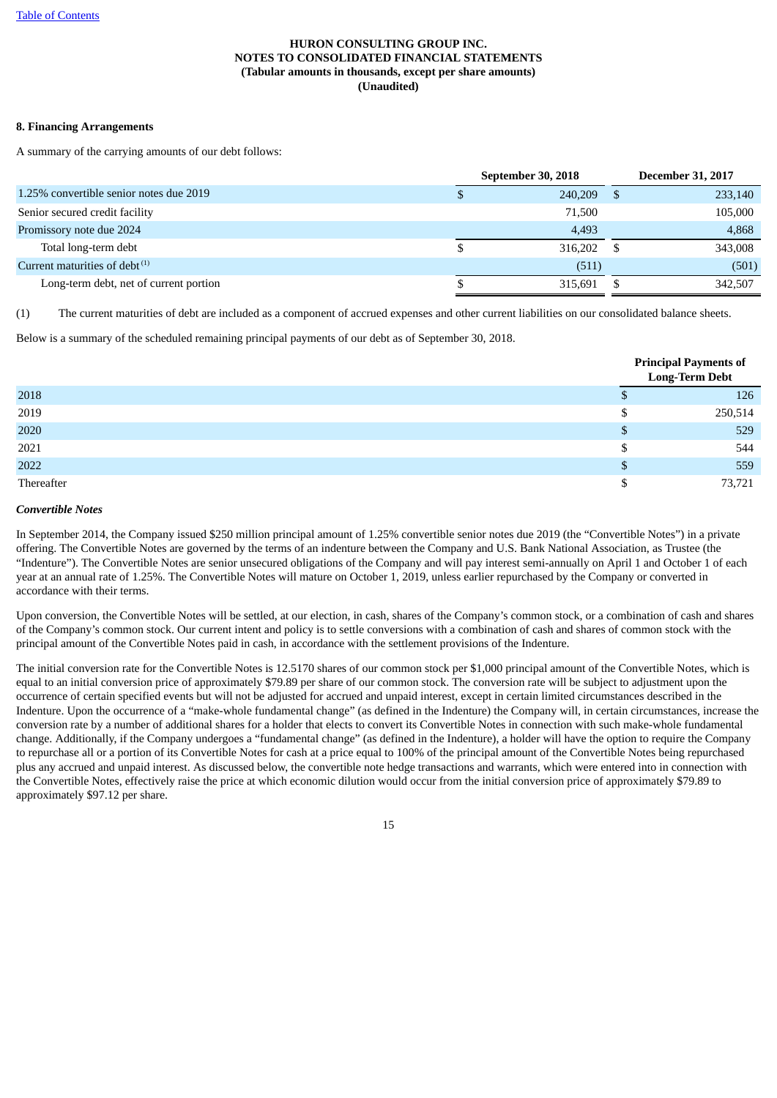## **8. Financing Arrangements**

A summary of the carrying amounts of our debt follows:

|                                              | September 30, 2018 | <b>December 31, 2017</b> |
|----------------------------------------------|--------------------|--------------------------|
| 1.25% convertible senior notes due 2019<br>Φ | 240,209            | 233,140<br>\$            |
| Senior secured credit facility               | 71.500             | 105,000                  |
| Promissory note due 2024                     | 4,493              | 4,868                    |
| Total long-term debt<br>۰Ľ                   | 316,202            | 343,008<br>S             |
| Current maturities of debt $(1)$             | (511)              | (501)                    |
| Long-term debt, net of current portion       | 315,691            | 342,507                  |

(1) The current maturities of debt are included as a component of accrued expenses and other current liabilities on our consolidated balance sheets.

Below is a summary of the scheduled remaining principal payments of our debt as of September 30, 2018.

|            | <b>Principal Payments of</b><br><b>Long-Term Debt</b> |
|------------|-------------------------------------------------------|
| 2018       | 126                                                   |
| 2019       | 250,514                                               |
| 2020       | 529                                                   |
| 2021       | 544                                                   |
| 2022       | 559                                                   |
| Thereafter | 73,721                                                |

## *Convertible Notes*

In September 2014, the Company issued \$250 million principal amount of 1.25% convertible senior notes due 2019 (the "Convertible Notes") in a private offering. The Convertible Notes are governed by the terms of an indenture between the Company and U.S. Bank National Association, as Trustee (the "Indenture"). The Convertible Notes are senior unsecured obligations of the Company and will pay interest semi-annually on April 1 and October 1 of each year at an annual rate of 1.25%. The Convertible Notes will mature on October 1, 2019, unless earlier repurchased by the Company or converted in accordance with their terms.

Upon conversion, the Convertible Notes will be settled, at our election, in cash, shares of the Company's common stock, or a combination of cash and shares of the Company's common stock. Our current intent and policy is to settle conversions with a combination of cash and shares of common stock with the principal amount of the Convertible Notes paid in cash, in accordance with the settlement provisions of the Indenture.

The initial conversion rate for the Convertible Notes is 12.5170 shares of our common stock per \$1,000 principal amount of the Convertible Notes, which is equal to an initial conversion price of approximately \$79.89 per share of our common stock. The conversion rate will be subject to adjustment upon the occurrence of certain specified events but will not be adjusted for accrued and unpaid interest, except in certain limited circumstances described in the Indenture. Upon the occurrence of a "make-whole fundamental change" (as defined in the Indenture) the Company will, in certain circumstances, increase the conversion rate by a number of additional shares for a holder that elects to convert its Convertible Notes in connection with such make-whole fundamental change. Additionally, if the Company undergoes a "fundamental change" (as defined in the Indenture), a holder will have the option to require the Company to repurchase all or a portion of its Convertible Notes for cash at a price equal to 100% of the principal amount of the Convertible Notes being repurchased plus any accrued and unpaid interest. As discussed below, the convertible note hedge transactions and warrants, which were entered into in connection with the Convertible Notes, effectively raise the price at which economic dilution would occur from the initial conversion price of approximately \$79.89 to approximately \$97.12 per share.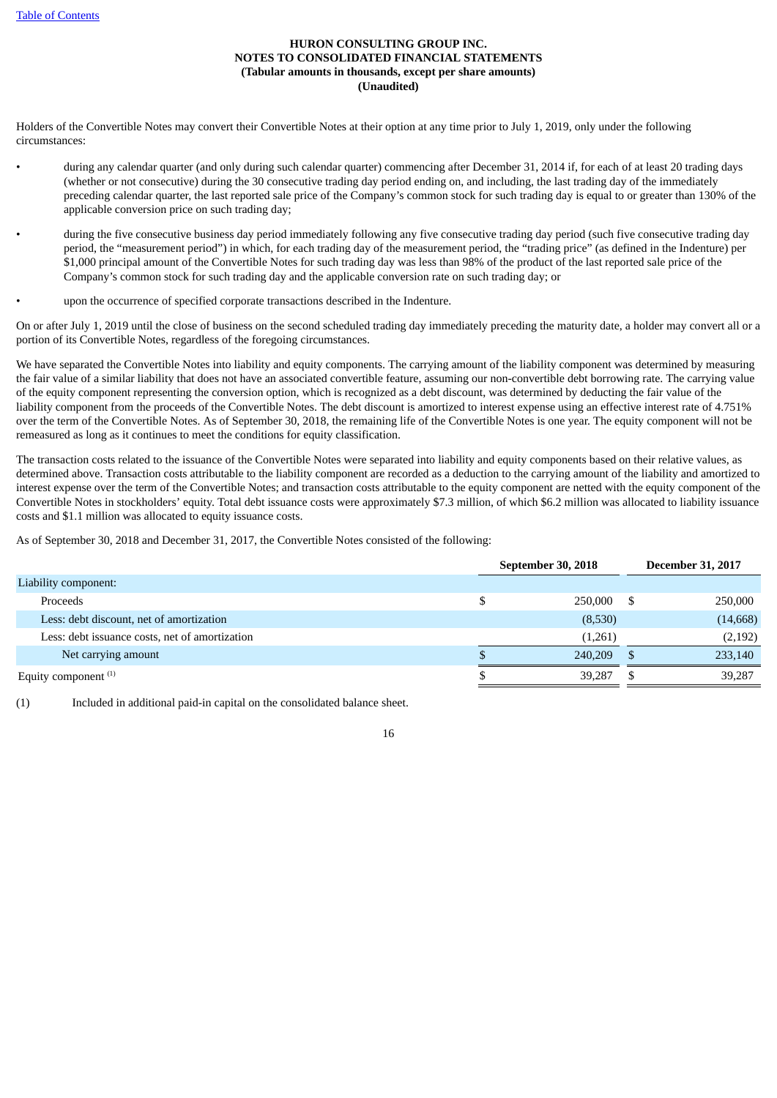Holders of the Convertible Notes may convert their Convertible Notes at their option at any time prior to July 1, 2019, only under the following circumstances:

- during any calendar quarter (and only during such calendar quarter) commencing after December 31, 2014 if, for each of at least 20 trading days (whether or not consecutive) during the 30 consecutive trading day period ending on, and including, the last trading day of the immediately preceding calendar quarter, the last reported sale price of the Company's common stock for such trading day is equal to or greater than 130% of the applicable conversion price on such trading day;
- during the five consecutive business day period immediately following any five consecutive trading day period (such five consecutive trading day period, the "measurement period") in which, for each trading day of the measurement period, the "trading price" (as defined in the Indenture) per \$1,000 principal amount of the Convertible Notes for such trading day was less than 98% of the product of the last reported sale price of the Company's common stock for such trading day and the applicable conversion rate on such trading day; or
- upon the occurrence of specified corporate transactions described in the Indenture.

On or after July 1, 2019 until the close of business on the second scheduled trading day immediately preceding the maturity date, a holder may convert all or a portion of its Convertible Notes, regardless of the foregoing circumstances.

We have separated the Convertible Notes into liability and equity components. The carrying amount of the liability component was determined by measuring the fair value of a similar liability that does not have an associated convertible feature, assuming our non-convertible debt borrowing rate. The carrying value of the equity component representing the conversion option, which is recognized as a debt discount, was determined by deducting the fair value of the liability component from the proceeds of the Convertible Notes. The debt discount is amortized to interest expense using an effective interest rate of 4.751% over the term of the Convertible Notes. As of September 30, 2018, the remaining life of the Convertible Notes is one year. The equity component will not be remeasured as long as it continues to meet the conditions for equity classification.

The transaction costs related to the issuance of the Convertible Notes were separated into liability and equity components based on their relative values, as determined above. Transaction costs attributable to the liability component are recorded as a deduction to the carrying amount of the liability and amortized to interest expense over the term of the Convertible Notes; and transaction costs attributable to the equity component are netted with the equity component of the Convertible Notes in stockholders' equity. Total debt issuance costs were approximately \$7.3 million, of which \$6.2 million was allocated to liability issuance costs and \$1.1 million was allocated to equity issuance costs.

As of September 30, 2018 and December 31, 2017, the Convertible Notes consisted of the following:

|                                                | September 30, 2018 |         |     | <b>December 31, 2017</b> |
|------------------------------------------------|--------------------|---------|-----|--------------------------|
| Liability component:                           |                    |         |     |                          |
| <b>Proceeds</b>                                |                    | 250,000 | - S | 250,000                  |
| Less: debt discount, net of amortization       |                    | (8,530) |     | (14, 668)                |
| Less: debt issuance costs, net of amortization |                    | (1,261) |     | (2, 192)                 |
| Net carrying amount                            |                    | 240,209 |     | 233,140                  |
| Equity component $(1)$                         |                    | 39.287  |     | 39.287                   |
|                                                |                    |         |     |                          |

(1) Included in additional paid-in capital on the consolidated balance sheet.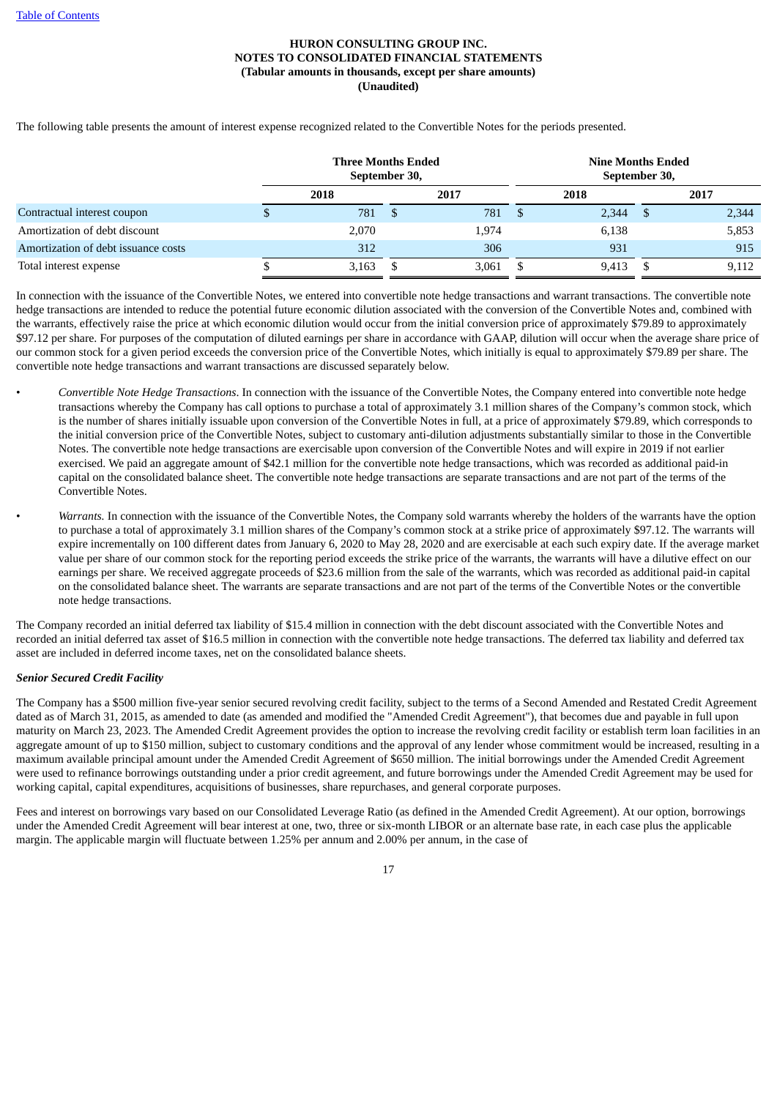The following table presents the amount of interest expense recognized related to the Convertible Notes for the periods presented.

|                                     | <b>Three Months Ended</b><br>September 30, |    |       |    |       | <b>Nine Months Ended</b><br>September 30, |       |  |
|-------------------------------------|--------------------------------------------|----|-------|----|-------|-------------------------------------------|-------|--|
|                                     | 2018                                       |    | 2017  |    | 2018  |                                           | 2017  |  |
| Contractual interest coupon         | 781                                        | -S | 781   | -5 | 2,344 |                                           | 2,344 |  |
| Amortization of debt discount       | 2,070                                      |    | 1.974 |    | 6,138 |                                           | 5,853 |  |
| Amortization of debt issuance costs | 312                                        |    | 306   |    | 931   |                                           | 915   |  |
| Total interest expense              | 3,163                                      |    | 3,061 |    | 9,413 |                                           | 9,112 |  |

In connection with the issuance of the Convertible Notes, we entered into convertible note hedge transactions and warrant transactions. The convertible note hedge transactions are intended to reduce the potential future economic dilution associated with the conversion of the Convertible Notes and, combined with the warrants, effectively raise the price at which economic dilution would occur from the initial conversion price of approximately \$79.89 to approximately \$97.12 per share. For purposes of the computation of diluted earnings per share in accordance with GAAP, dilution will occur when the average share price of our common stock for a given period exceeds the conversion price of the Convertible Notes, which initially is equal to approximately \$79.89 per share. The convertible note hedge transactions and warrant transactions are discussed separately below.

- *Convertible Note Hedge Transactions*. In connection with the issuance of the Convertible Notes, the Company entered into convertible note hedge transactions whereby the Company has call options to purchase a total of approximately 3.1 million shares of the Company's common stock, which is the number of shares initially issuable upon conversion of the Convertible Notes in full, at a price of approximately \$79.89, which corresponds to the initial conversion price of the Convertible Notes, subject to customary anti-dilution adjustments substantially similar to those in the Convertible Notes. The convertible note hedge transactions are exercisable upon conversion of the Convertible Notes and will expire in 2019 if not earlier exercised. We paid an aggregate amount of \$42.1 million for the convertible note hedge transactions, which was recorded as additional paid-in capital on the consolidated balance sheet. The convertible note hedge transactions are separate transactions and are not part of the terms of the Convertible Notes.
	- *Warrants.* In connection with the issuance of the Convertible Notes, the Company sold warrants whereby the holders of the warrants have the option to purchase a total of approximately 3.1 million shares of the Company's common stock at a strike price of approximately \$97.12. The warrants will expire incrementally on 100 different dates from January 6, 2020 to May 28, 2020 and are exercisable at each such expiry date. If the average market value per share of our common stock for the reporting period exceeds the strike price of the warrants, the warrants will have a dilutive effect on our earnings per share. We received aggregate proceeds of \$23.6 million from the sale of the warrants, which was recorded as additional paid-in capital on the consolidated balance sheet. The warrants are separate transactions and are not part of the terms of the Convertible Notes or the convertible note hedge transactions.

The Company recorded an initial deferred tax liability of \$15.4 million in connection with the debt discount associated with the Convertible Notes and recorded an initial deferred tax asset of \$16.5 million in connection with the convertible note hedge transactions. The deferred tax liability and deferred tax asset are included in deferred income taxes, net on the consolidated balance sheets.

## *Senior Secured Credit Facility*

The Company has a \$500 million five-year senior secured revolving credit facility, subject to the terms of a Second Amended and Restated Credit Agreement dated as of March 31, 2015, as amended to date (as amended and modified the "Amended Credit Agreement"), that becomes due and payable in full upon maturity on March 23, 2023. The Amended Credit Agreement provides the option to increase the revolving credit facility or establish term loan facilities in an aggregate amount of up to \$150 million, subject to customary conditions and the approval of any lender whose commitment would be increased, resulting in a maximum available principal amount under the Amended Credit Agreement of \$650 million. The initial borrowings under the Amended Credit Agreement were used to refinance borrowings outstanding under a prior credit agreement, and future borrowings under the Amended Credit Agreement may be used for working capital, capital expenditures, acquisitions of businesses, share repurchases, and general corporate purposes.

Fees and interest on borrowings vary based on our Consolidated Leverage Ratio (as defined in the Amended Credit Agreement). At our option, borrowings under the Amended Credit Agreement will bear interest at one, two, three or six-month LIBOR or an alternate base rate, in each case plus the applicable margin. The applicable margin will fluctuate between 1.25% per annum and 2.00% per annum, in the case of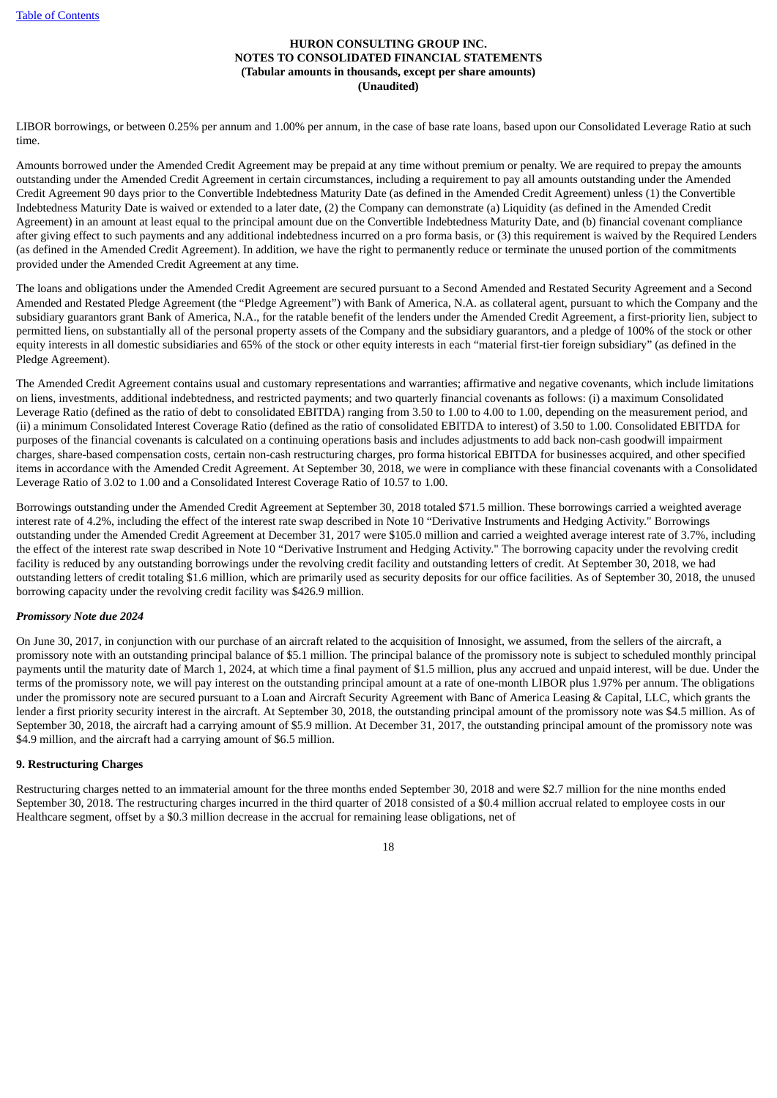LIBOR borrowings, or between 0.25% per annum and 1.00% per annum, in the case of base rate loans, based upon our Consolidated Leverage Ratio at such time.

Amounts borrowed under the Amended Credit Agreement may be prepaid at any time without premium or penalty. We are required to prepay the amounts outstanding under the Amended Credit Agreement in certain circumstances, including a requirement to pay all amounts outstanding under the Amended Credit Agreement 90 days prior to the Convertible Indebtedness Maturity Date (as defined in the Amended Credit Agreement) unless (1) the Convertible Indebtedness Maturity Date is waived or extended to a later date, (2) the Company can demonstrate (a) Liquidity (as defined in the Amended Credit Agreement) in an amount at least equal to the principal amount due on the Convertible Indebtedness Maturity Date, and (b) financial covenant compliance after giving effect to such payments and any additional indebtedness incurred on a pro forma basis, or (3) this requirement is waived by the Required Lenders (as defined in the Amended Credit Agreement). In addition, we have the right to permanently reduce or terminate the unused portion of the commitments provided under the Amended Credit Agreement at any time.

The loans and obligations under the Amended Credit Agreement are secured pursuant to a Second Amended and Restated Security Agreement and a Second Amended and Restated Pledge Agreement (the "Pledge Agreement") with Bank of America, N.A. as collateral agent, pursuant to which the Company and the subsidiary guarantors grant Bank of America, N.A., for the ratable benefit of the lenders under the Amended Credit Agreement, a first-priority lien, subject to permitted liens, on substantially all of the personal property assets of the Company and the subsidiary guarantors, and a pledge of 100% of the stock or other equity interests in all domestic subsidiaries and 65% of the stock or other equity interests in each "material first-tier foreign subsidiary" (as defined in the Pledge Agreement).

The Amended Credit Agreement contains usual and customary representations and warranties; affirmative and negative covenants, which include limitations on liens, investments, additional indebtedness, and restricted payments; and two quarterly financial covenants as follows: (i) a maximum Consolidated Leverage Ratio (defined as the ratio of debt to consolidated EBITDA) ranging from 3.50 to 1.00 to 4.00 to 1.00, depending on the measurement period, and (ii) a minimum Consolidated Interest Coverage Ratio (defined as the ratio of consolidated EBITDA to interest) of 3.50 to 1.00. Consolidated EBITDA for purposes of the financial covenants is calculated on a continuing operations basis and includes adjustments to add back non-cash goodwill impairment charges, share-based compensation costs, certain non-cash restructuring charges, pro forma historical EBITDA for businesses acquired, and other specified items in accordance with the Amended Credit Agreement. At September 30, 2018, we were in compliance with these financial covenants with a Consolidated Leverage Ratio of 3.02 to 1.00 and a Consolidated Interest Coverage Ratio of 10.57 to 1.00.

Borrowings outstanding under the Amended Credit Agreement at September 30, 2018 totaled \$71.5 million. These borrowings carried a weighted average interest rate of 4.2%, including the effect of the interest rate swap described in Note 10 "Derivative Instruments and Hedging Activity." Borrowings outstanding under the Amended Credit Agreement at December 31, 2017 were \$105.0 million and carried a weighted average interest rate of 3.7%, including the effect of the interest rate swap described in Note 10 "Derivative Instrument and Hedging Activity." The borrowing capacity under the revolving credit facility is reduced by any outstanding borrowings under the revolving credit facility and outstanding letters of credit. At September 30, 2018, we had outstanding letters of credit totaling \$1.6 million, which are primarily used as security deposits for our office facilities. As of September 30, 2018, the unused borrowing capacity under the revolving credit facility was \$426.9 million.

## *Promissory Note due 2024*

On June 30, 2017, in conjunction with our purchase of an aircraft related to the acquisition of Innosight, we assumed, from the sellers of the aircraft, a promissory note with an outstanding principal balance of \$5.1 million. The principal balance of the promissory note is subject to scheduled monthly principal payments until the maturity date of March 1, 2024, at which time a final payment of \$1.5 million, plus any accrued and unpaid interest, will be due. Under the terms of the promissory note, we will pay interest on the outstanding principal amount at a rate of one-month LIBOR plus 1.97% per annum. The obligations under the promissory note are secured pursuant to a Loan and Aircraft Security Agreement with Banc of America Leasing & Capital, LLC, which grants the lender a first priority security interest in the aircraft. At September 30, 2018, the outstanding principal amount of the promissory note was \$4.5 million. As of September 30, 2018, the aircraft had a carrying amount of \$5.9 million. At December 31, 2017, the outstanding principal amount of the promissory note was \$4.9 million, and the aircraft had a carrying amount of \$6.5 million.

## **9. Restructuring Charges**

Restructuring charges netted to an immaterial amount for the three months ended September 30, 2018 and were \$2.7 million for the nine months ended September 30, 2018. The restructuring charges incurred in the third quarter of 2018 consisted of a \$0.4 million accrual related to employee costs in our Healthcare segment, offset by a \$0.3 million decrease in the accrual for remaining lease obligations, net of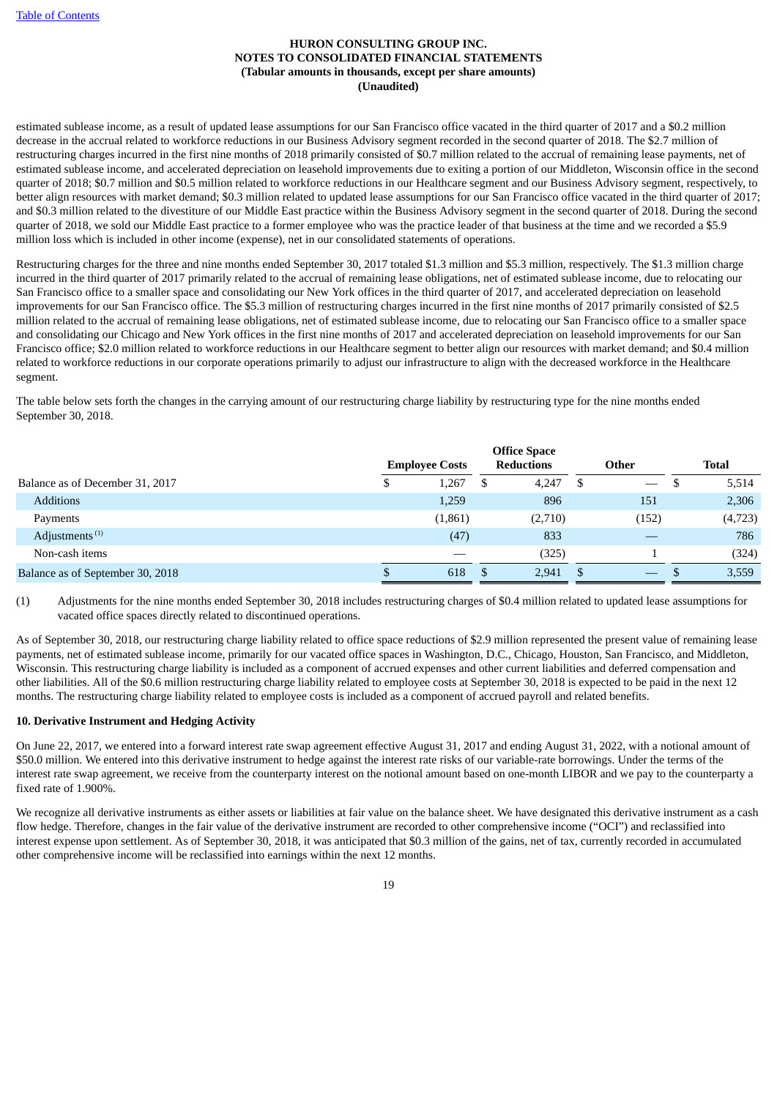estimated sublease income, as a result of updated lease assumptions for our San Francisco office vacated in the third quarter of 2017 and a \$0.2 million decrease in the accrual related to workforce reductions in our Business Advisory segment recorded in the second quarter of 2018. The \$2.7 million of restructuring charges incurred in the first nine months of 2018 primarily consisted of \$0.7 million related to the accrual of remaining lease payments, net of estimated sublease income, and accelerated depreciation on leasehold improvements due to exiting a portion of our Middleton, Wisconsin office in the second quarter of 2018; \$0.7 million and \$0.5 million related to workforce reductions in our Healthcare segment and our Business Advisory segment, respectively, to better align resources with market demand; \$0.3 million related to updated lease assumptions for our San Francisco office vacated in the third quarter of 2017; and \$0.3 million related to the divestiture of our Middle East practice within the Business Advisory segment in the second quarter of 2018. During the second quarter of 2018, we sold our Middle East practice to a former employee who was the practice leader of that business at the time and we recorded a \$5.9 million loss which is included in other income (expense), net in our consolidated statements of operations.

Restructuring charges for the three and nine months ended September 30, 2017 totaled \$1.3 million and \$5.3 million, respectively. The \$1.3 million charge incurred in the third quarter of 2017 primarily related to the accrual of remaining lease obligations, net of estimated sublease income, due to relocating our San Francisco office to a smaller space and consolidating our New York offices in the third quarter of 2017, and accelerated depreciation on leasehold improvements for our San Francisco office. The \$5.3 million of restructuring charges incurred in the first nine months of 2017 primarily consisted of \$2.5 million related to the accrual of remaining lease obligations, net of estimated sublease income, due to relocating our San Francisco office to a smaller space and consolidating our Chicago and New York offices in the first nine months of 2017 and accelerated depreciation on leasehold improvements for our San Francisco office; \$2.0 million related to workforce reductions in our Healthcare segment to better align our resources with market demand; and \$0.4 million related to workforce reductions in our corporate operations primarily to adjust our infrastructure to align with the decreased workforce in the Healthcare segment.

The table below sets forth the changes in the carrying amount of our restructuring charge liability by restructuring type for the nine months ended September 30, 2018.

|                                  | <b>Office Space</b><br><b>Reductions</b><br><b>Employee Costs</b> |          |   |         | Other | <b>Total</b> |          |
|----------------------------------|-------------------------------------------------------------------|----------|---|---------|-------|--------------|----------|
| Balance as of December 31, 2017  | \$                                                                | 1,267    |   | 4,247   |       |              | 5,514    |
| <b>Additions</b>                 |                                                                   | 1,259    |   | 896     |       | 151          | 2,306    |
| Payments                         |                                                                   | (1, 861) |   | (2,710) |       | (152)        | (4, 723) |
| Adjustments <sup>(1)</sup>       |                                                                   | (47)     |   | 833     |       |              | 786      |
| Non-cash items                   |                                                                   |          |   | (325)   |       |              | (324)    |
| Balance as of September 30, 2018 |                                                                   | 618      | S | 2,941   | - \$  |              | 3,559    |

(1) Adjustments for the nine months ended September 30, 2018 includes restructuring charges of \$0.4 million related to updated lease assumptions for vacated office spaces directly related to discontinued operations.

As of September 30, 2018, our restructuring charge liability related to office space reductions of \$2.9 million represented the present value of remaining lease payments, net of estimated sublease income, primarily for our vacated office spaces in Washington, D.C., Chicago, Houston, San Francisco, and Middleton, Wisconsin. This restructuring charge liability is included as a component of accrued expenses and other current liabilities and deferred compensation and other liabilities. All of the \$0.6 million restructuring charge liability related to employee costs at September 30, 2018 is expected to be paid in the next 12 months. The restructuring charge liability related to employee costs is included as a component of accrued payroll and related benefits.

## **10. Derivative Instrument and Hedging Activity**

On June 22, 2017, we entered into a forward interest rate swap agreement effective August 31, 2017 and ending August 31, 2022, with a notional amount of \$50.0 million. We entered into this derivative instrument to hedge against the interest rate risks of our variable-rate borrowings. Under the terms of the interest rate swap agreement, we receive from the counterparty interest on the notional amount based on one-month LIBOR and we pay to the counterparty a fixed rate of 1.900%.

We recognize all derivative instruments as either assets or liabilities at fair value on the balance sheet. We have designated this derivative instrument as a cash flow hedge. Therefore, changes in the fair value of the derivative instrument are recorded to other comprehensive income ("OCI") and reclassified into interest expense upon settlement. As of September 30, 2018, it was anticipated that \$0.3 million of the gains, net of tax, currently recorded in accumulated other comprehensive income will be reclassified into earnings within the next 12 months.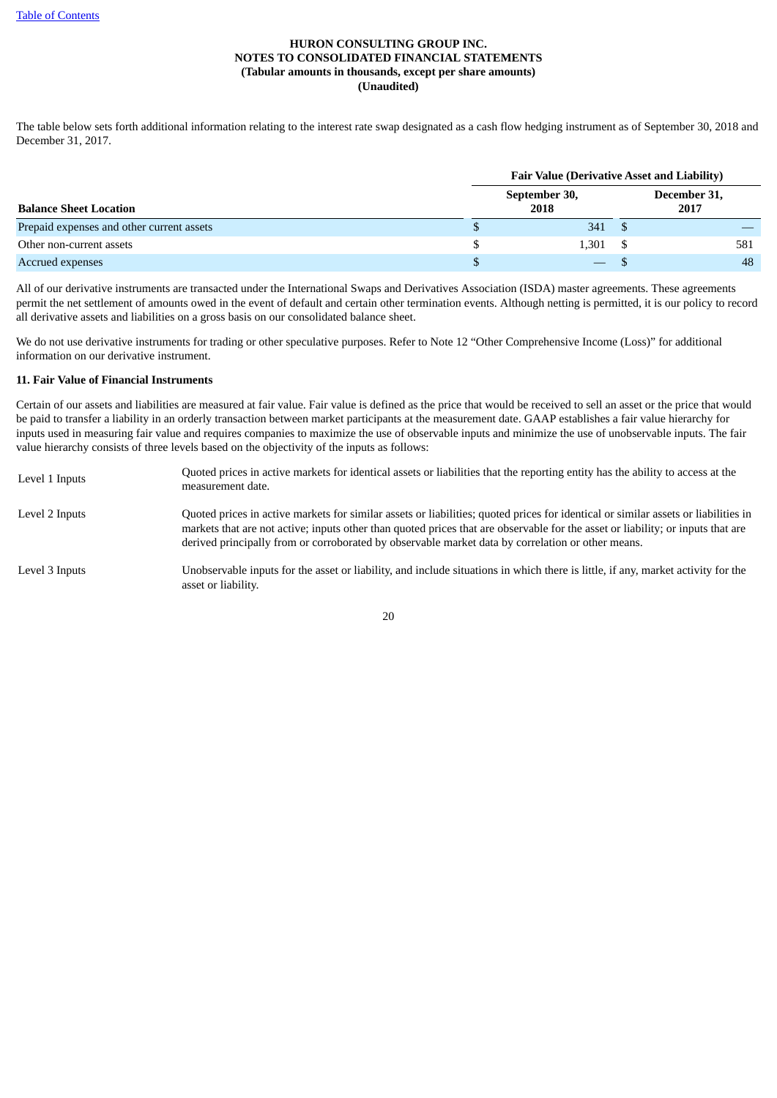The table below sets forth additional information relating to the interest rate swap designated as a cash flow hedging instrument as of September 30, 2018 and December 31, 2017.

|                                           | <b>Fair Value (Derivative Asset and Liability)</b> |                       |  |                      |  |  |  |  |  |
|-------------------------------------------|----------------------------------------------------|-----------------------|--|----------------------|--|--|--|--|--|
| <b>Balance Sheet Location</b>             |                                                    | September 30,<br>2018 |  | December 31,<br>2017 |  |  |  |  |  |
| Prepaid expenses and other current assets | P.                                                 | 341                   |  |                      |  |  |  |  |  |
| Other non-current assets                  | \$                                                 | 1,301                 |  | 581                  |  |  |  |  |  |
| Accrued expenses                          |                                                    |                       |  | 48                   |  |  |  |  |  |

All of our derivative instruments are transacted under the International Swaps and Derivatives Association (ISDA) master agreements. These agreements permit the net settlement of amounts owed in the event of default and certain other termination events. Although netting is permitted, it is our policy to record all derivative assets and liabilities on a gross basis on our consolidated balance sheet.

We do not use derivative instruments for trading or other speculative purposes. Refer to Note 12 "Other Comprehensive Income (Loss)" for additional information on our derivative instrument.

## **11. Fair Value of Financial Instruments**

Certain of our assets and liabilities are measured at fair value. Fair value is defined as the price that would be received to sell an asset or the price that would be paid to transfer a liability in an orderly transaction between market participants at the measurement date. GAAP establishes a fair value hierarchy for inputs used in measuring fair value and requires companies to maximize the use of observable inputs and minimize the use of unobservable inputs. The fair value hierarchy consists of three levels based on the objectivity of the inputs as follows:

| Level 1 Inputs | Quoted prices in active markets for identical assets or liabilities that the reporting entity has the ability to access at the<br>measurement date.                                                                                                                                                                                                                        |
|----------------|----------------------------------------------------------------------------------------------------------------------------------------------------------------------------------------------------------------------------------------------------------------------------------------------------------------------------------------------------------------------------|
| Level 2 Inputs | Quoted prices in active markets for similar assets or liabilities; quoted prices for identical or similar assets or liabilities in<br>markets that are not active; inputs other than quoted prices that are observable for the asset or liability; or inputs that are<br>derived principally from or corroborated by observable market data by correlation or other means. |
| Level 3 Inputs | Unobservable inputs for the asset or liability, and include situations in which there is little, if any, market activity for the<br>asset or liability.                                                                                                                                                                                                                    |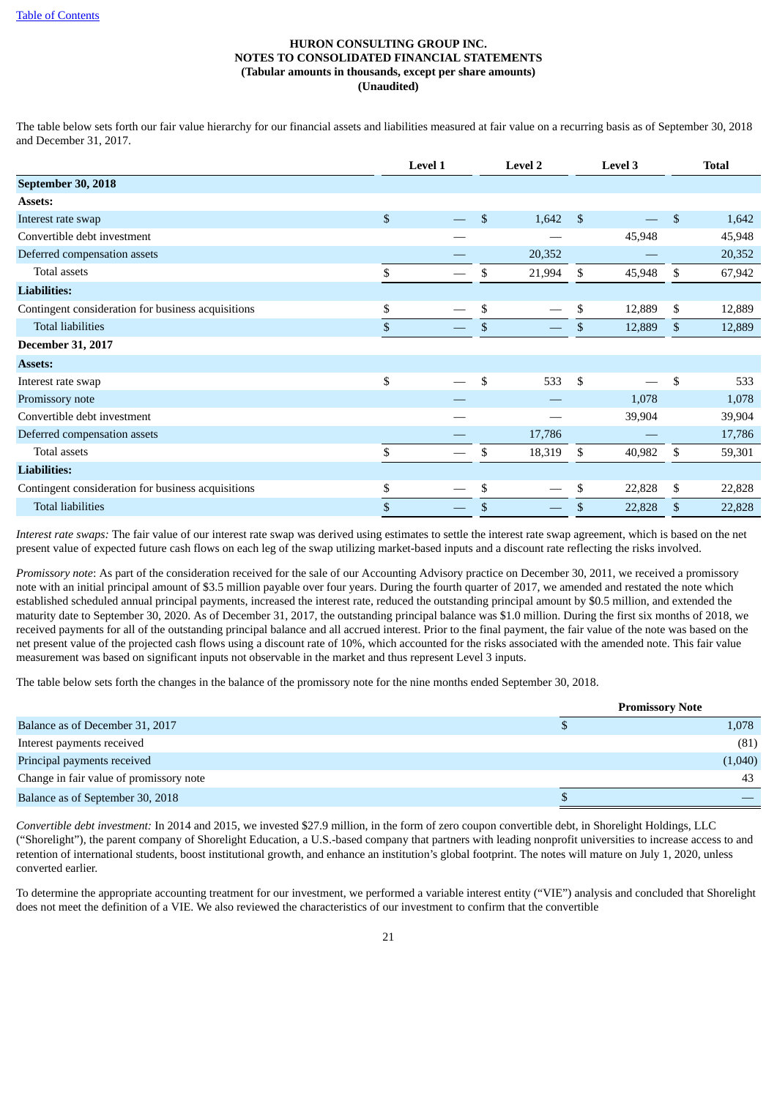The table below sets forth our fair value hierarchy for our financial assets and liabilities measured at fair value on a recurring basis as of September 30, 2018 and December 31, 2017.

|                                                    | <b>Level 1</b><br><b>Level 2</b> |                          |    | <b>Level 3</b> | <b>Total</b> |              |
|----------------------------------------------------|----------------------------------|--------------------------|----|----------------|--------------|--------------|
| <b>September 30, 2018</b>                          |                                  |                          |    |                |              |              |
| Assets:                                            |                                  |                          |    |                |              |              |
| Interest rate swap                                 | $\mathbb{S}$                     |                          | \$ | 1,642          | \$           | \$<br>1,642  |
| Convertible debt investment                        |                                  |                          |    |                | 45,948       | 45,948       |
| Deferred compensation assets                       |                                  |                          |    | 20,352         |              | 20,352       |
| Total assets                                       | \$                               |                          | \$ | 21,994         | \$<br>45,948 | \$<br>67,942 |
| <b>Liabilities:</b>                                |                                  |                          |    |                |              |              |
| Contingent consideration for business acquisitions | \$                               | $\overline{\phantom{0}}$ | \$ |                | \$<br>12,889 | \$<br>12,889 |
| <b>Total liabilities</b>                           | $\mathbf{\$}$                    |                          | \$ |                | \$<br>12,889 | \$<br>12,889 |
| <b>December 31, 2017</b>                           |                                  |                          |    |                |              |              |
| <b>Assets:</b>                                     |                                  |                          |    |                |              |              |
| Interest rate swap                                 | \$                               |                          | \$ | 533            | \$           | \$<br>533    |
| Promissory note                                    |                                  |                          |    |                | 1,078        | 1,078        |
| Convertible debt investment                        |                                  |                          |    |                | 39,904       | 39,904       |
| Deferred compensation assets                       |                                  |                          |    | 17,786         |              | 17,786       |
| Total assets                                       | \$                               |                          | \$ | 18,319         | \$<br>40,982 | \$<br>59,301 |
| <b>Liabilities:</b>                                |                                  |                          |    |                |              |              |
| Contingent consideration for business acquisitions | \$                               | $\overline{\phantom{0}}$ | \$ |                | 22,828       | \$<br>22,828 |
| <b>Total liabilities</b>                           | \$                               |                          | \$ |                | \$<br>22,828 | \$<br>22,828 |

*Interest rate swaps:* The fair value of our interest rate swap was derived using estimates to settle the interest rate swap agreement, which is based on the net present value of expected future cash flows on each leg of the swap utilizing market-based inputs and a discount rate reflecting the risks involved.

*Promissory note*: As part of the consideration received for the sale of our Accounting Advisory practice on December 30, 2011, we received a promissory note with an initial principal amount of \$3.5 million payable over four years. During the fourth quarter of 2017, we amended and restated the note which established scheduled annual principal payments, increased the interest rate, reduced the outstanding principal amount by \$0.5 million, and extended the maturity date to September 30, 2020. As of December 31, 2017, the outstanding principal balance was \$1.0 million. During the first six months of 2018, we received payments for all of the outstanding principal balance and all accrued interest. Prior to the final payment, the fair value of the note was based on the net present value of the projected cash flows using a discount rate of 10%, which accounted for the risks associated with the amended note. This fair value measurement was based on significant inputs not observable in the market and thus represent Level 3 inputs.

The table below sets forth the changes in the balance of the promissory note for the nine months ended September 30, 2018.

|                                         | <b>Promissory Note</b> |
|-----------------------------------------|------------------------|
| Balance as of December 31, 2017         | 1,078                  |
| Interest payments received              | (81)                   |
| Principal payments received             | (1,040)                |
| Change in fair value of promissory note | 43                     |
| Balance as of September 30, 2018        |                        |

*Convertible debt investment:* In 2014 and 2015, we invested \$27.9 million, in the form of zero coupon convertible debt, in Shorelight Holdings, LLC ("Shorelight"), the parent company of Shorelight Education, a U.S.-based company that partners with leading nonprofit universities to increase access to and retention of international students, boost institutional growth, and enhance an institution's global footprint. The notes will mature on July 1, 2020, unless converted earlier.

To determine the appropriate accounting treatment for our investment, we performed a variable interest entity ("VIE") analysis and concluded that Shorelight does not meet the definition of a VIE. We also reviewed the characteristics of our investment to confirm that the convertible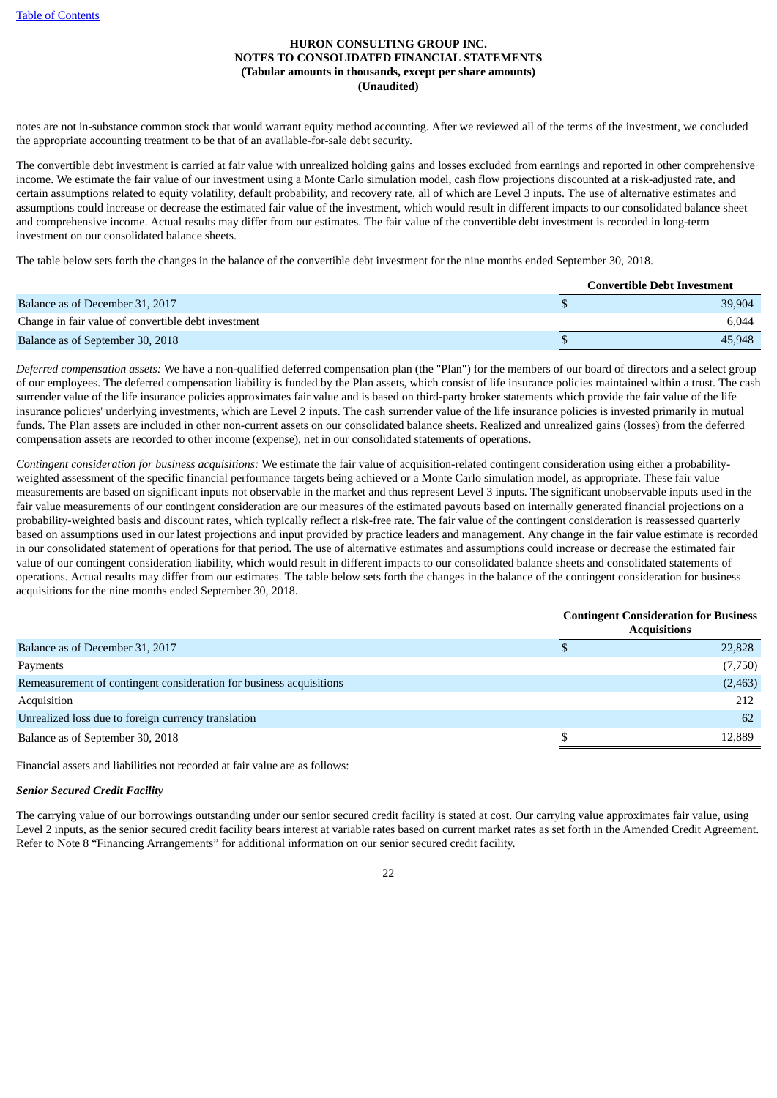notes are not in-substance common stock that would warrant equity method accounting. After we reviewed all of the terms of the investment, we concluded the appropriate accounting treatment to be that of an available-for-sale debt security.

The convertible debt investment is carried at fair value with unrealized holding gains and losses excluded from earnings and reported in other comprehensive income. We estimate the fair value of our investment using a Monte Carlo simulation model, cash flow projections discounted at a risk-adjusted rate, and certain assumptions related to equity volatility, default probability, and recovery rate, all of which are Level 3 inputs. The use of alternative estimates and assumptions could increase or decrease the estimated fair value of the investment, which would result in different impacts to our consolidated balance sheet and comprehensive income. Actual results may differ from our estimates. The fair value of the convertible debt investment is recorded in long-term investment on our consolidated balance sheets.

The table below sets forth the changes in the balance of the convertible debt investment for the nine months ended September 30, 2018.

|                                                     | <b>Convertible Debt Investment</b> |
|-----------------------------------------------------|------------------------------------|
| Balance as of December 31, 2017                     | 39,904                             |
| Change in fair value of convertible debt investment | 6.044                              |
| Balance as of September 30, 2018                    | 45,948                             |

*Deferred compensation assets:* We have a non-qualified deferred compensation plan (the "Plan") for the members of our board of directors and a select group of our employees. The deferred compensation liability is funded by the Plan assets, which consist of life insurance policies maintained within a trust. The cash surrender value of the life insurance policies approximates fair value and is based on third-party broker statements which provide the fair value of the life insurance policies' underlying investments, which are Level 2 inputs. The cash surrender value of the life insurance policies is invested primarily in mutual funds. The Plan assets are included in other non-current assets on our consolidated balance sheets. Realized and unrealized gains (losses) from the deferred compensation assets are recorded to other income (expense), net in our consolidated statements of operations.

*Contingent consideration for business acquisitions:* We estimate the fair value of acquisition-related contingent consideration using either a probabilityweighted assessment of the specific financial performance targets being achieved or a Monte Carlo simulation model, as appropriate. These fair value measurements are based on significant inputs not observable in the market and thus represent Level 3 inputs. The significant unobservable inputs used in the fair value measurements of our contingent consideration are our measures of the estimated payouts based on internally generated financial projections on a probability-weighted basis and discount rates, which typically reflect a risk-free rate. The fair value of the contingent consideration is reassessed quarterly based on assumptions used in our latest projections and input provided by practice leaders and management. Any change in the fair value estimate is recorded in our consolidated statement of operations for that period. The use of alternative estimates and assumptions could increase or decrease the estimated fair value of our contingent consideration liability, which would result in different impacts to our consolidated balance sheets and consolidated statements of operations. Actual results may differ from our estimates. The table below sets forth the changes in the balance of the contingent consideration for business acquisitions for the nine months ended September 30, 2018.

|                                                                     | <b>Contingent Consideration for Business</b><br><b>Acquisitions</b> |
|---------------------------------------------------------------------|---------------------------------------------------------------------|
| Balance as of December 31, 2017                                     | 22,828                                                              |
| Payments                                                            | (7,750)                                                             |
| Remeasurement of contingent consideration for business acquisitions | (2,463)                                                             |
| Acquisition                                                         | 212                                                                 |
| Unrealized loss due to foreign currency translation                 | 62                                                                  |
| Balance as of September 30, 2018                                    | 12.889                                                              |
|                                                                     |                                                                     |

Financial assets and liabilities not recorded at fair value are as follows:

## *Senior Secured Credit Facility*

The carrying value of our borrowings outstanding under our senior secured credit facility is stated at cost. Our carrying value approximates fair value, using Level 2 inputs, as the senior secured credit facility bears interest at variable rates based on current market rates as set forth in the Amended Credit Agreement. Refer to Note 8 "Financing Arrangements" for additional information on our senior secured credit facility.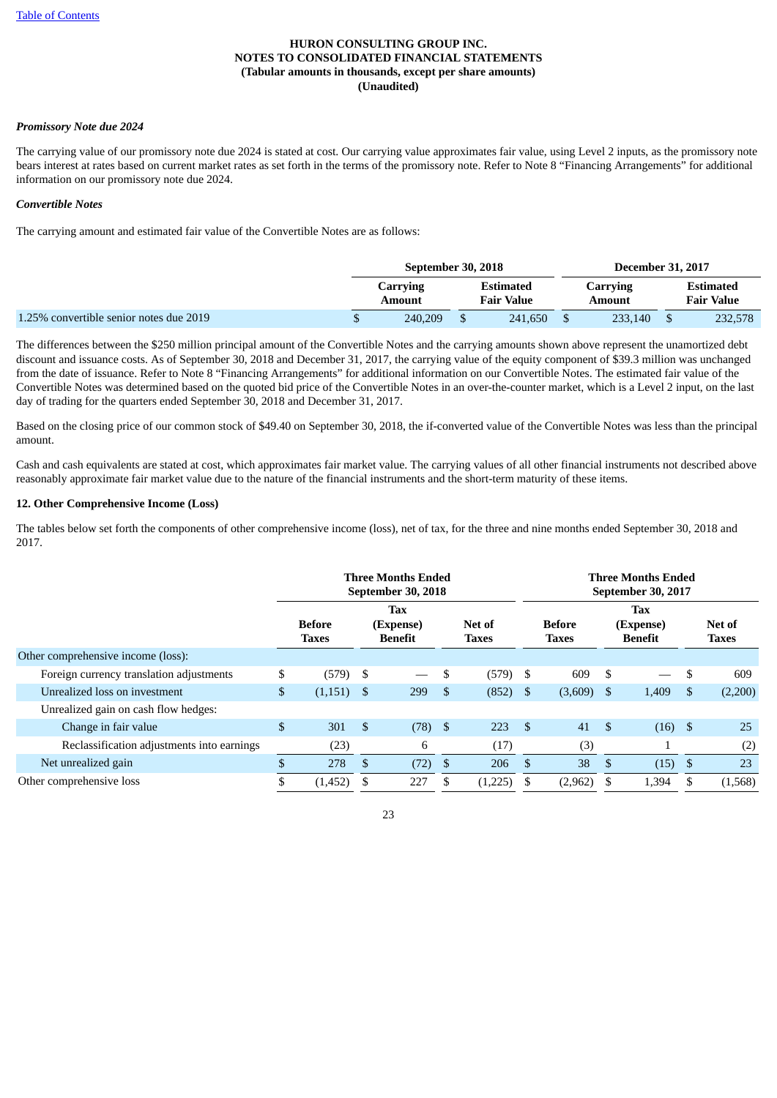### *Promissory Note due 2024*

The carrying value of our promissory note due 2024 is stated at cost. Our carrying value approximates fair value, using Level 2 inputs, as the promissory note bears interest at rates based on current market rates as set forth in the terms of the promissory note. Refer to Note 8 "Financing Arrangements" for additional information on our promissory note due 2024.

#### *Convertible Notes*

The carrying amount and estimated fair value of the Convertible Notes are as follows:

|                                         | September 30, 2018 |  | <b>December 31, 2017</b> |                    |                                |
|-----------------------------------------|--------------------|--|--------------------------|--------------------|--------------------------------|
|                                         | Carrying<br>Amount |  | Estimated<br>Fair Value  | Carrying<br>Amount | Estimated<br><b>Fair Value</b> |
| 1.25% convertible senior notes due 2019 | 240.209            |  | 241.650                  | 233,140            | 232,578                        |

The differences between the \$250 million principal amount of the Convertible Notes and the carrying amounts shown above represent the unamortized debt discount and issuance costs. As of September 30, 2018 and December 31, 2017, the carrying value of the equity component of \$39.3 million was unchanged from the date of issuance. Refer to Note 8 "Financing Arrangements" for additional information on our Convertible Notes. The estimated fair value of the Convertible Notes was determined based on the quoted bid price of the Convertible Notes in an over-the-counter market, which is a Level 2 input, on the last day of trading for the quarters ended September 30, 2018 and December 31, 2017.

Based on the closing price of our common stock of \$49.40 on September 30, 2018, the if-converted value of the Convertible Notes was less than the principal amount.

Cash and cash equivalents are stated at cost, which approximates fair market value. The carrying values of all other financial instruments not described above reasonably approximate fair market value due to the nature of the financial instruments and the short-term maturity of these items.

#### **12. Other Comprehensive Income (Loss)**

The tables below set forth the components of other comprehensive income (loss), net of tax, for the three and nine months ended September 30, 2018 and 2017.

|                                            | <b>Three Months Ended</b><br>September 30, 2018                                        |          |    |      |                               |            |                                    | <b>Three Months Ended</b><br>September 30, 2017 |                        |           |              |         |  |  |
|--------------------------------------------|----------------------------------------------------------------------------------------|----------|----|------|-------------------------------|------------|------------------------------------|-------------------------------------------------|------------------------|-----------|--------------|---------|--|--|
|                                            | Tax<br><b>Before</b><br>Net of<br>(Expense)<br><b>Taxes</b><br>Benefit<br><b>Taxes</b> |          |    |      | <b>Before</b><br><b>Taxes</b> |            | <b>Tax</b><br>(Expense)<br>Benefit |                                                 | Net of<br><b>Taxes</b> |           |              |         |  |  |
| Other comprehensive income (loss):         |                                                                                        |          |    |      |                               |            |                                    |                                                 |                        |           |              |         |  |  |
| Foreign currency translation adjustments   | \$                                                                                     | (579)    | \$ |      | \$                            | $(579)$ \$ |                                    | 609                                             | \$                     |           | - \$         | 609     |  |  |
| Unrealized loss on investment              | \$                                                                                     | (1,151)  | -S | 299  | <sup>\$</sup>                 | (852)      | - \$                               | (3,609)                                         | - \$                   | 1,409     | <sup>S</sup> | (2,200) |  |  |
| Unrealized gain on cash flow hedges:       |                                                                                        |          |    |      |                               |            |                                    |                                                 |                        |           |              |         |  |  |
| Change in fair value                       | $\mathbb{S}$                                                                           | 301      | \$ | (78) | -\$                           | 223        | -\$                                | 41                                              | - \$                   | $(16)$ \$ |              | 25      |  |  |
| Reclassification adjustments into earnings |                                                                                        | (23)     |    | 6    |                               | (17)       |                                    | (3)                                             |                        |           |              | (2)     |  |  |
| Net unrealized gain                        |                                                                                        | 278      | \$ | (72) | \$                            | 206        | <sup>\$</sup>                      | 38                                              | <sup>\$</sup>          | (15)      | - \$         | 23      |  |  |
| Other comprehensive loss                   |                                                                                        | (1, 452) | S  | 227  |                               | (1,225)    |                                    | (2,962)                                         | -S                     | 1,394     |              | (1,568) |  |  |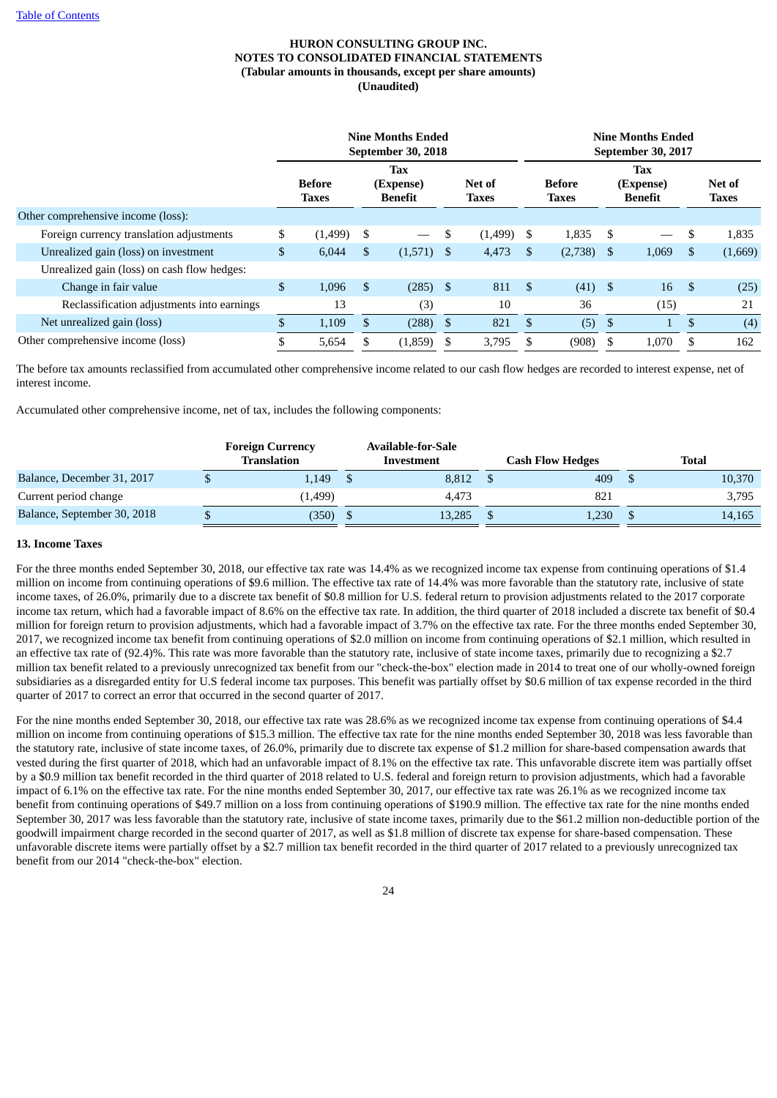|                                             |                                                                                                      |          | <b>Nine Months Ended</b><br>September 30, 2018 |            |                               | <b>Nine Months Ended</b><br>September 30, 2017 |                             |           |                        |                          |              |         |
|---------------------------------------------|------------------------------------------------------------------------------------------------------|----------|------------------------------------------------|------------|-------------------------------|------------------------------------------------|-----------------------------|-----------|------------------------|--------------------------|--------------|---------|
|                                             | <b>Tax</b><br><b>Before</b><br>Net of<br>(Expense)<br><b>Benefit</b><br><b>Taxes</b><br><b>Taxes</b> |          |                                                |            | <b>Before</b><br><b>Taxes</b> |                                                | Tax<br>(Expense)<br>Benefit |           | Net of<br><b>Taxes</b> |                          |              |         |
| Other comprehensive income (loss):          |                                                                                                      |          |                                                |            |                               |                                                |                             |           |                        |                          |              |         |
| Foreign currency translation adjustments    | \$                                                                                                   | (1, 499) | \$                                             |            | \$                            | (1,499)                                        | - \$                        | 1,835     | - \$                   | $\overline{\phantom{0}}$ | \$           | 1,835   |
| Unrealized gain (loss) on investment        | \$                                                                                                   | 6,044    | \$.                                            | (1,571)    | - \$                          | 4,473                                          | S                           | (2,738)   | - \$                   | 1,069                    | \$.          | (1,669) |
| Unrealized gain (loss) on cash flow hedges: |                                                                                                      |          |                                                |            |                               |                                                |                             |           |                        |                          |              |         |
| Change in fair value                        | $\mathfrak{S}$                                                                                       | 1,096    | \$                                             | $(285)$ \$ |                               | 811                                            | \$                          | $(41)$ \$ |                        | 16                       | $\sqrt{S}$   | (25)    |
| Reclassification adjustments into earnings  |                                                                                                      | 13       |                                                | (3)        |                               | 10                                             |                             | 36        |                        | (15)                     |              | 21      |
| Net unrealized gain (loss)                  | \$.                                                                                                  | 1,109    | \$                                             | (288)      | \$                            | 821                                            | \$                          | (5)       | \$                     |                          | $\mathbf{s}$ | (4)     |
| Other comprehensive income (loss)           | \$.                                                                                                  | 5,654    |                                                | (1,859)    | -S                            | 3.795                                          |                             | (908)     | - \$                   | 1,070                    | \$.          | 162     |

The before tax amounts reclassified from accumulated other comprehensive income related to our cash flow hedges are recorded to interest expense, net of interest income.

Accumulated other comprehensive income, net of tax, includes the following components:

|                             | <b>Foreign Currency</b><br><b>Translation</b> | <b>Available-for-Sale</b><br>Investment | <b>Cash Flow Hedges</b> | <b>Total</b> |
|-----------------------------|-----------------------------------------------|-----------------------------------------|-------------------------|--------------|
| Balance, December 31, 2017  | 1.149                                         | 8,812                                   | 409                     | 10,370       |
| Current period change       | (1, 499)                                      | 4.473                                   | 821                     | 3,795        |
| Balance, September 30, 2018 | (350)                                         | 13,285                                  | 1,230                   | 14,165       |

## **13. Income Taxes**

For the three months ended September 30, 2018, our effective tax rate was 14.4% as we recognized income tax expense from continuing operations of \$1.4 million on income from continuing operations of \$9.6 million. The effective tax rate of 14.4% was more favorable than the statutory rate, inclusive of state income taxes, of 26.0%, primarily due to a discrete tax benefit of \$0.8 million for U.S. federal return to provision adjustments related to the 2017 corporate income tax return, which had a favorable impact of 8.6% on the effective tax rate. In addition, the third quarter of 2018 included a discrete tax benefit of \$0.4 million for foreign return to provision adjustments, which had a favorable impact of 3.7% on the effective tax rate. For the three months ended September 30, 2017, we recognized income tax benefit from continuing operations of \$2.0 million on income from continuing operations of \$2.1 million, which resulted in an effective tax rate of (92.4)%. This rate was more favorable than the statutory rate, inclusive of state income taxes, primarily due to recognizing a \$2.7 million tax benefit related to a previously unrecognized tax benefit from our "check-the-box" election made in 2014 to treat one of our wholly-owned foreign subsidiaries as a disregarded entity for U.S federal income tax purposes. This benefit was partially offset by \$0.6 million of tax expense recorded in the third quarter of 2017 to correct an error that occurred in the second quarter of 2017.

For the nine months ended September 30, 2018, our effective tax rate was 28.6% as we recognized income tax expense from continuing operations of \$4.4 million on income from continuing operations of \$15.3 million. The effective tax rate for the nine months ended September 30, 2018 was less favorable than the statutory rate, inclusive of state income taxes, of 26.0%, primarily due to discrete tax expense of \$1.2 million for share-based compensation awards that vested during the first quarter of 2018, which had an unfavorable impact of 8.1% on the effective tax rate. This unfavorable discrete item was partially offset by a \$0.9 million tax benefit recorded in the third quarter of 2018 related to U.S. federal and foreign return to provision adjustments, which had a favorable impact of 6.1% on the effective tax rate. For the nine months ended September 30, 2017, our effective tax rate was 26.1% as we recognized income tax benefit from continuing operations of \$49.7 million on a loss from continuing operations of \$190.9 million. The effective tax rate for the nine months ended September 30, 2017 was less favorable than the statutory rate, inclusive of state income taxes, primarily due to the \$61.2 million non-deductible portion of the goodwill impairment charge recorded in the second quarter of 2017, as well as \$1.8 million of discrete tax expense for share-based compensation. These unfavorable discrete items were partially offset by a \$2.7 million tax benefit recorded in the third quarter of 2017 related to a previously unrecognized tax benefit from our 2014 "check-the-box" election.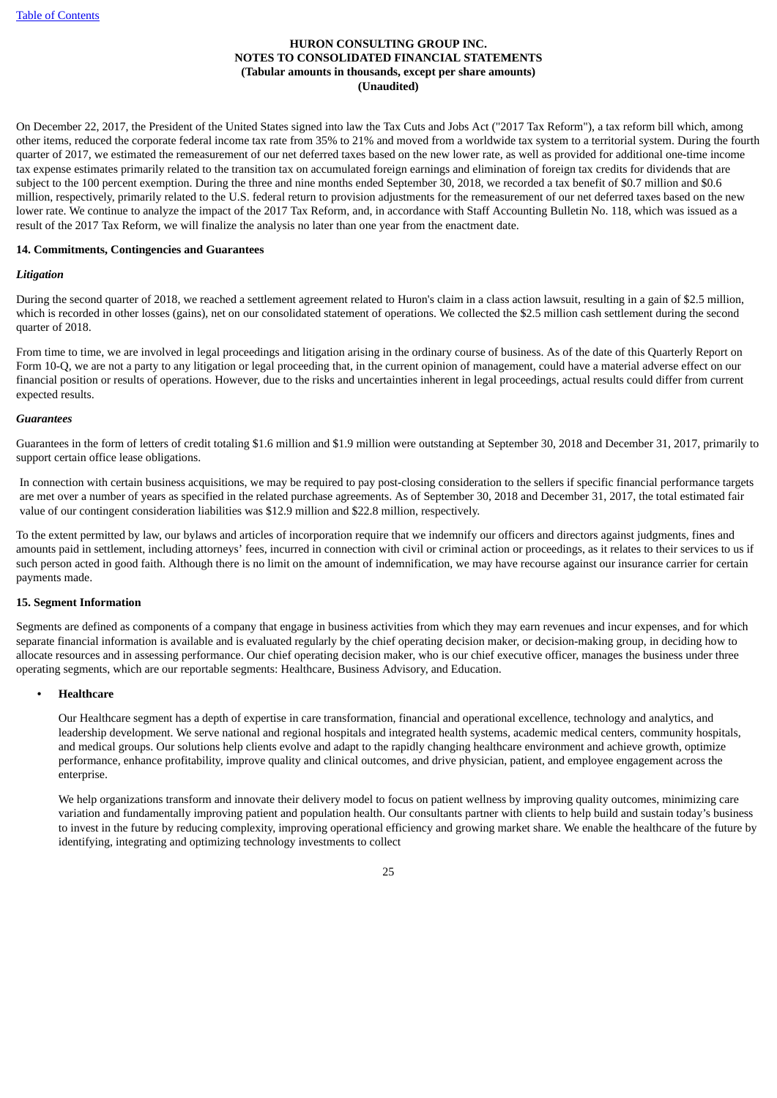On December 22, 2017, the President of the United States signed into law the Tax Cuts and Jobs Act ("2017 Tax Reform"), a tax reform bill which, among other items, reduced the corporate federal income tax rate from 35% to 21% and moved from a worldwide tax system to a territorial system. During the fourth quarter of 2017, we estimated the remeasurement of our net deferred taxes based on the new lower rate, as well as provided for additional one-time income tax expense estimates primarily related to the transition tax on accumulated foreign earnings and elimination of foreign tax credits for dividends that are subject to the 100 percent exemption. During the three and nine months ended September 30, 2018, we recorded a tax benefit of \$0.7 million and \$0.6 million, respectively, primarily related to the U.S. federal return to provision adjustments for the remeasurement of our net deferred taxes based on the new lower rate. We continue to analyze the impact of the 2017 Tax Reform, and, in accordance with Staff Accounting Bulletin No. 118, which was issued as a result of the 2017 Tax Reform, we will finalize the analysis no later than one year from the enactment date.

## **14. Commitments, Contingencies and Guarantees**

#### *Litigation*

During the second quarter of 2018, we reached a settlement agreement related to Huron's claim in a class action lawsuit, resulting in a gain of \$2.5 million, which is recorded in other losses (gains), net on our consolidated statement of operations. We collected the \$2.5 million cash settlement during the second quarter of 2018.

From time to time, we are involved in legal proceedings and litigation arising in the ordinary course of business. As of the date of this Quarterly Report on Form 10-Q, we are not a party to any litigation or legal proceeding that, in the current opinion of management, could have a material adverse effect on our financial position or results of operations. However, due to the risks and uncertainties inherent in legal proceedings, actual results could differ from current expected results.

#### *Guarantees*

Guarantees in the form of letters of credit totaling \$1.6 million and \$1.9 million were outstanding at September 30, 2018 and December 31, 2017, primarily to support certain office lease obligations.

In connection with certain business acquisitions, we may be required to pay post-closing consideration to the sellers if specific financial performance targets are met over a number of years as specified in the related purchase agreements. As of September 30, 2018 and December 31, 2017, the total estimated fair value of our contingent consideration liabilities was \$12.9 million and \$22.8 million, respectively.

To the extent permitted by law, our bylaws and articles of incorporation require that we indemnify our officers and directors against judgments, fines and amounts paid in settlement, including attorneys' fees, incurred in connection with civil or criminal action or proceedings, as it relates to their services to us if such person acted in good faith. Although there is no limit on the amount of indemnification, we may have recourse against our insurance carrier for certain payments made.

## **15. Segment Information**

Segments are defined as components of a company that engage in business activities from which they may earn revenues and incur expenses, and for which separate financial information is available and is evaluated regularly by the chief operating decision maker, or decision-making group, in deciding how to allocate resources and in assessing performance. Our chief operating decision maker, who is our chief executive officer, manages the business under three operating segments, which are our reportable segments: Healthcare, Business Advisory, and Education.

## **• Healthcare**

Our Healthcare segment has a depth of expertise in care transformation, financial and operational excellence, technology and analytics, and leadership development. We serve national and regional hospitals and integrated health systems, academic medical centers, community hospitals, and medical groups. Our solutions help clients evolve and adapt to the rapidly changing healthcare environment and achieve growth, optimize performance, enhance profitability, improve quality and clinical outcomes, and drive physician, patient, and employee engagement across the enterprise.

We help organizations transform and innovate their delivery model to focus on patient wellness by improving quality outcomes, minimizing care variation and fundamentally improving patient and population health. Our consultants partner with clients to help build and sustain today's business to invest in the future by reducing complexity, improving operational efficiency and growing market share. We enable the healthcare of the future by identifying, integrating and optimizing technology investments to collect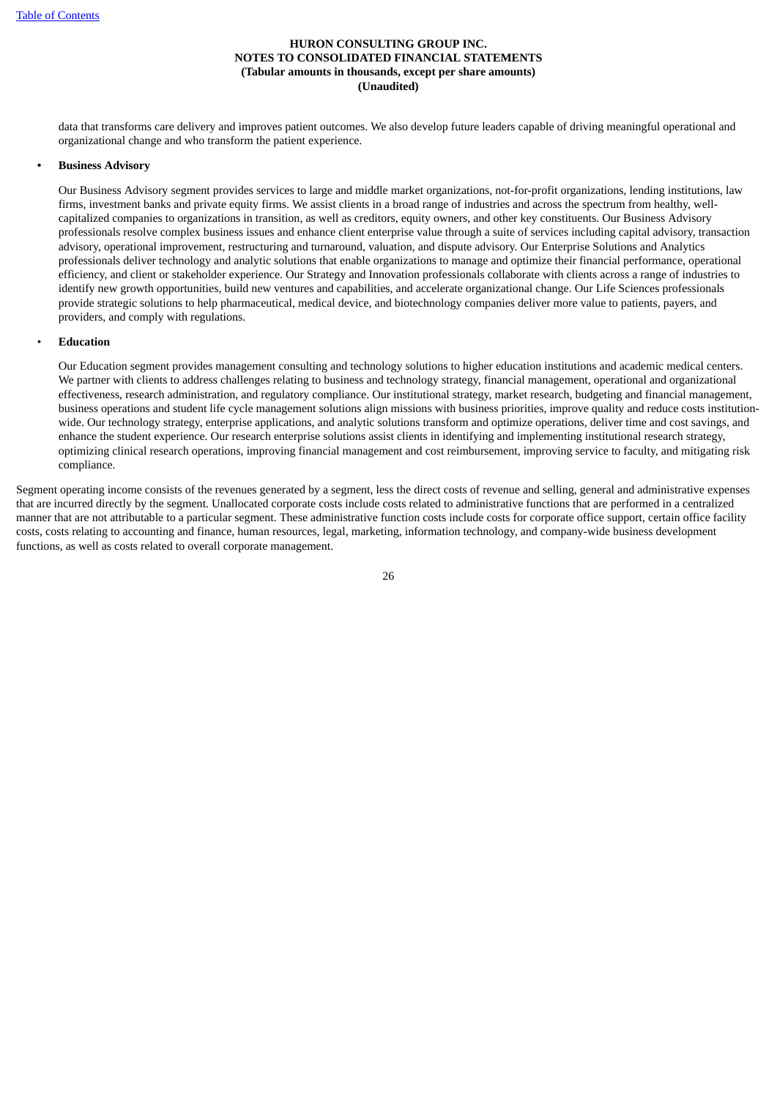data that transforms care delivery and improves patient outcomes. We also develop future leaders capable of driving meaningful operational and organizational change and who transform the patient experience.

#### **• Business Advisory**

Our Business Advisory segment provides services to large and middle market organizations, not-for-profit organizations, lending institutions, law firms, investment banks and private equity firms. We assist clients in a broad range of industries and across the spectrum from healthy, wellcapitalized companies to organizations in transition, as well as creditors, equity owners, and other key constituents. Our Business Advisory professionals resolve complex business issues and enhance client enterprise value through a suite of services including capital advisory, transaction advisory, operational improvement, restructuring and turnaround, valuation, and dispute advisory. Our Enterprise Solutions and Analytics professionals deliver technology and analytic solutions that enable organizations to manage and optimize their financial performance, operational efficiency, and client or stakeholder experience. Our Strategy and Innovation professionals collaborate with clients across a range of industries to identify new growth opportunities, build new ventures and capabilities, and accelerate organizational change. Our Life Sciences professionals provide strategic solutions to help pharmaceutical, medical device, and biotechnology companies deliver more value to patients, payers, and providers, and comply with regulations.

#### • **Education**

Our Education segment provides management consulting and technology solutions to higher education institutions and academic medical centers. We partner with clients to address challenges relating to business and technology strategy, financial management, operational and organizational effectiveness, research administration, and regulatory compliance. Our institutional strategy, market research, budgeting and financial management, business operations and student life cycle management solutions align missions with business priorities, improve quality and reduce costs institutionwide. Our technology strategy, enterprise applications, and analytic solutions transform and optimize operations, deliver time and cost savings, and enhance the student experience. Our research enterprise solutions assist clients in identifying and implementing institutional research strategy, optimizing clinical research operations, improving financial management and cost reimbursement, improving service to faculty, and mitigating risk compliance.

Segment operating income consists of the revenues generated by a segment, less the direct costs of revenue and selling, general and administrative expenses that are incurred directly by the segment. Unallocated corporate costs include costs related to administrative functions that are performed in a centralized manner that are not attributable to a particular segment. These administrative function costs include costs for corporate office support, certain office facility costs, costs relating to accounting and finance, human resources, legal, marketing, information technology, and company-wide business development functions, as well as costs related to overall corporate management.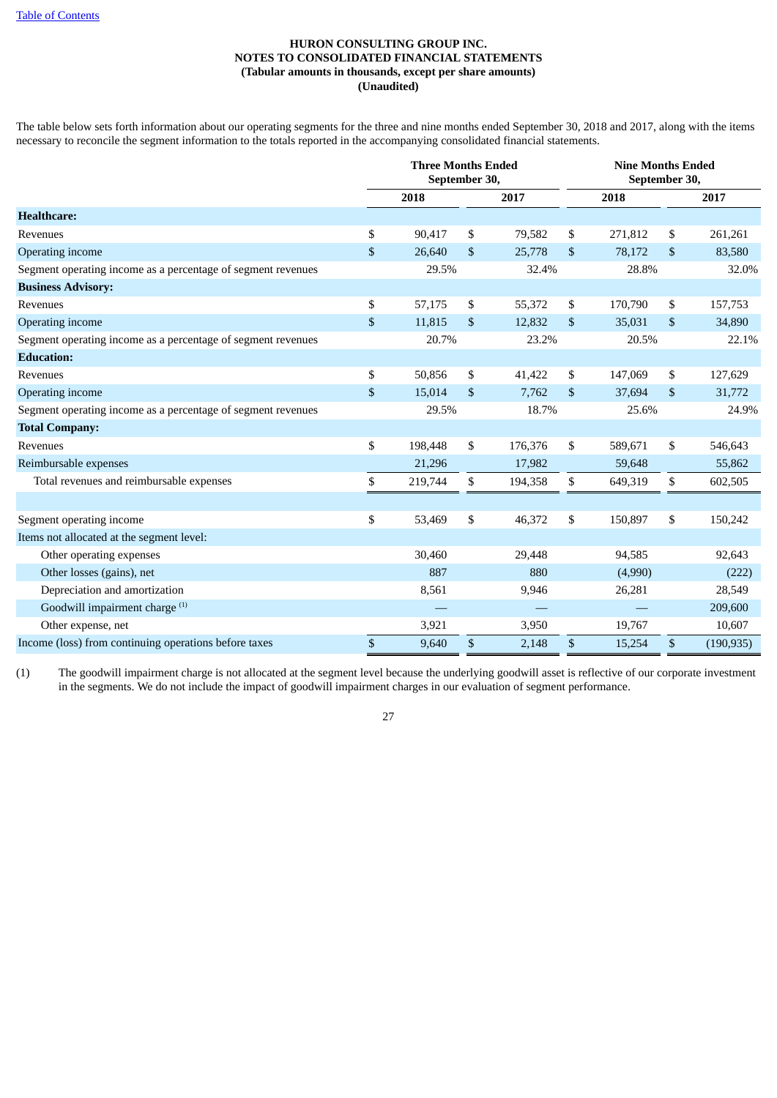The table below sets forth information about our operating segments for the three and nine months ended September 30, 2018 and 2017, along with the items necessary to reconcile the segment information to the totals reported in the accompanying consolidated financial statements.

|                                                              | <b>Three Months Ended</b><br>September 30, |               |      | <b>Nine Months Ended</b><br>September 30, |              |            |  |
|--------------------------------------------------------------|--------------------------------------------|---------------|------|-------------------------------------------|--------------|------------|--|
|                                                              | 2018                                       | 2017          |      | 2018                                      |              | 2017       |  |
| <b>Healthcare:</b>                                           |                                            |               |      |                                           |              |            |  |
| Revenues                                                     | \$<br>90,417                               | \$<br>79,582  | \$   | 271,812                                   | \$           | 261,261    |  |
| Operating income                                             | \$<br>26,640                               | \$<br>25,778  | \$   | 78,172                                    | \$           | 83,580     |  |
| Segment operating income as a percentage of segment revenues | 29.5%                                      | 32.4%         |      | 28.8%                                     |              | 32.0%      |  |
| <b>Business Advisory:</b>                                    |                                            |               |      |                                           |              |            |  |
| Revenues                                                     | \$<br>57,175                               | \$<br>55,372  | \$   | 170,790                                   | \$           | 157,753    |  |
| Operating income                                             | \$<br>11,815                               | \$<br>12,832  | \$   | 35,031                                    | \$           | 34,890     |  |
| Segment operating income as a percentage of segment revenues | 20.7%                                      | 23.2%         |      | 20.5%                                     |              | 22.1%      |  |
| <b>Education:</b>                                            |                                            |               |      |                                           |              |            |  |
| Revenues                                                     | \$<br>50,856                               | \$<br>41,422  | \$   | 147,069                                   | \$           | 127,629    |  |
| Operating income                                             | \$<br>15,014                               | \$<br>7,762   | \$   | 37,694                                    | \$           | 31,772     |  |
| Segment operating income as a percentage of segment revenues | 29.5%                                      | 18.7%         |      | 25.6%                                     |              | 24.9%      |  |
| <b>Total Company:</b>                                        |                                            |               |      |                                           |              |            |  |
| Revenues                                                     | \$<br>198,448                              | \$<br>176,376 | \$   | 589,671                                   | \$           | 546,643    |  |
| Reimbursable expenses                                        | 21,296                                     | 17,982        |      | 59,648                                    |              | 55,862     |  |
| Total revenues and reimbursable expenses                     | \$<br>219,744                              | \$<br>194,358 | \$   | 649,319                                   | \$           | 602,505    |  |
|                                                              |                                            |               |      |                                           |              |            |  |
| Segment operating income                                     | \$<br>53,469                               | \$<br>46,372  | \$   | 150,897                                   | \$           | 150,242    |  |
| Items not allocated at the segment level:                    |                                            |               |      |                                           |              |            |  |
| Other operating expenses                                     | 30,460                                     | 29,448        |      | 94,585                                    |              | 92,643     |  |
| Other losses (gains), net                                    | 887                                        | 880           |      | (4,990)                                   |              | (222)      |  |
| Depreciation and amortization                                | 8,561                                      | 9,946         |      | 26,281                                    |              | 28,549     |  |
| Goodwill impairment charge <sup>(1)</sup>                    |                                            |               |      |                                           |              | 209,600    |  |
| Other expense, net                                           | 3,921                                      | 3,950         |      | 19,767                                    |              | 10,607     |  |
| Income (loss) from continuing operations before taxes        | \$<br>9,640                                | \$<br>2,148   | $\$$ | 15,254                                    | $\mathbb{S}$ | (190, 935) |  |

(1) The goodwill impairment charge is not allocated at the segment level because the underlying goodwill asset is reflective of our corporate investment in the segments. We do not include the impact of goodwill impairment charges in our evaluation of segment performance.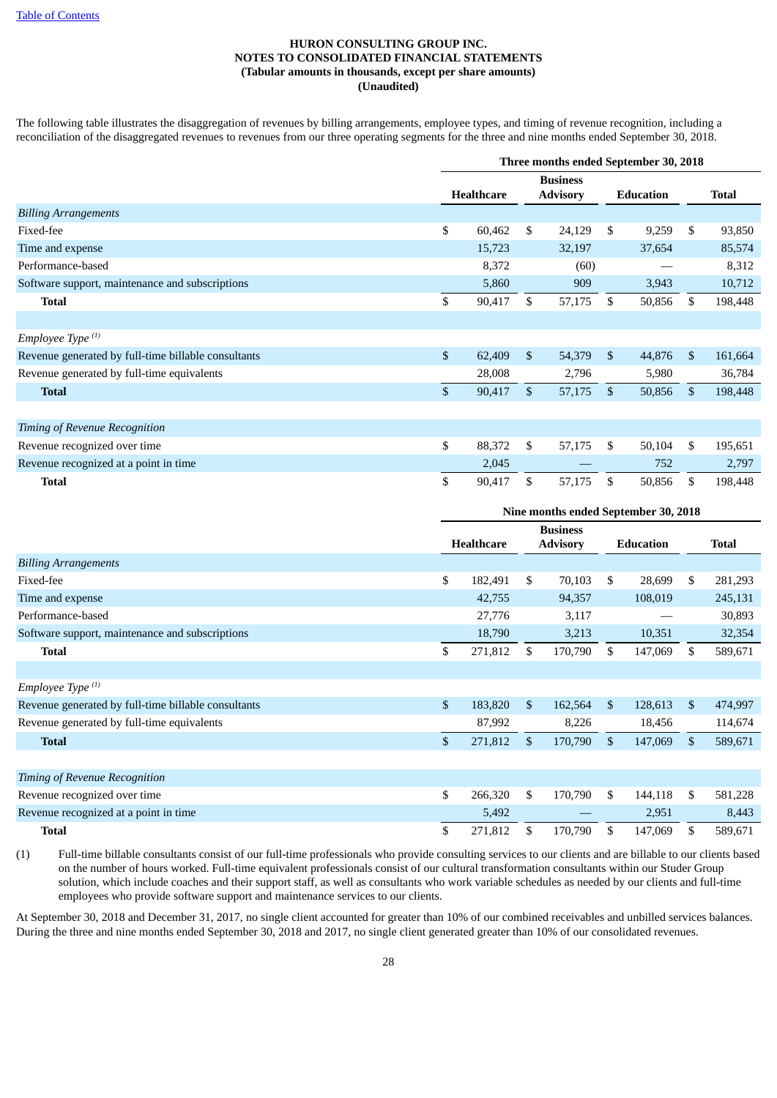The following table illustrates the disaggregation of revenues by billing arrangements, employee types, and timing of revenue recognition, including a reconciliation of the disaggregated revenues to revenues from our three operating segments for the three and nine months ended September 30, 2018.

|                                                     | Three months ended September 30, 2018                                       |        |                |        |                    |        |              |         |  |  |
|-----------------------------------------------------|-----------------------------------------------------------------------------|--------|----------------|--------|--------------------|--------|--------------|---------|--|--|
|                                                     | <b>Business</b><br><b>Healthcare</b><br><b>Advisory</b><br><b>Education</b> |        |                |        | <b>Total</b>       |        |              |         |  |  |
| <b>Billing Arrangements</b>                         |                                                                             |        |                |        |                    |        |              |         |  |  |
| Fixed-fee                                           | \$                                                                          | 60,462 | \$             | 24,129 | \$                 | 9,259  | \$           | 93,850  |  |  |
| Time and expense                                    |                                                                             | 15,723 |                | 32,197 |                    | 37,654 |              | 85,574  |  |  |
| Performance-based                                   |                                                                             | 8,372  |                | (60)   |                    |        |              | 8,312   |  |  |
| Software support, maintenance and subscriptions     |                                                                             | 5,860  |                | 909    |                    | 3,943  |              | 10,712  |  |  |
| <b>Total</b>                                        | \$                                                                          | 90,417 | \$             | 57,175 | S.                 | 50,856 | -S           | 198,448 |  |  |
|                                                     |                                                                             |        |                |        |                    |        |              |         |  |  |
| Employee Type <sup>(1)</sup>                        |                                                                             |        |                |        |                    |        |              |         |  |  |
| Revenue generated by full-time billable consultants | \$                                                                          | 62,409 | $\mathfrak{S}$ | 54,379 | $\mathbf{s}$       | 44,876 | $\mathbb{S}$ | 161,664 |  |  |
| Revenue generated by full-time equivalents          |                                                                             | 28,008 |                | 2,796  |                    | 5,980  |              | 36,784  |  |  |
| <b>Total</b>                                        | $\mathbb{S}$                                                                | 90,417 | $\mathbb{S}$   | 57,175 | $\mathbf{\hat{S}}$ | 50,856 | $\mathbb{S}$ | 198,448 |  |  |
|                                                     |                                                                             |        |                |        |                    |        |              |         |  |  |
| Timing of Revenue Recognition                       |                                                                             |        |                |        |                    |        |              |         |  |  |
| Revenue recognized over time                        | \$                                                                          | 88,372 | \$             | 57,175 | \$                 | 50,104 | \$           | 195,651 |  |  |
| Revenue recognized at a point in time               |                                                                             | 2,045  |                |        |                    | 752    |              | 2,797   |  |  |
| Total                                               | \$                                                                          | 90,417 | \$             | 57,175 | \$                 | 50,856 | \$           | 198,448 |  |  |

|                                                     |                | Nine months ended September 30, 2018 |     |                                    |              |                  |                |              |  |  |  |  |
|-----------------------------------------------------|----------------|--------------------------------------|-----|------------------------------------|--------------|------------------|----------------|--------------|--|--|--|--|
|                                                     |                | <b>Healthcare</b>                    |     | <b>Business</b><br><b>Advisory</b> |              | <b>Education</b> |                | <b>Total</b> |  |  |  |  |
| <b>Billing Arrangements</b>                         |                |                                      |     |                                    |              |                  |                |              |  |  |  |  |
| Fixed-fee                                           | \$             | 182,491                              | \$  | 70,103                             | \$           | 28,699           | \$             | 281,293      |  |  |  |  |
| Time and expense                                    |                | 42,755                               |     | 94,357                             |              | 108,019          |                | 245,131      |  |  |  |  |
| Performance-based                                   |                | 27,776                               |     | 3,117                              |              |                  |                | 30,893       |  |  |  |  |
| Software support, maintenance and subscriptions     |                | 18,790                               |     | 3,213                              |              | 10,351           |                | 32,354       |  |  |  |  |
| <b>Total</b>                                        | \$             | 271,812                              | \$  | 170,790                            | \$           | 147,069          | \$             | 589,671      |  |  |  |  |
|                                                     |                |                                      |     |                                    |              |                  |                |              |  |  |  |  |
| Employee Type $(1)$                                 |                |                                      |     |                                    |              |                  |                |              |  |  |  |  |
| Revenue generated by full-time billable consultants | $\mathfrak{S}$ | 183,820                              | \$  | 162,564                            | $\mathbb{S}$ | 128,613          | $\mathfrak{S}$ | 474,997      |  |  |  |  |
| Revenue generated by full-time equivalents          |                | 87,992                               |     | 8,226                              |              | 18,456           |                | 114,674      |  |  |  |  |
| <b>Total</b>                                        | \$             | 271,812                              | \$  | 170,790                            | \$.          | 147,069          | \$.            | 589,671      |  |  |  |  |
|                                                     |                |                                      |     |                                    |              |                  |                |              |  |  |  |  |
| Timing of Revenue Recognition                       |                |                                      |     |                                    |              |                  |                |              |  |  |  |  |
| Revenue recognized over time                        | \$             | 266,320                              | \$. | 170,790                            | \$           | 144,118          | \$             | 581,228      |  |  |  |  |
| Revenue recognized at a point in time               |                | 5,492                                |     |                                    |              | 2,951            |                | 8,443        |  |  |  |  |
| Total                                               | \$             | 271,812                              | \$  | 170,790                            | \$           | 147,069          | \$             | 589,671      |  |  |  |  |

(1) Full-time billable consultants consist of our full-time professionals who provide consulting services to our clients and are billable to our clients based on the number of hours worked. Full-time equivalent professionals consist of our cultural transformation consultants within our Studer Group solution, which include coaches and their support staff, as well as consultants who work variable schedules as needed by our clients and full-time employees who provide software support and maintenance services to our clients.

At September 30, 2018 and December 31, 2017, no single client accounted for greater than 10% of our combined receivables and unbilled services balances. During the three and nine months ended September 30, 2018 and 2017, no single client generated greater than 10% of our consolidated revenues.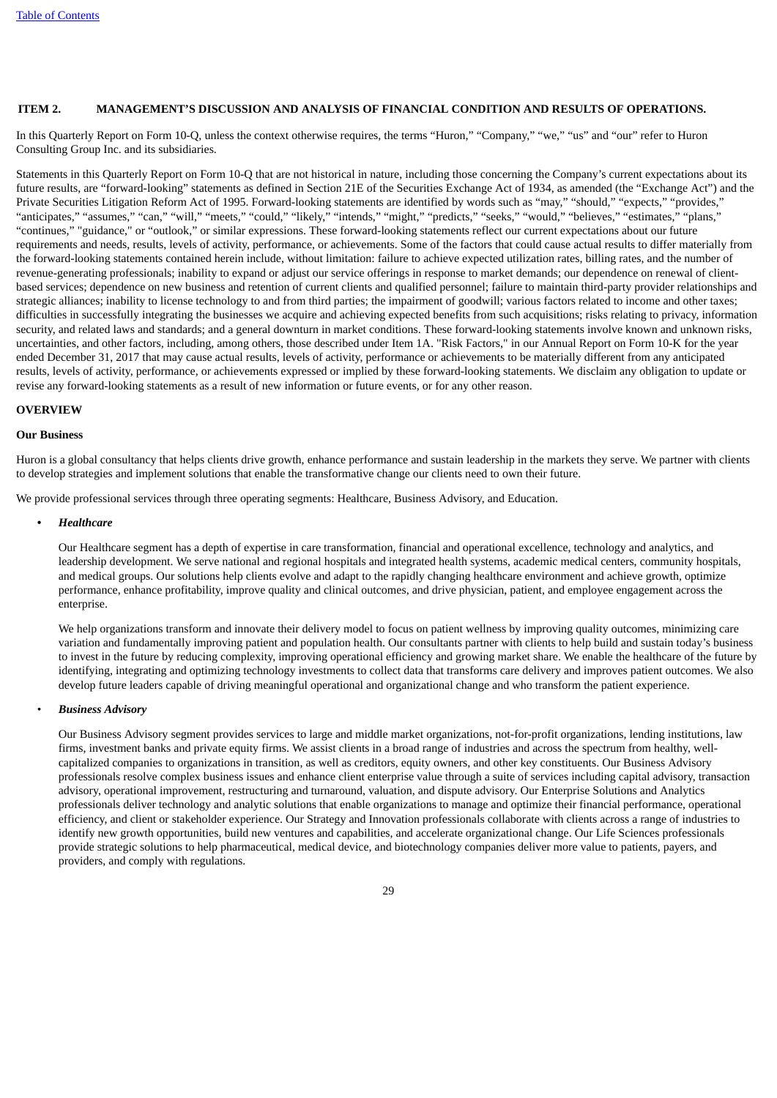### <span id="page-30-0"></span>**ITEM 2. MANAGEMENT'S DISCUSSION AND ANALYSIS OF FINANCIAL CONDITION AND RESULTS OF OPERATIONS.**

In this Quarterly Report on Form 10-Q, unless the context otherwise requires, the terms "Huron," "Company," "we," "us" and "our" refer to Huron Consulting Group Inc. and its subsidiaries.

Statements in this Quarterly Report on Form 10-Q that are not historical in nature, including those concerning the Company's current expectations about its future results, are "forward-looking" statements as defined in Section 21E of the Securities Exchange Act of 1934, as amended (the "Exchange Act") and the Private Securities Litigation Reform Act of 1995. Forward-looking statements are identified by words such as "may," "should," "expects," "provides," "anticipates," "assumes," "can," "will," "meets," "could," "likely," "intends," "might," "predicts," "seeks," "would," "believes," "estimates," "plans," "continues," "guidance," or "outlook," or similar expressions. These forward-looking statements reflect our current expectations about our future requirements and needs, results, levels of activity, performance, or achievements. Some of the factors that could cause actual results to differ materially from the forward-looking statements contained herein include, without limitation: failure to achieve expected utilization rates, billing rates, and the number of revenue-generating professionals; inability to expand or adjust our service offerings in response to market demands; our dependence on renewal of clientbased services; dependence on new business and retention of current clients and qualified personnel; failure to maintain third-party provider relationships and strategic alliances; inability to license technology to and from third parties; the impairment of goodwill; various factors related to income and other taxes; difficulties in successfully integrating the businesses we acquire and achieving expected benefits from such acquisitions; risks relating to privacy, information security, and related laws and standards; and a general downturn in market conditions. These forward-looking statements involve known and unknown risks, uncertainties, and other factors, including, among others, those described under Item 1A. "Risk Factors," in our Annual Report on Form 10-K for the year ended December 31, 2017 that may cause actual results, levels of activity, performance or achievements to be materially different from any anticipated results, levels of activity, performance, or achievements expressed or implied by these forward-looking statements. We disclaim any obligation to update or revise any forward-looking statements as a result of new information or future events, or for any other reason.

#### **OVERVIEW**

#### **Our Business**

Huron is a global consultancy that helps clients drive growth, enhance performance and sustain leadership in the markets they serve. We partner with clients to develop strategies and implement solutions that enable the transformative change our clients need to own their future.

We provide professional services through three operating segments: Healthcare, Business Advisory, and Education.

#### **•** *Healthcare*

Our Healthcare segment has a depth of expertise in care transformation, financial and operational excellence, technology and analytics, and leadership development. We serve national and regional hospitals and integrated health systems, academic medical centers, community hospitals, and medical groups. Our solutions help clients evolve and adapt to the rapidly changing healthcare environment and achieve growth, optimize performance, enhance profitability, improve quality and clinical outcomes, and drive physician, patient, and employee engagement across the enterprise.

We help organizations transform and innovate their delivery model to focus on patient wellness by improving quality outcomes, minimizing care variation and fundamentally improving patient and population health. Our consultants partner with clients to help build and sustain today's business to invest in the future by reducing complexity, improving operational efficiency and growing market share. We enable the healthcare of the future by identifying, integrating and optimizing technology investments to collect data that transforms care delivery and improves patient outcomes. We also develop future leaders capable of driving meaningful operational and organizational change and who transform the patient experience.

#### • *Business Advisory*

Our Business Advisory segment provides services to large and middle market organizations, not-for-profit organizations, lending institutions, law firms, investment banks and private equity firms. We assist clients in a broad range of industries and across the spectrum from healthy, wellcapitalized companies to organizations in transition, as well as creditors, equity owners, and other key constituents. Our Business Advisory professionals resolve complex business issues and enhance client enterprise value through a suite of services including capital advisory, transaction advisory, operational improvement, restructuring and turnaround, valuation, and dispute advisory. Our Enterprise Solutions and Analytics professionals deliver technology and analytic solutions that enable organizations to manage and optimize their financial performance, operational efficiency, and client or stakeholder experience. Our Strategy and Innovation professionals collaborate with clients across a range of industries to identify new growth opportunities, build new ventures and capabilities, and accelerate organizational change. Our Life Sciences professionals provide strategic solutions to help pharmaceutical, medical device, and biotechnology companies deliver more value to patients, payers, and providers, and comply with regulations.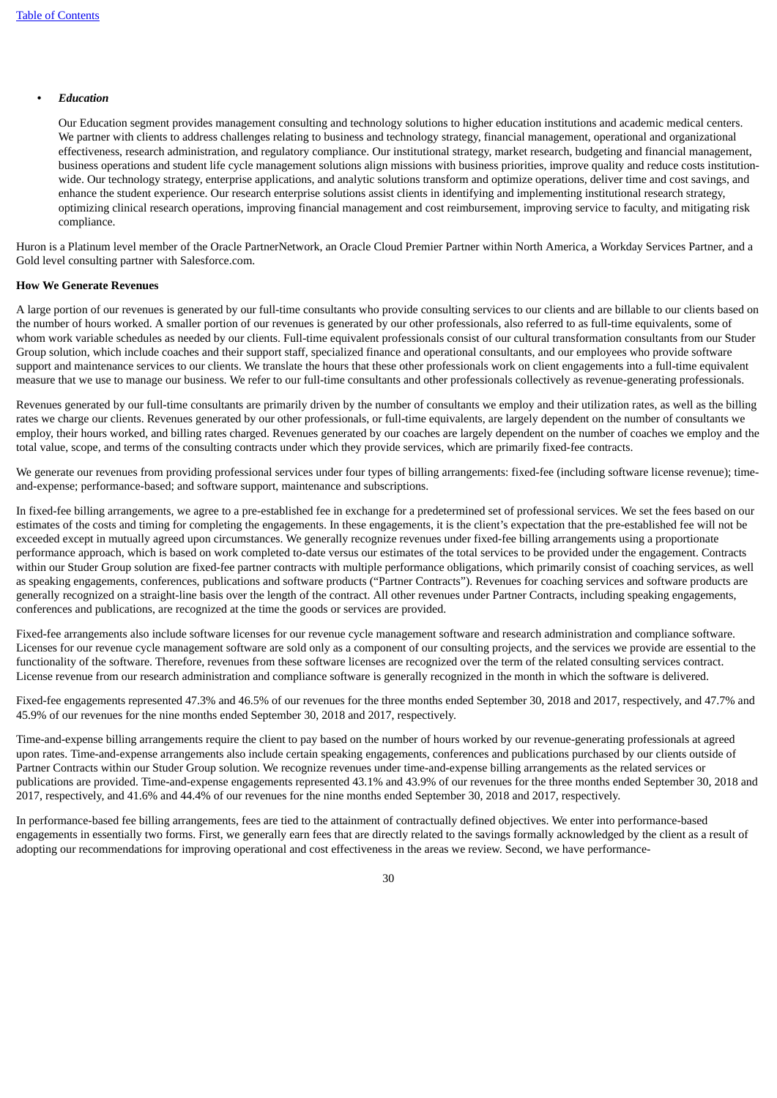## **•** *Education*

Our Education segment provides management consulting and technology solutions to higher education institutions and academic medical centers. We partner with clients to address challenges relating to business and technology strategy, financial management, operational and organizational effectiveness, research administration, and regulatory compliance. Our institutional strategy, market research, budgeting and financial management, business operations and student life cycle management solutions align missions with business priorities, improve quality and reduce costs institutionwide. Our technology strategy, enterprise applications, and analytic solutions transform and optimize operations, deliver time and cost savings, and enhance the student experience. Our research enterprise solutions assist clients in identifying and implementing institutional research strategy, optimizing clinical research operations, improving financial management and cost reimbursement, improving service to faculty, and mitigating risk compliance.

Huron is a Platinum level member of the Oracle PartnerNetwork, an Oracle Cloud Premier Partner within North America, a Workday Services Partner, and a Gold level consulting partner with Salesforce.com.

#### **How We Generate Revenues**

A large portion of our revenues is generated by our full-time consultants who provide consulting services to our clients and are billable to our clients based on the number of hours worked. A smaller portion of our revenues is generated by our other professionals, also referred to as full-time equivalents, some of whom work variable schedules as needed by our clients. Full-time equivalent professionals consist of our cultural transformation consultants from our Studer Group solution, which include coaches and their support staff, specialized finance and operational consultants, and our employees who provide software support and maintenance services to our clients. We translate the hours that these other professionals work on client engagements into a full-time equivalent measure that we use to manage our business. We refer to our full-time consultants and other professionals collectively as revenue-generating professionals.

Revenues generated by our full-time consultants are primarily driven by the number of consultants we employ and their utilization rates, as well as the billing rates we charge our clients. Revenues generated by our other professionals, or full-time equivalents, are largely dependent on the number of consultants we employ, their hours worked, and billing rates charged. Revenues generated by our coaches are largely dependent on the number of coaches we employ and the total value, scope, and terms of the consulting contracts under which they provide services, which are primarily fixed-fee contracts.

We generate our revenues from providing professional services under four types of billing arrangements: fixed-fee (including software license revenue); timeand-expense; performance-based; and software support, maintenance and subscriptions.

In fixed-fee billing arrangements, we agree to a pre-established fee in exchange for a predetermined set of professional services. We set the fees based on our estimates of the costs and timing for completing the engagements. In these engagements, it is the client's expectation that the pre-established fee will not be exceeded except in mutually agreed upon circumstances. We generally recognize revenues under fixed-fee billing arrangements using a proportionate performance approach, which is based on work completed to-date versus our estimates of the total services to be provided under the engagement. Contracts within our Studer Group solution are fixed-fee partner contracts with multiple performance obligations, which primarily consist of coaching services, as well as speaking engagements, conferences, publications and software products ("Partner Contracts"). Revenues for coaching services and software products are generally recognized on a straight-line basis over the length of the contract. All other revenues under Partner Contracts, including speaking engagements, conferences and publications, are recognized at the time the goods or services are provided.

Fixed-fee arrangements also include software licenses for our revenue cycle management software and research administration and compliance software. Licenses for our revenue cycle management software are sold only as a component of our consulting projects, and the services we provide are essential to the functionality of the software. Therefore, revenues from these software licenses are recognized over the term of the related consulting services contract. License revenue from our research administration and compliance software is generally recognized in the month in which the software is delivered.

Fixed-fee engagements represented 47.3% and 46.5% of our revenues for the three months ended September 30, 2018 and 2017, respectively, and 47.7% and 45.9% of our revenues for the nine months ended September 30, 2018 and 2017, respectively.

Time-and-expense billing arrangements require the client to pay based on the number of hours worked by our revenue-generating professionals at agreed upon rates. Time-and-expense arrangements also include certain speaking engagements, conferences and publications purchased by our clients outside of Partner Contracts within our Studer Group solution. We recognize revenues under time-and-expense billing arrangements as the related services or publications are provided. Time-and-expense engagements represented 43.1% and 43.9% of our revenues for the three months ended September 30, 2018 and 2017, respectively, and 41.6% and 44.4% of our revenues for the nine months ended September 30, 2018 and 2017, respectively.

In performance-based fee billing arrangements, fees are tied to the attainment of contractually defined objectives. We enter into performance-based engagements in essentially two forms. First, we generally earn fees that are directly related to the savings formally acknowledged by the client as a result of adopting our recommendations for improving operational and cost effectiveness in the areas we review. Second, we have performance-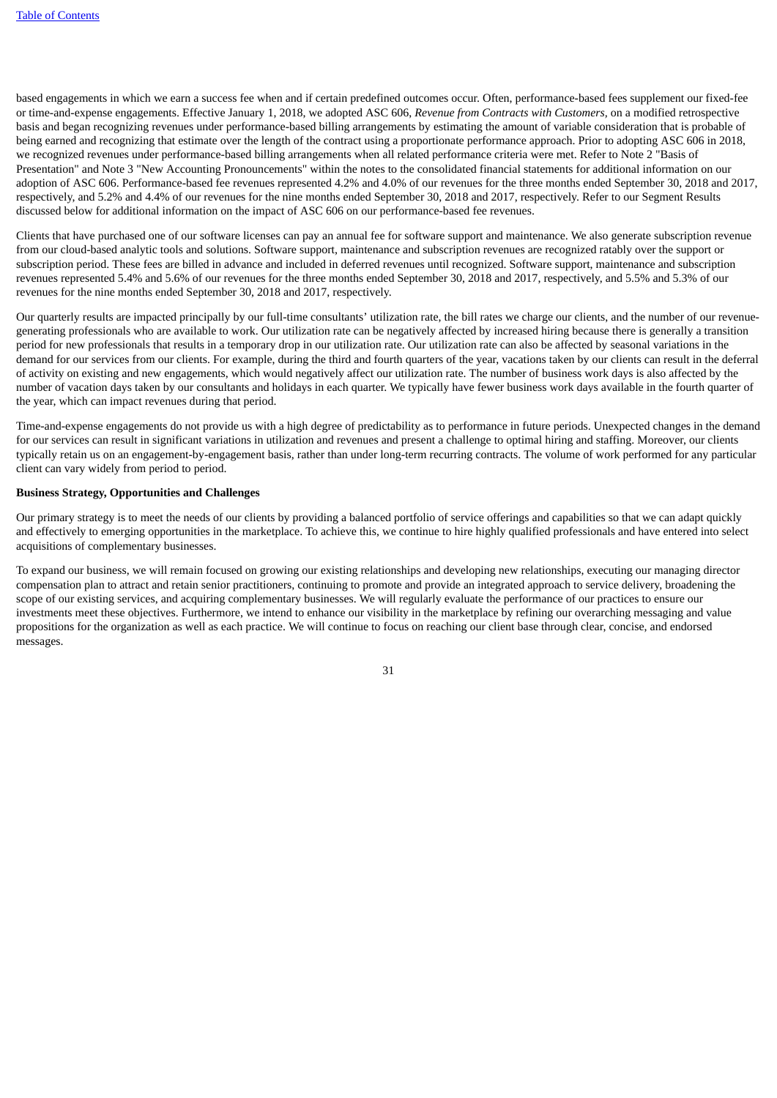based engagements in which we earn a success fee when and if certain predefined outcomes occur. Often, performance-based fees supplement our fixed-fee or time-and-expense engagements. Effective January 1, 2018, we adopted ASC 606, *Revenue from Contracts with Customers,* on a modified retrospective basis and began recognizing revenues under performance-based billing arrangements by estimating the amount of variable consideration that is probable of being earned and recognizing that estimate over the length of the contract using a proportionate performance approach. Prior to adopting ASC 606 in 2018, we recognized revenues under performance-based billing arrangements when all related performance criteria were met. Refer to Note 2 "Basis of Presentation" and Note 3 "New Accounting Pronouncements" within the notes to the consolidated financial statements for additional information on our adoption of ASC 606. Performance-based fee revenues represented 4.2% and 4.0% of our revenues for the three months ended September 30, 2018 and 2017, respectively, and 5.2% and 4.4% of our revenues for the nine months ended September 30, 2018 and 2017, respectively. Refer to our Segment Results discussed below for additional information on the impact of ASC 606 on our performance-based fee revenues.

Clients that have purchased one of our software licenses can pay an annual fee for software support and maintenance. We also generate subscription revenue from our cloud-based analytic tools and solutions. Software support, maintenance and subscription revenues are recognized ratably over the support or subscription period. These fees are billed in advance and included in deferred revenues until recognized. Software support, maintenance and subscription revenues represented 5.4% and 5.6% of our revenues for the three months ended September 30, 2018 and 2017, respectively, and 5.5% and 5.3% of our revenues for the nine months ended September 30, 2018 and 2017, respectively.

Our quarterly results are impacted principally by our full-time consultants' utilization rate, the bill rates we charge our clients, and the number of our revenuegenerating professionals who are available to work. Our utilization rate can be negatively affected by increased hiring because there is generally a transition period for new professionals that results in a temporary drop in our utilization rate. Our utilization rate can also be affected by seasonal variations in the demand for our services from our clients. For example, during the third and fourth quarters of the year, vacations taken by our clients can result in the deferral of activity on existing and new engagements, which would negatively affect our utilization rate. The number of business work days is also affected by the number of vacation days taken by our consultants and holidays in each quarter. We typically have fewer business work days available in the fourth quarter of the year, which can impact revenues during that period.

Time-and-expense engagements do not provide us with a high degree of predictability as to performance in future periods. Unexpected changes in the demand for our services can result in significant variations in utilization and revenues and present a challenge to optimal hiring and staffing. Moreover, our clients typically retain us on an engagement-by-engagement basis, rather than under long-term recurring contracts. The volume of work performed for any particular client can vary widely from period to period.

## **Business Strategy, Opportunities and Challenges**

Our primary strategy is to meet the needs of our clients by providing a balanced portfolio of service offerings and capabilities so that we can adapt quickly and effectively to emerging opportunities in the marketplace. To achieve this, we continue to hire highly qualified professionals and have entered into select acquisitions of complementary businesses.

To expand our business, we will remain focused on growing our existing relationships and developing new relationships, executing our managing director compensation plan to attract and retain senior practitioners, continuing to promote and provide an integrated approach to service delivery, broadening the scope of our existing services, and acquiring complementary businesses. We will regularly evaluate the performance of our practices to ensure our investments meet these objectives. Furthermore, we intend to enhance our visibility in the marketplace by refining our overarching messaging and value propositions for the organization as well as each practice. We will continue to focus on reaching our client base through clear, concise, and endorsed messages.

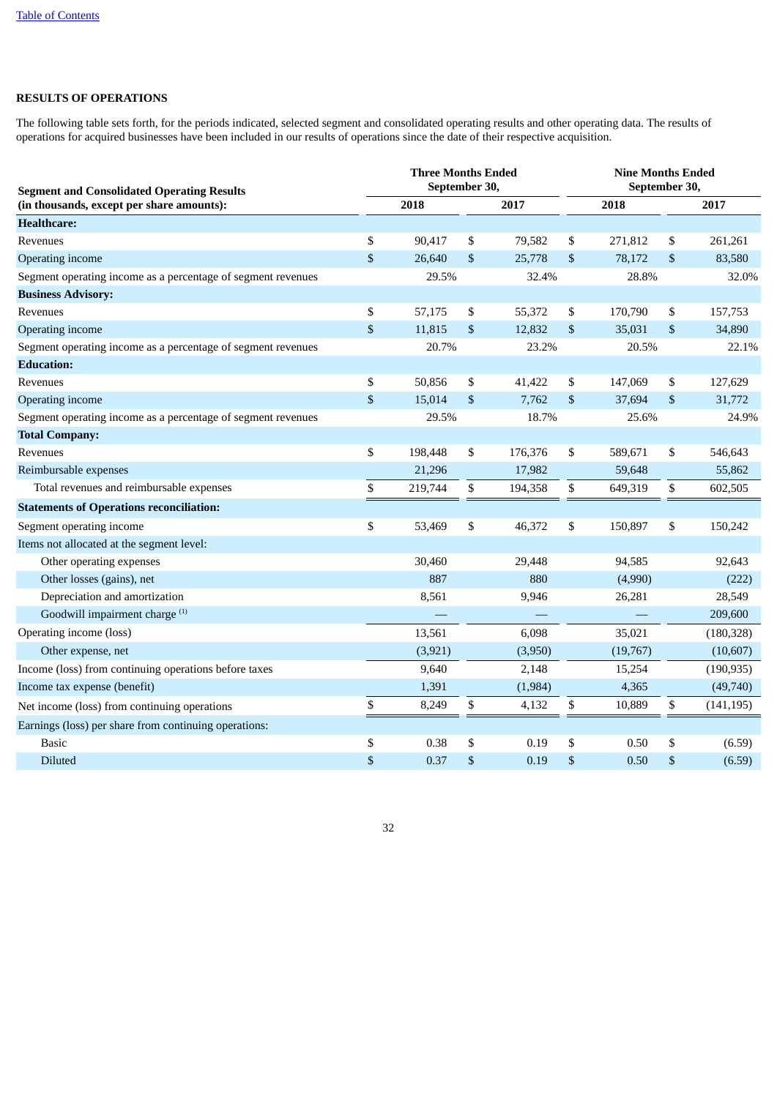## **RESULTS OF OPERATIONS**

The following table sets forth, for the periods indicated, selected segment and consolidated operating results and other operating data. The results of operations for acquired businesses have been included in our results of operations since the date of their respective acquisition.

| <b>Segment and Consolidated Operating Results</b><br>2018<br>2018<br>(in thousands, except per share amounts):<br>2017 | 2017       |
|------------------------------------------------------------------------------------------------------------------------|------------|
|                                                                                                                        |            |
| <b>Healthcare:</b>                                                                                                     |            |
| \$<br>90,417<br>Revenues<br>\$<br>79,582<br>\$<br>271,812<br>\$                                                        | 261,261    |
| \$<br>\$<br>\$<br>26,640<br>\$<br>25,778<br>78,172<br>Operating income                                                 | 83,580     |
| 29.5%<br>28.8%<br>Segment operating income as a percentage of segment revenues<br>32.4%                                | 32.0%      |
| <b>Business Advisory:</b>                                                                                              |            |
| \$<br>\$<br>\$<br>\$<br>Revenues<br>57,175<br>55,372<br>170,790                                                        | 157,753    |
| $\boldsymbol{\mathsf{S}}$<br>\$<br>\$<br>$\$$<br>11,815<br>12,832<br>35,031<br>Operating income                        | 34,890     |
| 20.7%<br>23.2%<br>20.5%<br>Segment operating income as a percentage of segment revenues                                | 22.1%      |
| <b>Education:</b>                                                                                                      |            |
| \$<br>\$<br>\$<br>50,856<br>\$<br>41,422<br>147,069<br>Revenues                                                        | 127,629    |
| $\mathbb{S}$<br>\$<br>\$<br>15,014<br>7,762<br>37,694<br>\$<br>Operating income                                        | 31,772     |
| 29.5%<br>18.7%<br>Segment operating income as a percentage of segment revenues<br>25.6%                                | 24.9%      |
| <b>Total Company:</b>                                                                                                  |            |
| \$<br>198,448<br>\$<br>\$<br>Revenues<br>\$<br>176,376<br>589,671                                                      | 546,643    |
| 21,296<br>17,982<br>59,648<br>Reimbursable expenses                                                                    | 55,862     |
| Total revenues and reimbursable expenses<br>\$<br>\$<br>194,358<br>219,744<br>\$<br>649,319<br>\$                      | 602,505    |
| <b>Statements of Operations reconciliation:</b>                                                                        |            |
| \$<br>\$<br>\$<br>\$<br>Segment operating income<br>53,469<br>46,372<br>150,897                                        | 150,242    |
| Items not allocated at the segment level:                                                                              |            |
| Other operating expenses<br>30,460<br>29,448<br>94,585                                                                 | 92,643     |
| 887<br>Other losses (gains), net<br>880<br>(4,990)                                                                     | (222)      |
| Depreciation and amortization<br>8,561<br>9,946<br>26,281                                                              | 28,549     |
| Goodwill impairment charge <sup>(1)</sup>                                                                              | 209,600    |
| Operating income (loss)<br>13,561<br>6,098<br>35,021                                                                   | (180, 328) |
| Other expense, net<br>(3,921)<br>(3,950)<br>(19,767)                                                                   | (10,607)   |
| Income (loss) from continuing operations before taxes<br>9,640<br>2,148<br>15,254                                      | (190, 935) |
| 1,391<br>4,365<br>Income tax expense (benefit)<br>(1,984)                                                              | (49,740)   |
| \$<br>\$<br>\$<br>\$<br>8,249<br>4,132<br>10,889<br>Net income (loss) from continuing operations                       | (141, 195) |
| Earnings (loss) per share from continuing operations:                                                                  |            |
| \$<br>\$<br>\$<br>\$<br><b>Basic</b><br>0.38<br>0.19<br>0.50                                                           | (6.59)     |
| \$<br>\$<br>0.37<br>\$<br>0.19<br>0.50<br>\$<br><b>Diluted</b>                                                         | (6.59)     |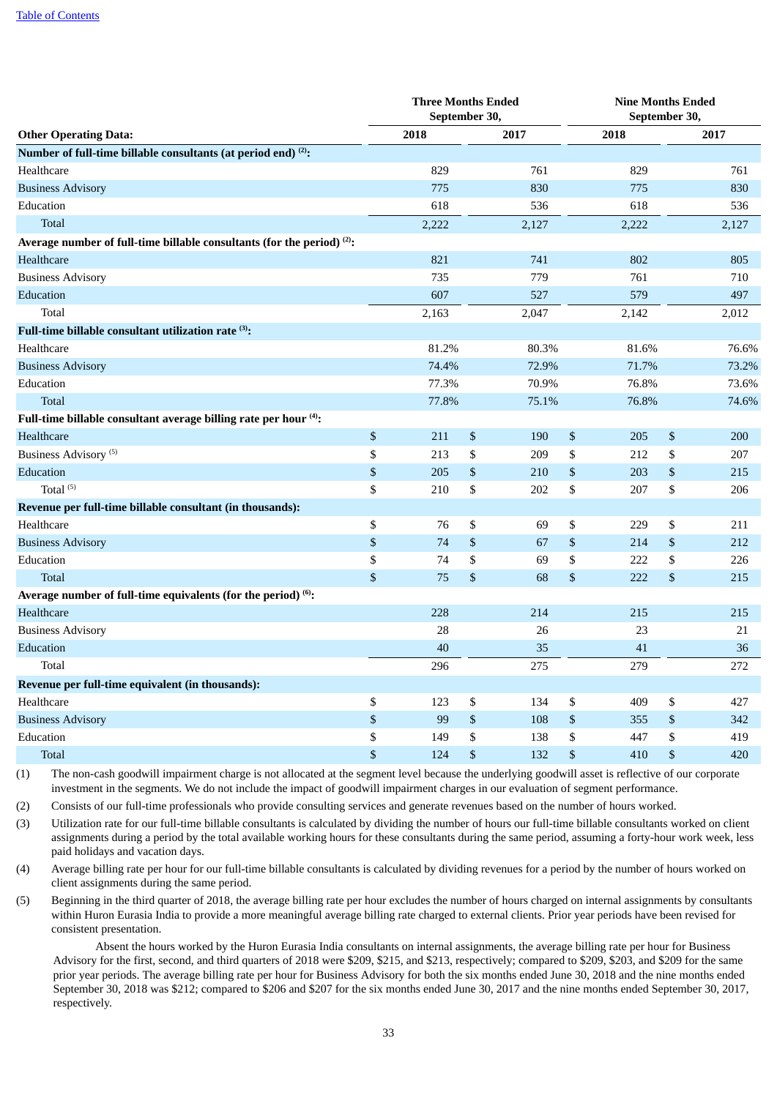|                                                                               |                | <b>Three Months Ended</b><br>September 30, |              |       |              | <b>Nine Months Ended</b><br>September 30, |             |       |  |
|-------------------------------------------------------------------------------|----------------|--------------------------------------------|--------------|-------|--------------|-------------------------------------------|-------------|-------|--|
| <b>Other Operating Data:</b>                                                  |                | 2018                                       |              | 2017  |              | 2018                                      |             | 2017  |  |
| Number of full-time billable consultants (at period end) <sup>(2)</sup> :     |                |                                            |              |       |              |                                           |             |       |  |
| Healthcare                                                                    |                | 829                                        |              | 761   |              | 829                                       |             | 761   |  |
| <b>Business Advisory</b>                                                      |                | 775                                        |              | 830   |              | 775                                       |             | 830   |  |
| Education                                                                     |                | 618                                        |              | 536   |              | 618                                       |             | 536   |  |
| <b>Total</b>                                                                  |                | 2,222                                      |              | 2,127 |              | 2,222                                     |             | 2,127 |  |
| Average number of full-time billable consultants (for the period) $(2)$ :     |                |                                            |              |       |              |                                           |             |       |  |
| Healthcare                                                                    |                | 821                                        |              | 741   |              | 802                                       |             | 805   |  |
| <b>Business Advisory</b>                                                      |                | 735                                        |              | 779   |              | 761                                       |             | 710   |  |
| Education                                                                     |                | 607                                        |              | 527   |              | 579                                       |             | 497   |  |
| Total                                                                         |                | 2,163                                      |              | 2,047 |              | 2,142                                     |             | 2,012 |  |
| Full-time billable consultant utilization rate $^{\scriptscriptstyle{(3)}}$ : |                |                                            |              |       |              |                                           |             |       |  |
| Healthcare                                                                    |                | 81.2%                                      |              | 80.3% |              | 81.6%                                     |             | 76.6% |  |
| <b>Business Advisory</b>                                                      |                | 74.4%                                      |              | 72.9% |              | 71.7%                                     |             | 73.2% |  |
| Education                                                                     | 77.3%<br>70.9% |                                            |              | 76.8% |              | 73.6%                                     |             |       |  |
| <b>Total</b>                                                                  |                | 77.8%                                      |              | 75.1% |              | 76.8%                                     |             | 74.6% |  |
| Full-time billable consultant average billing rate per hour (4):              |                |                                            |              |       |              |                                           |             |       |  |
| Healthcare                                                                    | \$             | 211                                        | \$           | 190   | $\$$         | 205                                       | \$          | 200   |  |
| Business Advisory <sup>(5)</sup>                                              | \$             | 213                                        | \$           | 209   | \$           | 212                                       | \$          | 207   |  |
| Education                                                                     | \$             | 205                                        | \$           | 210   | \$           | 203                                       | $\mathbb S$ | 215   |  |
| Total $(5)$                                                                   | \$             | 210                                        | \$           | 202   | \$           | 207                                       | \$          | 206   |  |
| Revenue per full-time billable consultant (in thousands):                     |                |                                            |              |       |              |                                           |             |       |  |
| Healthcare                                                                    | \$             | 76                                         | \$           | 69    | \$           | 229                                       | \$          | 211   |  |
| <b>Business Advisory</b>                                                      | \$             | 74                                         | \$           | 67    | $\$$         | 214                                       | \$          | 212   |  |
| Education                                                                     | \$             | 74                                         | \$           | 69    | \$           | 222                                       | \$          | 226   |  |
| <b>Total</b>                                                                  | \$             | 75                                         | \$           | 68    | \$           | 222                                       | \$          | 215   |  |
| Average number of full-time equivalents (for the period) <sup>(6)</sup> :     |                |                                            |              |       |              |                                           |             |       |  |
| Healthcare                                                                    |                | 228                                        |              | 214   |              | 215                                       |             | 215   |  |
| <b>Business Advisory</b>                                                      |                | 28                                         |              | 26    |              | 23                                        |             | 21    |  |
| Education                                                                     |                | 40                                         |              | 35    |              | 41                                        |             | 36    |  |
| Total                                                                         |                | 296                                        |              | 275   |              | 279                                       |             | 272   |  |
| Revenue per full-time equivalent (in thousands):                              |                |                                            |              |       |              |                                           |             |       |  |
| Healthcare                                                                    | \$             | 123                                        | \$           | 134   | \$           | 409                                       | \$          | 427   |  |
| <b>Business Advisory</b>                                                      | \$             | 99                                         | \$           | 108   | \$           | 355                                       | \$          | 342   |  |
| Education                                                                     | \$             | 149                                        | \$           | 138   | \$           | 447                                       | \$          | 419   |  |
| <b>Total</b>                                                                  | $\mathbf{s}$   | 124                                        | $\mathbb{S}$ | 132   | $\mathbb{S}$ | 410                                       | \$          | 420   |  |

(1) The non-cash goodwill impairment charge is not allocated at the segment level because the underlying goodwill asset is reflective of our corporate investment in the segments. We do not include the impact of goodwill impairment charges in our evaluation of segment performance.

(2) Consists of our full-time professionals who provide consulting services and generate revenues based on the number of hours worked.

(3) Utilization rate for our full-time billable consultants is calculated by dividing the number of hours our full-time billable consultants worked on client assignments during a period by the total available working hours for these consultants during the same period, assuming a forty-hour work week, less paid holidays and vacation days.

(4) Average billing rate per hour for our full-time billable consultants is calculated by dividing revenues for a period by the number of hours worked on client assignments during the same period.

(5) Beginning in the third quarter of 2018, the average billing rate per hour excludes the number of hours charged on internal assignments by consultants within Huron Eurasia India to provide a more meaningful average billing rate charged to external clients. Prior year periods have been revised for consistent presentation.

Absent the hours worked by the Huron Eurasia India consultants on internal assignments, the average billing rate per hour for Business Advisory for the first, second, and third quarters of 2018 were \$209, \$215, and \$213, respectively; compared to \$209, \$203, and \$209 for the same prior year periods. The average billing rate per hour for Business Advisory for both the six months ended June 30, 2018 and the nine months ended September 30, 2018 was \$212; compared to \$206 and \$207 for the six months ended June 30, 2017 and the nine months ended September 30, 2017, respectively.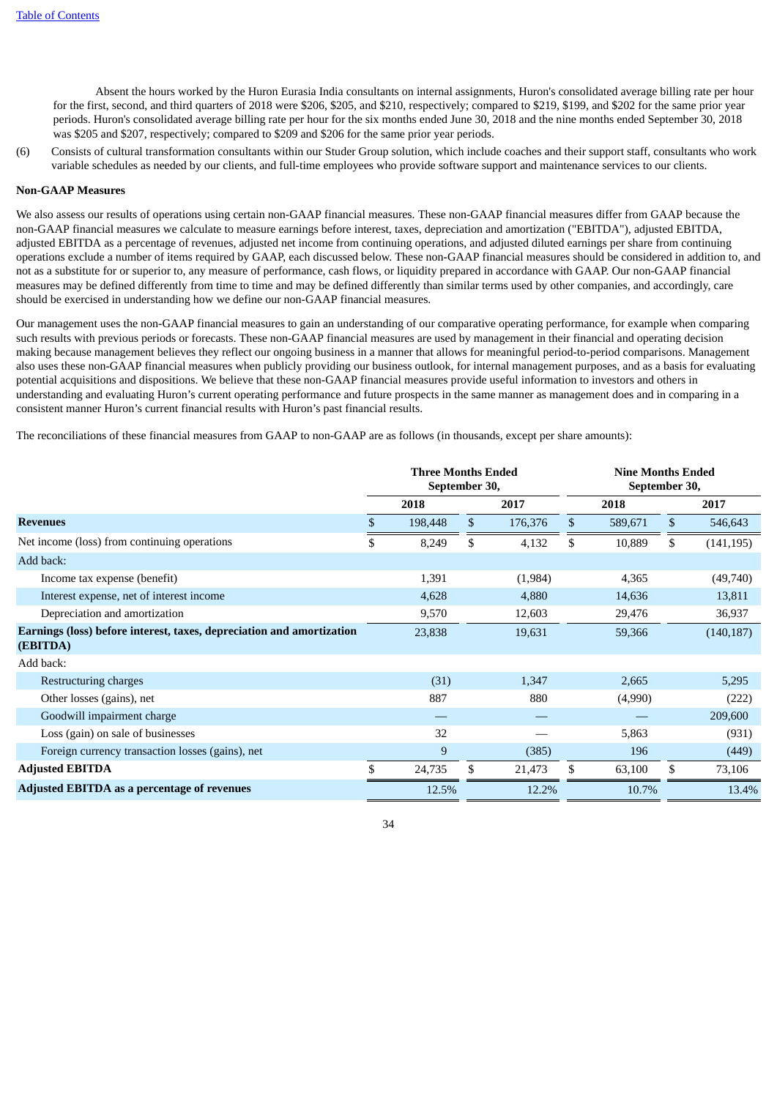Absent the hours worked by the Huron Eurasia India consultants on internal assignments, Huron's consolidated average billing rate per hour for the first, second, and third quarters of 2018 were \$206, \$205, and \$210, respectively; compared to \$219, \$199, and \$202 for the same prior year periods. Huron's consolidated average billing rate per hour for the six months ended June 30, 2018 and the nine months ended September 30, 2018 was \$205 and \$207, respectively; compared to \$209 and \$206 for the same prior year periods.

(6) Consists of cultural transformation consultants within our Studer Group solution, which include coaches and their support staff, consultants who work variable schedules as needed by our clients, and full-time employees who provide software support and maintenance services to our clients.

#### **Non-GAAP Measures**

We also assess our results of operations using certain non-GAAP financial measures. These non-GAAP financial measures differ from GAAP because the non-GAAP financial measures we calculate to measure earnings before interest, taxes, depreciation and amortization ("EBITDA"), adjusted EBITDA, adjusted EBITDA as a percentage of revenues, adjusted net income from continuing operations, and adjusted diluted earnings per share from continuing operations exclude a number of items required by GAAP, each discussed below. These non-GAAP financial measures should be considered in addition to, and not as a substitute for or superior to, any measure of performance, cash flows, or liquidity prepared in accordance with GAAP. Our non-GAAP financial measures may be defined differently from time to time and may be defined differently than similar terms used by other companies, and accordingly, care should be exercised in understanding how we define our non-GAAP financial measures.

Our management uses the non-GAAP financial measures to gain an understanding of our comparative operating performance, for example when comparing such results with previous periods or forecasts. These non-GAAP financial measures are used by management in their financial and operating decision making because management believes they reflect our ongoing business in a manner that allows for meaningful period-to-period comparisons. Management also uses these non-GAAP financial measures when publicly providing our business outlook, for internal management purposes, and as a basis for evaluating potential acquisitions and dispositions. We believe that these non-GAAP financial measures provide useful information to investors and others in understanding and evaluating Huron's current operating performance and future prospects in the same manner as management does and in comparing in a consistent manner Huron's current financial results with Huron's past financial results.

The reconciliations of these financial measures from GAAP to non-GAAP are as follows (in thousands, except per share amounts):

|                                                                                   | <b>Three Months Ended</b><br>September 30, |         |    |         |    | <b>Nine Months Ended</b><br>September 30, |    |            |  |  |
|-----------------------------------------------------------------------------------|--------------------------------------------|---------|----|---------|----|-------------------------------------------|----|------------|--|--|
|                                                                                   |                                            | 2018    |    | 2017    |    | 2018                                      |    | 2017       |  |  |
| <b>Revenues</b>                                                                   |                                            | 198,448 | \$ | 176,376 | \$ | 589,671                                   | \$ | 546,643    |  |  |
| Net income (loss) from continuing operations                                      | \$                                         | 8,249   | \$ | 4,132   | \$ | 10,889                                    | \$ | (141, 195) |  |  |
| Add back:                                                                         |                                            |         |    |         |    |                                           |    |            |  |  |
| Income tax expense (benefit)                                                      |                                            | 1,391   |    | (1,984) |    | 4,365                                     |    | (49,740)   |  |  |
| Interest expense, net of interest income                                          |                                            | 4,628   |    | 4,880   |    | 14,636                                    |    | 13,811     |  |  |
| Depreciation and amortization                                                     |                                            | 9,570   |    | 12,603  |    | 29,476                                    |    | 36,937     |  |  |
| Earnings (loss) before interest, taxes, depreciation and amortization<br>(EBITDA) |                                            | 23,838  |    | 19,631  |    | 59,366                                    |    | (140, 187) |  |  |
| Add back:                                                                         |                                            |         |    |         |    |                                           |    |            |  |  |
| Restructuring charges                                                             |                                            | (31)    |    | 1,347   |    | 2,665                                     |    | 5,295      |  |  |
| Other losses (gains), net                                                         |                                            | 887     |    | 880     |    | (4,990)                                   |    | (222)      |  |  |
| Goodwill impairment charge                                                        |                                            |         |    |         |    |                                           |    | 209,600    |  |  |
| Loss (gain) on sale of businesses                                                 |                                            | 32      |    |         |    | 5,863                                     |    | (931)      |  |  |
| Foreign currency transaction losses (gains), net                                  |                                            | 9       |    | (385)   |    | 196                                       |    | (449)      |  |  |
| <b>Adjusted EBITDA</b>                                                            | \$                                         | 24,735  | \$ | 21,473  | \$ | 63,100                                    | \$ | 73,106     |  |  |
| Adjusted EBITDA as a percentage of revenues                                       |                                            | 12.5%   |    | 12.2%   |    | 10.7%                                     |    | 13.4%      |  |  |

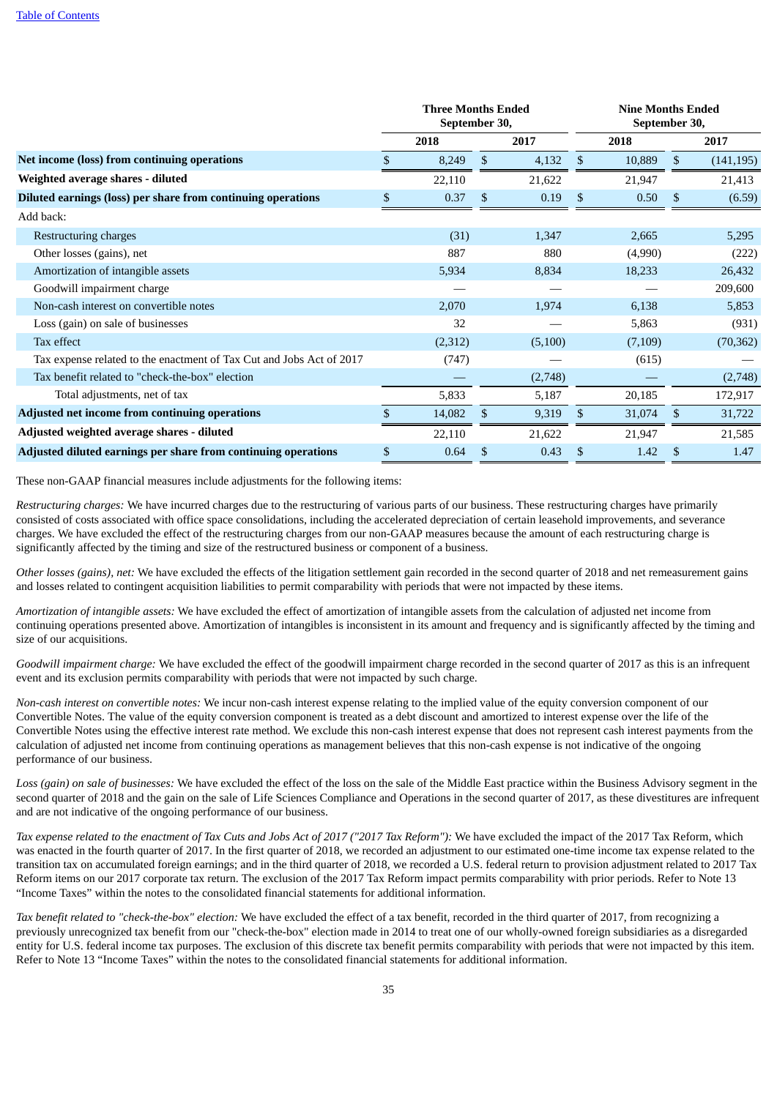|                                                                      | <b>Three Months Ended</b><br>September 30, |              |               |         |     | <b>Nine Months Ended</b><br>September 30, |                |            |  |  |  |
|----------------------------------------------------------------------|--------------------------------------------|--------------|---------------|---------|-----|-------------------------------------------|----------------|------------|--|--|--|
|                                                                      |                                            | 2018<br>2017 |               |         |     | 2018                                      |                | 2017       |  |  |  |
| Net income (loss) from continuing operations                         | S                                          | 8,249        | <sup>\$</sup> | 4,132   | \$. | 10,889                                    | $\mathfrak{L}$ | (141, 195) |  |  |  |
| Weighted average shares - diluted                                    |                                            | 22,110       |               | 21,622  |     | 21,947                                    |                | 21,413     |  |  |  |
| Diluted earnings (loss) per share from continuing operations         | \$                                         | 0.37         | \$            | 0.19    | \$. | 0.50                                      | $\mathfrak{L}$ | (6.59)     |  |  |  |
| Add back:                                                            |                                            |              |               |         |     |                                           |                |            |  |  |  |
| Restructuring charges                                                |                                            | (31)         |               | 1,347   |     | 2,665                                     |                | 5,295      |  |  |  |
| Other losses (gains), net                                            |                                            | 887          |               | 880     |     | (4,990)                                   |                | (222)      |  |  |  |
| Amortization of intangible assets                                    |                                            | 5,934        |               | 8,834   |     | 18,233                                    |                | 26,432     |  |  |  |
| Goodwill impairment charge                                           |                                            |              |               |         |     |                                           |                | 209,600    |  |  |  |
| Non-cash interest on convertible notes                               |                                            | 2,070        |               | 1,974   |     | 6,138                                     |                | 5,853      |  |  |  |
| Loss (gain) on sale of businesses                                    |                                            | 32           |               |         |     | 5,863                                     |                | (931)      |  |  |  |
| Tax effect                                                           |                                            | (2,312)      |               | (5,100) |     | (7,109)                                   |                | (70, 362)  |  |  |  |
| Tax expense related to the enactment of Tax Cut and Jobs Act of 2017 |                                            | (747)        |               |         |     | (615)                                     |                |            |  |  |  |
| Tax benefit related to "check-the-box" election                      |                                            |              |               | (2,748) |     |                                           |                | (2,748)    |  |  |  |
| Total adjustments, net of tax                                        |                                            | 5,833        |               | 5,187   |     | 20,185                                    |                | 172,917    |  |  |  |
| Adjusted net income from continuing operations                       |                                            | 14,082       | \$            | 9,319   | \$  | 31,074                                    | $\mathfrak{L}$ | 31,722     |  |  |  |
| Adjusted weighted average shares - diluted                           |                                            | 22,110       |               | 21,622  |     | 21,947                                    |                | 21,585     |  |  |  |
| Adjusted diluted earnings per share from continuing operations       | \$                                         | 0.64         | \$            | 0.43    | S   | 1.42                                      | $\mathfrak{L}$ | 1.47       |  |  |  |

These non-GAAP financial measures include adjustments for the following items:

*Restructuring charges:* We have incurred charges due to the restructuring of various parts of our business. These restructuring charges have primarily consisted of costs associated with office space consolidations, including the accelerated depreciation of certain leasehold improvements, and severance charges. We have excluded the effect of the restructuring charges from our non-GAAP measures because the amount of each restructuring charge is significantly affected by the timing and size of the restructured business or component of a business.

*Other losses (gains), net:* We have excluded the effects of the litigation settlement gain recorded in the second quarter of 2018 and net remeasurement gains and losses related to contingent acquisition liabilities to permit comparability with periods that were not impacted by these items.

*Amortization of intangible assets:* We have excluded the effect of amortization of intangible assets from the calculation of adjusted net income from continuing operations presented above. Amortization of intangibles is inconsistent in its amount and frequency and is significantly affected by the timing and size of our acquisitions.

*Goodwill impairment charge:* We have excluded the effect of the goodwill impairment charge recorded in the second quarter of 2017 as this is an infrequent event and its exclusion permits comparability with periods that were not impacted by such charge.

*Non-cash interest on convertible notes:* We incur non-cash interest expense relating to the implied value of the equity conversion component of our Convertible Notes. The value of the equity conversion component is treated as a debt discount and amortized to interest expense over the life of the Convertible Notes using the effective interest rate method. We exclude this non-cash interest expense that does not represent cash interest payments from the calculation of adjusted net income from continuing operations as management believes that this non-cash expense is not indicative of the ongoing performance of our business.

*Loss (gain) on sale of businesses:* We have excluded the effect of the loss on the sale of the Middle East practice within the Business Advisory segment in the second quarter of 2018 and the gain on the sale of Life Sciences Compliance and Operations in the second quarter of 2017, as these divestitures are infrequent and are not indicative of the ongoing performance of our business.

Tax expense related to the enactment of Tax Cuts and Jobs Act of 2017 ("2017 Tax Reform"): We have excluded the impact of the 2017 Tax Reform, which was enacted in the fourth quarter of 2017. In the first quarter of 2018, we recorded an adjustment to our estimated one-time income tax expense related to the transition tax on accumulated foreign earnings; and in the third quarter of 2018, we recorded a U.S. federal return to provision adjustment related to 2017 Tax Reform items on our 2017 corporate tax return. The exclusion of the 2017 Tax Reform impact permits comparability with prior periods. Refer to Note 13 "Income Taxes" within the notes to the consolidated financial statements for additional information.

*Tax benefit related to "check-the-box" election:* We have excluded the effect of a tax benefit, recorded in the third quarter of 2017, from recognizing a previously unrecognized tax benefit from our "check-the-box" election made in 2014 to treat one of our wholly-owned foreign subsidiaries as a disregarded entity for U.S. federal income tax purposes. The exclusion of this discrete tax benefit permits comparability with periods that were not impacted by this item. Refer to Note 13 "Income Taxes" within the notes to the consolidated financial statements for additional information.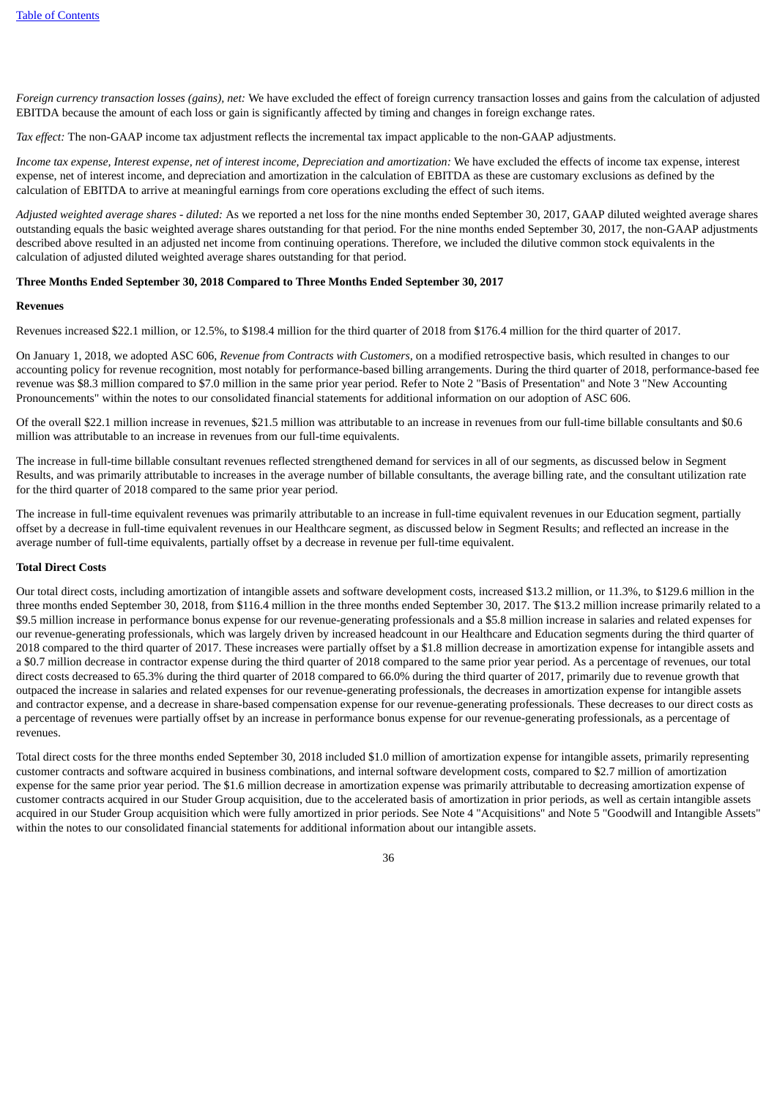*Foreign currency transaction losses (gains), net:* We have excluded the effect of foreign currency transaction losses and gains from the calculation of adjusted EBITDA because the amount of each loss or gain is significantly affected by timing and changes in foreign exchange rates.

*Tax effect:* The non-GAAP income tax adjustment reflects the incremental tax impact applicable to the non-GAAP adjustments.

Income tax expense, Interest expense, net of interest income, Depreciation and amortization: We have excluded the effects of income tax expense, interest expense, net of interest income, and depreciation and amortization in the calculation of EBITDA as these are customary exclusions as defined by the calculation of EBITDA to arrive at meaningful earnings from core operations excluding the effect of such items.

*Adjusted weighted average shares - diluted:* As we reported a net loss for the nine months ended September 30, 2017, GAAP diluted weighted average shares outstanding equals the basic weighted average shares outstanding for that period. For the nine months ended September 30, 2017, the non-GAAP adjustments described above resulted in an adjusted net income from continuing operations. Therefore, we included the dilutive common stock equivalents in the calculation of adjusted diluted weighted average shares outstanding for that period.

#### **Three Months Ended September 30, 2018 Compared to Three Months Ended September 30, 2017**

#### **Revenues**

Revenues increased \$22.1 million, or 12.5%, to \$198.4 million for the third quarter of 2018 from \$176.4 million for the third quarter of 2017.

On January 1, 2018, we adopted ASC 606, *Revenue from Contracts with Customers,* on a modified retrospective basis, which resulted in changes to our accounting policy for revenue recognition, most notably for performance-based billing arrangements. During the third quarter of 2018, performance-based fee revenue was \$8.3 million compared to \$7.0 million in the same prior year period. Refer to Note 2 "Basis of Presentation" and Note 3 "New Accounting Pronouncements" within the notes to our consolidated financial statements for additional information on our adoption of ASC 606.

Of the overall \$22.1 million increase in revenues, \$21.5 million was attributable to an increase in revenues from our full-time billable consultants and \$0.6 million was attributable to an increase in revenues from our full-time equivalents.

The increase in full-time billable consultant revenues reflected strengthened demand for services in all of our segments, as discussed below in Segment Results, and was primarily attributable to increases in the average number of billable consultants, the average billing rate, and the consultant utilization rate for the third quarter of 2018 compared to the same prior year period.

The increase in full-time equivalent revenues was primarily attributable to an increase in full-time equivalent revenues in our Education segment, partially offset by a decrease in full-time equivalent revenues in our Healthcare segment, as discussed below in Segment Results; and reflected an increase in the average number of full-time equivalents, partially offset by a decrease in revenue per full-time equivalent.

#### **Total Direct Costs**

Our total direct costs, including amortization of intangible assets and software development costs, increased \$13.2 million, or 11.3%, to \$129.6 million in the three months ended September 30, 2018, from \$116.4 million in the three months ended September 30, 2017. The \$13.2 million increase primarily related to a \$9.5 million increase in performance bonus expense for our revenue-generating professionals and a \$5.8 million increase in salaries and related expenses for our revenue-generating professionals, which was largely driven by increased headcount in our Healthcare and Education segments during the third quarter of 2018 compared to the third quarter of 2017. These increases were partially offset by a \$1.8 million decrease in amortization expense for intangible assets and a \$0.7 million decrease in contractor expense during the third quarter of 2018 compared to the same prior year period. As a percentage of revenues, our total direct costs decreased to 65.3% during the third quarter of 2018 compared to 66.0% during the third quarter of 2017, primarily due to revenue growth that outpaced the increase in salaries and related expenses for our revenue-generating professionals, the decreases in amortization expense for intangible assets and contractor expense, and a decrease in share-based compensation expense for our revenue-generating professionals. These decreases to our direct costs as a percentage of revenues were partially offset by an increase in performance bonus expense for our revenue-generating professionals, as a percentage of revenues.

Total direct costs for the three months ended September 30, 2018 included \$1.0 million of amortization expense for intangible assets, primarily representing customer contracts and software acquired in business combinations, and internal software development costs, compared to \$2.7 million of amortization expense for the same prior year period. The \$1.6 million decrease in amortization expense was primarily attributable to decreasing amortization expense of customer contracts acquired in our Studer Group acquisition, due to the accelerated basis of amortization in prior periods, as well as certain intangible assets acquired in our Studer Group acquisition which were fully amortized in prior periods. See Note 4 "Acquisitions" and Note 5 "Goodwill and Intangible Assets" within the notes to our consolidated financial statements for additional information about our intangible assets.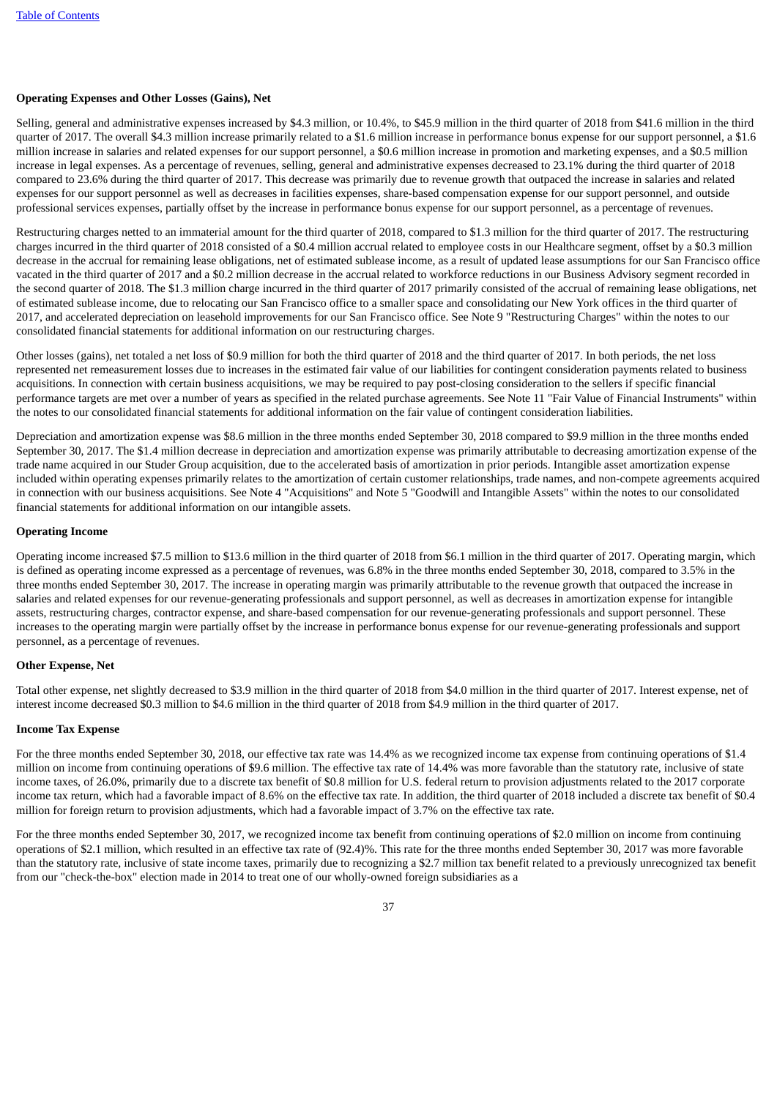## **Operating Expenses and Other Losses (Gains), Net**

Selling, general and administrative expenses increased by \$4.3 million, or 10.4%, to \$45.9 million in the third quarter of 2018 from \$41.6 million in the third quarter of 2017. The overall \$4.3 million increase primarily related to a \$1.6 million increase in performance bonus expense for our support personnel, a \$1.6 million increase in salaries and related expenses for our support personnel, a \$0.6 million increase in promotion and marketing expenses, and a \$0.5 million increase in legal expenses. As a percentage of revenues, selling, general and administrative expenses decreased to 23.1% during the third quarter of 2018 compared to 23.6% during the third quarter of 2017. This decrease was primarily due to revenue growth that outpaced the increase in salaries and related expenses for our support personnel as well as decreases in facilities expenses, share-based compensation expense for our support personnel, and outside professional services expenses, partially offset by the increase in performance bonus expense for our support personnel, as a percentage of revenues.

Restructuring charges netted to an immaterial amount for the third quarter of 2018, compared to \$1.3 million for the third quarter of 2017. The restructuring charges incurred in the third quarter of 2018 consisted of a \$0.4 million accrual related to employee costs in our Healthcare segment, offset by a \$0.3 million decrease in the accrual for remaining lease obligations, net of estimated sublease income, as a result of updated lease assumptions for our San Francisco office vacated in the third quarter of 2017 and a \$0.2 million decrease in the accrual related to workforce reductions in our Business Advisory segment recorded in the second quarter of 2018. The \$1.3 million charge incurred in the third quarter of 2017 primarily consisted of the accrual of remaining lease obligations, net of estimated sublease income, due to relocating our San Francisco office to a smaller space and consolidating our New York offices in the third quarter of 2017, and accelerated depreciation on leasehold improvements for our San Francisco office. See Note 9 "Restructuring Charges" within the notes to our consolidated financial statements for additional information on our restructuring charges.

Other losses (gains), net totaled a net loss of \$0.9 million for both the third quarter of 2018 and the third quarter of 2017. In both periods, the net loss represented net remeasurement losses due to increases in the estimated fair value of our liabilities for contingent consideration payments related to business acquisitions. In connection with certain business acquisitions, we may be required to pay post-closing consideration to the sellers if specific financial performance targets are met over a number of years as specified in the related purchase agreements. See Note 11 "Fair Value of Financial Instruments" within the notes to our consolidated financial statements for additional information on the fair value of contingent consideration liabilities.

Depreciation and amortization expense was \$8.6 million in the three months ended September 30, 2018 compared to \$9.9 million in the three months ended September 30, 2017. The \$1.4 million decrease in depreciation and amortization expense was primarily attributable to decreasing amortization expense of the trade name acquired in our Studer Group acquisition, due to the accelerated basis of amortization in prior periods. Intangible asset amortization expense included within operating expenses primarily relates to the amortization of certain customer relationships, trade names, and non-compete agreements acquired in connection with our business acquisitions. See Note 4 "Acquisitions" and Note 5 "Goodwill and Intangible Assets" within the notes to our consolidated financial statements for additional information on our intangible assets.

#### **Operating Income**

Operating income increased \$7.5 million to \$13.6 million in the third quarter of 2018 from \$6.1 million in the third quarter of 2017. Operating margin, which is defined as operating income expressed as a percentage of revenues, was 6.8% in the three months ended September 30, 2018, compared to 3.5% in the three months ended September 30, 2017. The increase in operating margin was primarily attributable to the revenue growth that outpaced the increase in salaries and related expenses for our revenue-generating professionals and support personnel, as well as decreases in amortization expense for intangible assets, restructuring charges, contractor expense, and share-based compensation for our revenue-generating professionals and support personnel. These increases to the operating margin were partially offset by the increase in performance bonus expense for our revenue-generating professionals and support personnel, as a percentage of revenues.

#### **Other Expense, Net**

Total other expense, net slightly decreased to \$3.9 million in the third quarter of 2018 from \$4.0 million in the third quarter of 2017. Interest expense, net of interest income decreased \$0.3 million to \$4.6 million in the third quarter of 2018 from \$4.9 million in the third quarter of 2017.

#### **Income Tax Expense**

For the three months ended September 30, 2018, our effective tax rate was 14.4% as we recognized income tax expense from continuing operations of \$1.4 million on income from continuing operations of \$9.6 million. The effective tax rate of 14.4% was more favorable than the statutory rate, inclusive of state income taxes, of 26.0%, primarily due to a discrete tax benefit of \$0.8 million for U.S. federal return to provision adjustments related to the 2017 corporate income tax return, which had a favorable impact of 8.6% on the effective tax rate. In addition, the third quarter of 2018 included a discrete tax benefit of \$0.4 million for foreign return to provision adjustments, which had a favorable impact of 3.7% on the effective tax rate.

For the three months ended September 30, 2017, we recognized income tax benefit from continuing operations of \$2.0 million on income from continuing operations of \$2.1 million, which resulted in an effective tax rate of (92.4)%. This rate for the three months ended September 30, 2017 was more favorable than the statutory rate, inclusive of state income taxes, primarily due to recognizing a \$2.7 million tax benefit related to a previously unrecognized tax benefit from our "check-the-box" election made in 2014 to treat one of our wholly-owned foreign subsidiaries as a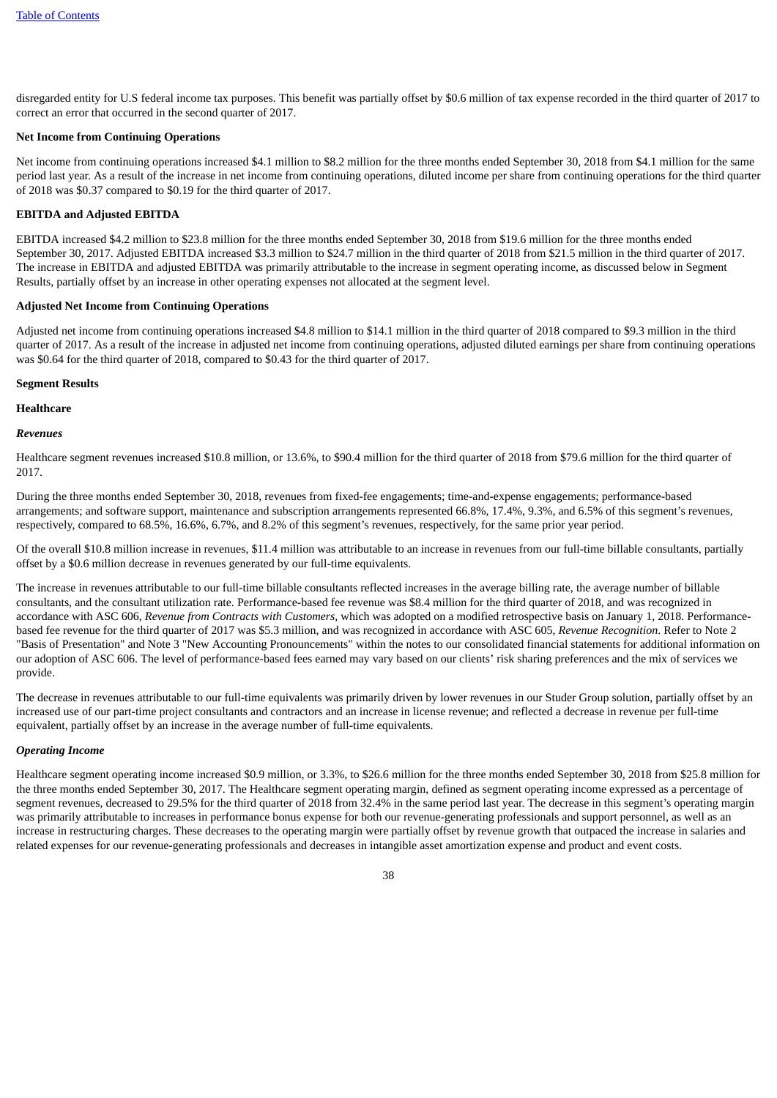disregarded entity for U.S federal income tax purposes. This benefit was partially offset by \$0.6 million of tax expense recorded in the third quarter of 2017 to correct an error that occurred in the second quarter of 2017.

#### **Net Income from Continuing Operations**

Net income from continuing operations increased \$4.1 million to \$8.2 million for the three months ended September 30, 2018 from \$4.1 million for the same period last year. As a result of the increase in net income from continuing operations, diluted income per share from continuing operations for the third quarter of 2018 was \$0.37 compared to \$0.19 for the third quarter of 2017.

### **EBITDA and Adjusted EBITDA**

EBITDA increased \$4.2 million to \$23.8 million for the three months ended September 30, 2018 from \$19.6 million for the three months ended September 30, 2017. Adjusted EBITDA increased \$3.3 million to \$24.7 million in the third quarter of 2018 from \$21.5 million in the third quarter of 2017. The increase in EBITDA and adjusted EBITDA was primarily attributable to the increase in segment operating income, as discussed below in Segment Results, partially offset by an increase in other operating expenses not allocated at the segment level.

#### **Adjusted Net Income from Continuing Operations**

Adjusted net income from continuing operations increased \$4.8 million to \$14.1 million in the third quarter of 2018 compared to \$9.3 million in the third quarter of 2017. As a result of the increase in adjusted net income from continuing operations, adjusted diluted earnings per share from continuing operations was \$0.64 for the third quarter of 2018, compared to \$0.43 for the third quarter of 2017.

#### **Segment Results**

#### **Healthcare**

## *Revenues*

Healthcare segment revenues increased \$10.8 million, or 13.6%, to \$90.4 million for the third quarter of 2018 from \$79.6 million for the third quarter of 2017.

During the three months ended September 30, 2018, revenues from fixed-fee engagements; time-and-expense engagements; performance-based arrangements; and software support, maintenance and subscription arrangements represented 66.8%, 17.4%, 9.3%, and 6.5% of this segment's revenues, respectively, compared to 68.5%, 16.6%, 6.7%, and 8.2% of this segment's revenues, respectively, for the same prior year period.

Of the overall \$10.8 million increase in revenues, \$11.4 million was attributable to an increase in revenues from our full-time billable consultants, partially offset by a \$0.6 million decrease in revenues generated by our full-time equivalents.

The increase in revenues attributable to our full-time billable consultants reflected increases in the average billing rate, the average number of billable consultants, and the consultant utilization rate. Performance-based fee revenue was \$8.4 million for the third quarter of 2018, and was recognized in accordance with ASC 606, *Revenue from Contracts with Customers,* which was adopted on a modified retrospective basis on January 1, 2018. Performancebased fee revenue for the third quarter of 2017 was \$5.3 million, and was recognized in accordance with ASC 605, *Revenue Recognition*. Refer to Note 2 "Basis of Presentation" and Note 3 "New Accounting Pronouncements" within the notes to our consolidated financial statements for additional information on our adoption of ASC 606. The level of performance-based fees earned may vary based on our clients' risk sharing preferences and the mix of services we provide.

The decrease in revenues attributable to our full-time equivalents was primarily driven by lower revenues in our Studer Group solution, partially offset by an increased use of our part-time project consultants and contractors and an increase in license revenue; and reflected a decrease in revenue per full-time equivalent, partially offset by an increase in the average number of full-time equivalents.

#### *Operating Income*

Healthcare segment operating income increased \$0.9 million, or 3.3%, to \$26.6 million for the three months ended September 30, 2018 from \$25.8 million for the three months ended September 30, 2017. The Healthcare segment operating margin, defined as segment operating income expressed as a percentage of segment revenues, decreased to 29.5% for the third quarter of 2018 from 32.4% in the same period last year. The decrease in this segment's operating margin was primarily attributable to increases in performance bonus expense for both our revenue-generating professionals and support personnel, as well as an increase in restructuring charges. These decreases to the operating margin were partially offset by revenue growth that outpaced the increase in salaries and related expenses for our revenue-generating professionals and decreases in intangible asset amortization expense and product and event costs.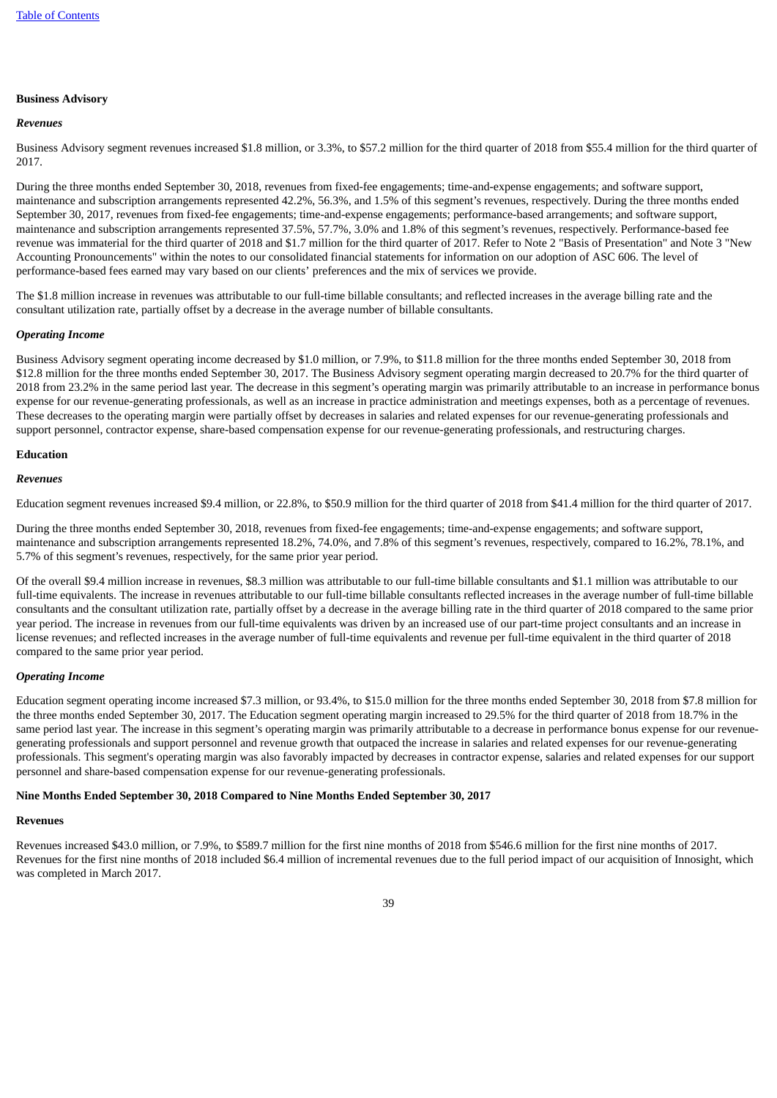## **Business Advisory**

#### *Revenues*

Business Advisory segment revenues increased \$1.8 million, or 3.3%, to \$57.2 million for the third quarter of 2018 from \$55.4 million for the third quarter of 2017.

During the three months ended September 30, 2018, revenues from fixed-fee engagements; time-and-expense engagements; and software support, maintenance and subscription arrangements represented 42.2%, 56.3%, and 1.5% of this segment's revenues, respectively. During the three months ended September 30, 2017, revenues from fixed-fee engagements; time-and-expense engagements; performance-based arrangements; and software support, maintenance and subscription arrangements represented 37.5%, 57.7%, 3.0% and 1.8% of this segment's revenues, respectively. Performance-based fee revenue was immaterial for the third quarter of 2018 and \$1.7 million for the third quarter of 2017. Refer to Note 2 "Basis of Presentation" and Note 3 "New Accounting Pronouncements" within the notes to our consolidated financial statements for information on our adoption of ASC 606. The level of performance-based fees earned may vary based on our clients' preferences and the mix of services we provide.

The \$1.8 million increase in revenues was attributable to our full-time billable consultants; and reflected increases in the average billing rate and the consultant utilization rate, partially offset by a decrease in the average number of billable consultants.

### *Operating Income*

Business Advisory segment operating income decreased by \$1.0 million, or 7.9%, to \$11.8 million for the three months ended September 30, 2018 from \$12.8 million for the three months ended September 30, 2017. The Business Advisory segment operating margin decreased to 20.7% for the third quarter of 2018 from 23.2% in the same period last year. The decrease in this segment's operating margin was primarily attributable to an increase in performance bonus expense for our revenue-generating professionals, as well as an increase in practice administration and meetings expenses, both as a percentage of revenues. These decreases to the operating margin were partially offset by decreases in salaries and related expenses for our revenue-generating professionals and support personnel, contractor expense, share-based compensation expense for our revenue-generating professionals, and restructuring charges.

#### **Education**

#### *Revenues*

Education segment revenues increased \$9.4 million, or 22.8%, to \$50.9 million for the third quarter of 2018 from \$41.4 million for the third quarter of 2017.

During the three months ended September 30, 2018, revenues from fixed-fee engagements; time-and-expense engagements; and software support, maintenance and subscription arrangements represented 18.2%, 74.0%, and 7.8% of this segment's revenues, respectively, compared to 16.2%, 78.1%, and 5.7% of this segment's revenues, respectively, for the same prior year period.

Of the overall \$9.4 million increase in revenues, \$8.3 million was attributable to our full-time billable consultants and \$1.1 million was attributable to our full-time equivalents. The increase in revenues attributable to our full-time billable consultants reflected increases in the average number of full-time billable consultants and the consultant utilization rate, partially offset by a decrease in the average billing rate in the third quarter of 2018 compared to the same prior year period. The increase in revenues from our full-time equivalents was driven by an increased use of our part-time project consultants and an increase in license revenues; and reflected increases in the average number of full-time equivalents and revenue per full-time equivalent in the third quarter of 2018 compared to the same prior year period.

#### *Operating Income*

Education segment operating income increased \$7.3 million, or 93.4%, to \$15.0 million for the three months ended September 30, 2018 from \$7.8 million for the three months ended September 30, 2017. The Education segment operating margin increased to 29.5% for the third quarter of 2018 from 18.7% in the same period last year. The increase in this segment's operating margin was primarily attributable to a decrease in performance bonus expense for our revenuegenerating professionals and support personnel and revenue growth that outpaced the increase in salaries and related expenses for our revenue-generating professionals. This segment's operating margin was also favorably impacted by decreases in contractor expense, salaries and related expenses for our support personnel and share-based compensation expense for our revenue-generating professionals.

#### **Nine Months Ended September 30, 2018 Compared to Nine Months Ended September 30, 2017**

## **Revenues**

Revenues increased \$43.0 million, or 7.9%, to \$589.7 million for the first nine months of 2018 from \$546.6 million for the first nine months of 2017. Revenues for the first nine months of 2018 included \$6.4 million of incremental revenues due to the full period impact of our acquisition of Innosight, which was completed in March 2017.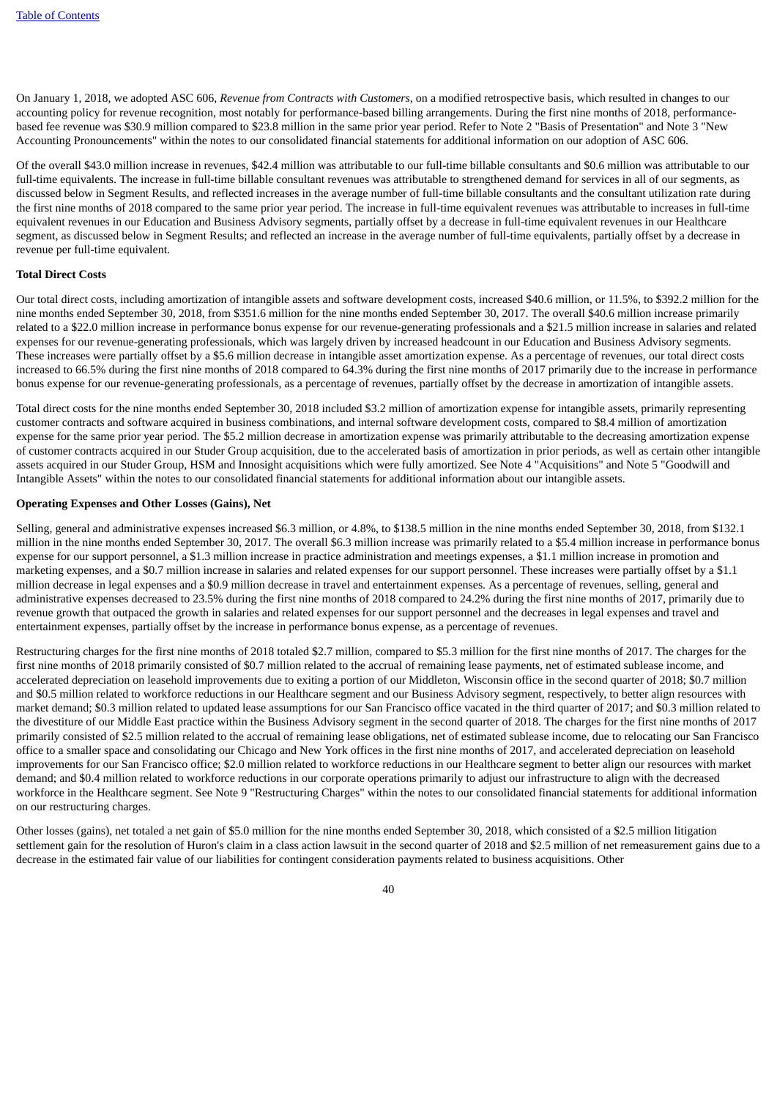On January 1, 2018, we adopted ASC 606, *Revenue from Contracts with Customers*, on a modified retrospective basis, which resulted in changes to our accounting policy for revenue recognition, most notably for performance-based billing arrangements. During the first nine months of 2018, performancebased fee revenue was \$30.9 million compared to \$23.8 million in the same prior year period. Refer to Note 2 "Basis of Presentation" and Note 3 "New Accounting Pronouncements" within the notes to our consolidated financial statements for additional information on our adoption of ASC 606.

Of the overall \$43.0 million increase in revenues, \$42.4 million was attributable to our full-time billable consultants and \$0.6 million was attributable to our full-time equivalents. The increase in full-time billable consultant revenues was attributable to strengthened demand for services in all of our segments, as discussed below in Segment Results, and reflected increases in the average number of full-time billable consultants and the consultant utilization rate during the first nine months of 2018 compared to the same prior year period. The increase in full-time equivalent revenues was attributable to increases in full-time equivalent revenues in our Education and Business Advisory segments, partially offset by a decrease in full-time equivalent revenues in our Healthcare segment, as discussed below in Segment Results; and reflected an increase in the average number of full-time equivalents, partially offset by a decrease in revenue per full-time equivalent.

#### **Total Direct Costs**

Our total direct costs, including amortization of intangible assets and software development costs, increased \$40.6 million, or 11.5%, to \$392.2 million for the nine months ended September 30, 2018, from \$351.6 million for the nine months ended September 30, 2017. The overall \$40.6 million increase primarily related to a \$22.0 million increase in performance bonus expense for our revenue-generating professionals and a \$21.5 million increase in salaries and related expenses for our revenue-generating professionals, which was largely driven by increased headcount in our Education and Business Advisory segments. These increases were partially offset by a \$5.6 million decrease in intangible asset amortization expense. As a percentage of revenues, our total direct costs increased to 66.5% during the first nine months of 2018 compared to 64.3% during the first nine months of 2017 primarily due to the increase in performance bonus expense for our revenue-generating professionals, as a percentage of revenues, partially offset by the decrease in amortization of intangible assets.

Total direct costs for the nine months ended September 30, 2018 included \$3.2 million of amortization expense for intangible assets, primarily representing customer contracts and software acquired in business combinations, and internal software development costs, compared to \$8.4 million of amortization expense for the same prior year period. The \$5.2 million decrease in amortization expense was primarily attributable to the decreasing amortization expense of customer contracts acquired in our Studer Group acquisition, due to the accelerated basis of amortization in prior periods, as well as certain other intangible assets acquired in our Studer Group, HSM and Innosight acquisitions which were fully amortized. See Note 4 "Acquisitions" and Note 5 "Goodwill and Intangible Assets" within the notes to our consolidated financial statements for additional information about our intangible assets.

#### **Operating Expenses and Other Losses (Gains), Net**

Selling, general and administrative expenses increased \$6.3 million, or 4.8%, to \$138.5 million in the nine months ended September 30, 2018, from \$132.1 million in the nine months ended September 30, 2017. The overall \$6.3 million increase was primarily related to a \$5.4 million increase in performance bonus expense for our support personnel, a \$1.3 million increase in practice administration and meetings expenses, a \$1.1 million increase in promotion and marketing expenses, and a \$0.7 million increase in salaries and related expenses for our support personnel. These increases were partially offset by a \$1.1 million decrease in legal expenses and a \$0.9 million decrease in travel and entertainment expenses. As a percentage of revenues, selling, general and administrative expenses decreased to 23.5% during the first nine months of 2018 compared to 24.2% during the first nine months of 2017, primarily due to revenue growth that outpaced the growth in salaries and related expenses for our support personnel and the decreases in legal expenses and travel and entertainment expenses, partially offset by the increase in performance bonus expense, as a percentage of revenues.

Restructuring charges for the first nine months of 2018 totaled \$2.7 million, compared to \$5.3 million for the first nine months of 2017. The charges for the first nine months of 2018 primarily consisted of \$0.7 million related to the accrual of remaining lease payments, net of estimated sublease income, and accelerated depreciation on leasehold improvements due to exiting a portion of our Middleton, Wisconsin office in the second quarter of 2018; \$0.7 million and \$0.5 million related to workforce reductions in our Healthcare segment and our Business Advisory segment, respectively, to better align resources with market demand; \$0.3 million related to updated lease assumptions for our San Francisco office vacated in the third quarter of 2017; and \$0.3 million related to the divestiture of our Middle East practice within the Business Advisory segment in the second quarter of 2018. The charges for the first nine months of 2017 primarily consisted of \$2.5 million related to the accrual of remaining lease obligations, net of estimated sublease income, due to relocating our San Francisco office to a smaller space and consolidating our Chicago and New York offices in the first nine months of 2017, and accelerated depreciation on leasehold improvements for our San Francisco office; \$2.0 million related to workforce reductions in our Healthcare segment to better align our resources with market demand; and \$0.4 million related to workforce reductions in our corporate operations primarily to adjust our infrastructure to align with the decreased workforce in the Healthcare segment. See Note 9 "Restructuring Charges" within the notes to our consolidated financial statements for additional information on our restructuring charges.

Other losses (gains), net totaled a net gain of \$5.0 million for the nine months ended September 30, 2018, which consisted of a \$2.5 million litigation settlement gain for the resolution of Huron's claim in a class action lawsuit in the second quarter of 2018 and \$2.5 million of net remeasurement gains due to a decrease in the estimated fair value of our liabilities for contingent consideration payments related to business acquisitions. Other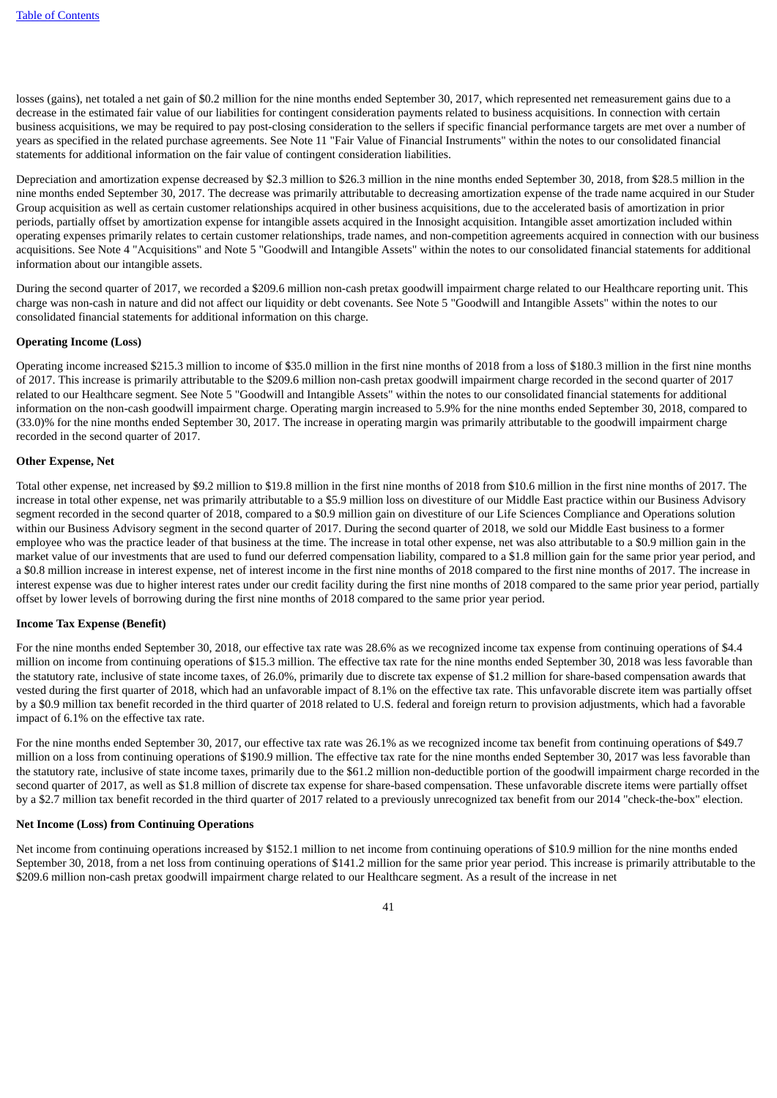losses (gains), net totaled a net gain of \$0.2 million for the nine months ended September 30, 2017, which represented net remeasurement gains due to a decrease in the estimated fair value of our liabilities for contingent consideration payments related to business acquisitions. In connection with certain business acquisitions, we may be required to pay post-closing consideration to the sellers if specific financial performance targets are met over a number of years as specified in the related purchase agreements. See Note 11 "Fair Value of Financial Instruments" within the notes to our consolidated financial statements for additional information on the fair value of contingent consideration liabilities.

Depreciation and amortization expense decreased by \$2.3 million to \$26.3 million in the nine months ended September 30, 2018, from \$28.5 million in the nine months ended September 30, 2017. The decrease was primarily attributable to decreasing amortization expense of the trade name acquired in our Studer Group acquisition as well as certain customer relationships acquired in other business acquisitions, due to the accelerated basis of amortization in prior periods, partially offset by amortization expense for intangible assets acquired in the Innosight acquisition. Intangible asset amortization included within operating expenses primarily relates to certain customer relationships, trade names, and non-competition agreements acquired in connection with our business acquisitions. See Note 4 "Acquisitions" and Note 5 "Goodwill and Intangible Assets" within the notes to our consolidated financial statements for additional information about our intangible assets.

During the second quarter of 2017, we recorded a \$209.6 million non-cash pretax goodwill impairment charge related to our Healthcare reporting unit. This charge was non-cash in nature and did not affect our liquidity or debt covenants. See Note 5 "Goodwill and Intangible Assets" within the notes to our consolidated financial statements for additional information on this charge.

#### **Operating Income (Loss)**

Operating income increased \$215.3 million to income of \$35.0 million in the first nine months of 2018 from a loss of \$180.3 million in the first nine months of 2017. This increase is primarily attributable to the \$209.6 million non-cash pretax goodwill impairment charge recorded in the second quarter of 2017 related to our Healthcare segment. See Note 5 "Goodwill and Intangible Assets" within the notes to our consolidated financial statements for additional information on the non-cash goodwill impairment charge. Operating margin increased to 5.9% for the nine months ended September 30, 2018, compared to (33.0)% for the nine months ended September 30, 2017. The increase in operating margin was primarily attributable to the goodwill impairment charge recorded in the second quarter of 2017.

## **Other Expense, Net**

Total other expense, net increased by \$9.2 million to \$19.8 million in the first nine months of 2018 from \$10.6 million in the first nine months of 2017. The increase in total other expense, net was primarily attributable to a \$5.9 million loss on divestiture of our Middle East practice within our Business Advisory segment recorded in the second quarter of 2018, compared to a \$0.9 million gain on divestiture of our Life Sciences Compliance and Operations solution within our Business Advisory segment in the second quarter of 2017. During the second quarter of 2018, we sold our Middle East business to a former employee who was the practice leader of that business at the time. The increase in total other expense, net was also attributable to a \$0.9 million gain in the market value of our investments that are used to fund our deferred compensation liability, compared to a \$1.8 million gain for the same prior year period, and a \$0.8 million increase in interest expense, net of interest income in the first nine months of 2018 compared to the first nine months of 2017. The increase in interest expense was due to higher interest rates under our credit facility during the first nine months of 2018 compared to the same prior year period, partially offset by lower levels of borrowing during the first nine months of 2018 compared to the same prior year period.

#### **Income Tax Expense (Benefit)**

For the nine months ended September 30, 2018, our effective tax rate was 28.6% as we recognized income tax expense from continuing operations of \$4.4 million on income from continuing operations of \$15.3 million. The effective tax rate for the nine months ended September 30, 2018 was less favorable than the statutory rate, inclusive of state income taxes, of 26.0%, primarily due to discrete tax expense of \$1.2 million for share-based compensation awards that vested during the first quarter of 2018, which had an unfavorable impact of 8.1% on the effective tax rate. This unfavorable discrete item was partially offset by a \$0.9 million tax benefit recorded in the third quarter of 2018 related to U.S. federal and foreign return to provision adjustments, which had a favorable impact of 6.1% on the effective tax rate.

For the nine months ended September 30, 2017, our effective tax rate was 26.1% as we recognized income tax benefit from continuing operations of \$49.7 million on a loss from continuing operations of \$190.9 million. The effective tax rate for the nine months ended September 30, 2017 was less favorable than the statutory rate, inclusive of state income taxes, primarily due to the \$61.2 million non-deductible portion of the goodwill impairment charge recorded in the second quarter of 2017, as well as \$1.8 million of discrete tax expense for share-based compensation. These unfavorable discrete items were partially offset by a \$2.7 million tax benefit recorded in the third quarter of 2017 related to a previously unrecognized tax benefit from our 2014 "check-the-box" election.

#### **Net Income (Loss) from Continuing Operations**

Net income from continuing operations increased by \$152.1 million to net income from continuing operations of \$10.9 million for the nine months ended September 30, 2018, from a net loss from continuing operations of \$141.2 million for the same prior year period. This increase is primarily attributable to the \$209.6 million non-cash pretax goodwill impairment charge related to our Healthcare segment. As a result of the increase in net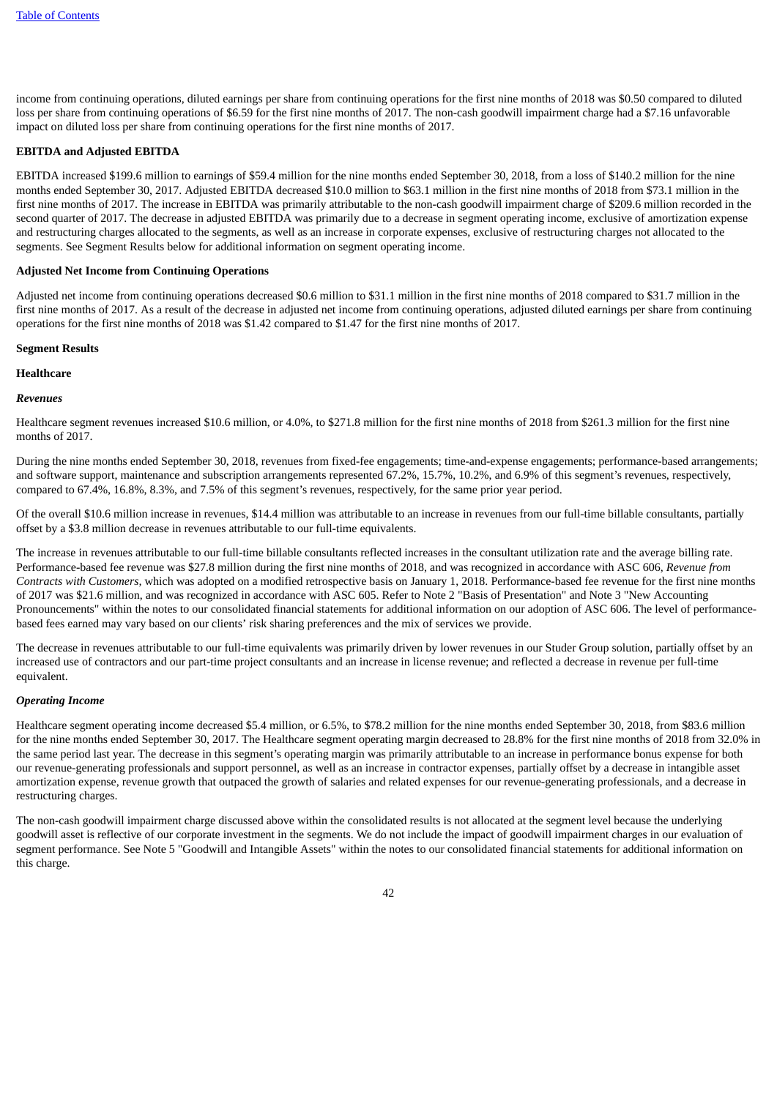income from continuing operations, diluted earnings per share from continuing operations for the first nine months of 2018 was \$0.50 compared to diluted loss per share from continuing operations of \$6.59 for the first nine months of 2017. The non-cash goodwill impairment charge had a \$7.16 unfavorable impact on diluted loss per share from continuing operations for the first nine months of 2017.

#### **EBITDA and Adjusted EBITDA**

EBITDA increased \$199.6 million to earnings of \$59.4 million for the nine months ended September 30, 2018, from a loss of \$140.2 million for the nine months ended September 30, 2017. Adjusted EBITDA decreased \$10.0 million to \$63.1 million in the first nine months of 2018 from \$73.1 million in the first nine months of 2017. The increase in EBITDA was primarily attributable to the non-cash goodwill impairment charge of \$209.6 million recorded in the second quarter of 2017. The decrease in adjusted EBITDA was primarily due to a decrease in segment operating income, exclusive of amortization expense and restructuring charges allocated to the segments, as well as an increase in corporate expenses, exclusive of restructuring charges not allocated to the segments. See Segment Results below for additional information on segment operating income.

#### **Adjusted Net Income from Continuing Operations**

Adjusted net income from continuing operations decreased \$0.6 million to \$31.1 million in the first nine months of 2018 compared to \$31.7 million in the first nine months of 2017. As a result of the decrease in adjusted net income from continuing operations, adjusted diluted earnings per share from continuing operations for the first nine months of 2018 was \$1.42 compared to \$1.47 for the first nine months of 2017.

## **Segment Results**

#### **Healthcare**

#### *Revenues*

Healthcare segment revenues increased \$10.6 million, or 4.0%, to \$271.8 million for the first nine months of 2018 from \$261.3 million for the first nine months of 2017.

During the nine months ended September 30, 2018, revenues from fixed-fee engagements; time-and-expense engagements; performance-based arrangements; and software support, maintenance and subscription arrangements represented 67.2%, 15.7%, 10.2%, and 6.9% of this segment's revenues, respectively, compared to 67.4%, 16.8%, 8.3%, and 7.5% of this segment's revenues, respectively, for the same prior year period.

Of the overall \$10.6 million increase in revenues, \$14.4 million was attributable to an increase in revenues from our full-time billable consultants, partially offset by a \$3.8 million decrease in revenues attributable to our full-time equivalents.

The increase in revenues attributable to our full-time billable consultants reflected increases in the consultant utilization rate and the average billing rate. Performance-based fee revenue was \$27.8 million during the first nine months of 2018, and was recognized in accordance with ASC 606, *Revenue from Contracts with Customers,* which was adopted on a modified retrospective basis on January 1, 2018. Performance-based fee revenue for the first nine months of 2017 was \$21.6 million, and was recognized in accordance with ASC 605. Refer to Note 2 "Basis of Presentation" and Note 3 "New Accounting Pronouncements" within the notes to our consolidated financial statements for additional information on our adoption of ASC 606. The level of performancebased fees earned may vary based on our clients' risk sharing preferences and the mix of services we provide.

The decrease in revenues attributable to our full-time equivalents was primarily driven by lower revenues in our Studer Group solution, partially offset by an increased use of contractors and our part-time project consultants and an increase in license revenue; and reflected a decrease in revenue per full-time equivalent.

#### *Operating Income*

Healthcare segment operating income decreased \$5.4 million, or 6.5%, to \$78.2 million for the nine months ended September 30, 2018, from \$83.6 million for the nine months ended September 30, 2017. The Healthcare segment operating margin decreased to 28.8% for the first nine months of 2018 from 32.0% in the same period last year. The decrease in this segment's operating margin was primarily attributable to an increase in performance bonus expense for both our revenue-generating professionals and support personnel, as well as an increase in contractor expenses, partially offset by a decrease in intangible asset amortization expense, revenue growth that outpaced the growth of salaries and related expenses for our revenue-generating professionals, and a decrease in restructuring charges.

The non-cash goodwill impairment charge discussed above within the consolidated results is not allocated at the segment level because the underlying goodwill asset is reflective of our corporate investment in the segments. We do not include the impact of goodwill impairment charges in our evaluation of segment performance. See Note 5 "Goodwill and Intangible Assets" within the notes to our consolidated financial statements for additional information on this charge.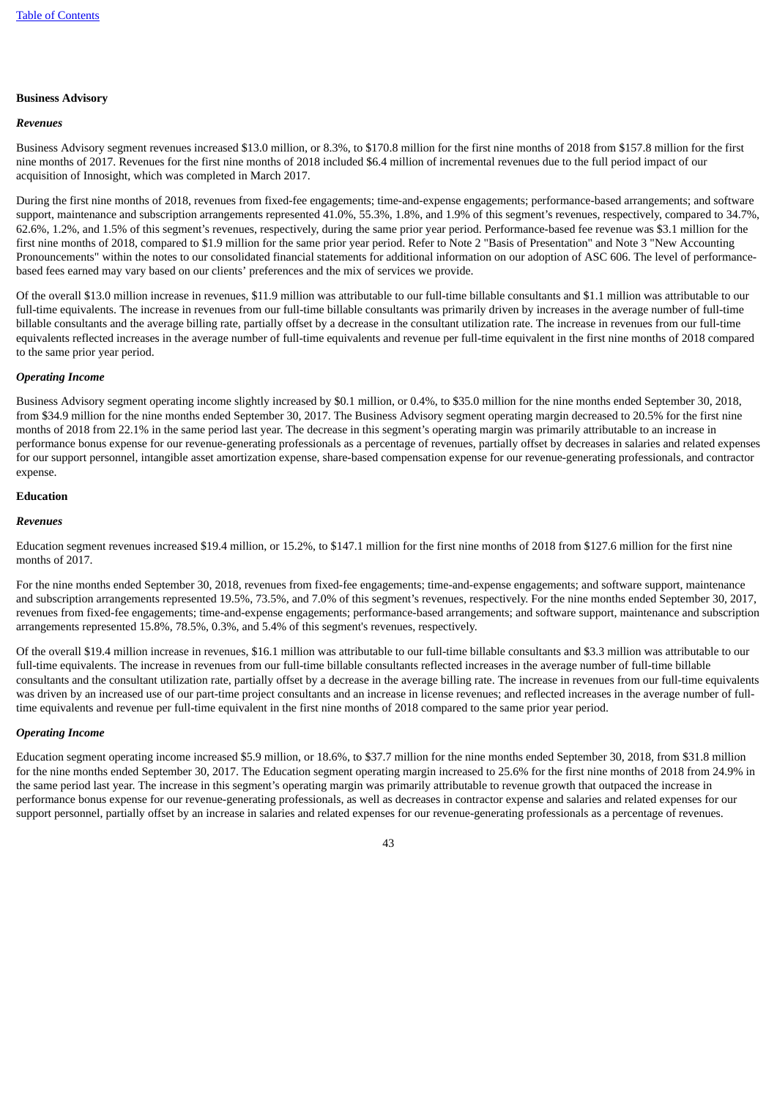#### **Business Advisory**

#### *Revenues*

Business Advisory segment revenues increased \$13.0 million, or 8.3%, to \$170.8 million for the first nine months of 2018 from \$157.8 million for the first nine months of 2017. Revenues for the first nine months of 2018 included \$6.4 million of incremental revenues due to the full period impact of our acquisition of Innosight, which was completed in March 2017.

During the first nine months of 2018, revenues from fixed-fee engagements; time-and-expense engagements; performance-based arrangements; and software support, maintenance and subscription arrangements represented 41.0%, 55.3%, 1.8%, and 1.9% of this segment's revenues, respectively, compared to 34.7%, 62.6%, 1.2%, and 1.5% of this segment's revenues, respectively, during the same prior year period. Performance-based fee revenue was \$3.1 million for the first nine months of 2018, compared to \$1.9 million for the same prior year period. Refer to Note 2 "Basis of Presentation" and Note 3 "New Accounting Pronouncements" within the notes to our consolidated financial statements for additional information on our adoption of ASC 606. The level of performancebased fees earned may vary based on our clients' preferences and the mix of services we provide.

Of the overall \$13.0 million increase in revenues, \$11.9 million was attributable to our full-time billable consultants and \$1.1 million was attributable to our full-time equivalents. The increase in revenues from our full-time billable consultants was primarily driven by increases in the average number of full-time billable consultants and the average billing rate, partially offset by a decrease in the consultant utilization rate. The increase in revenues from our full-time equivalents reflected increases in the average number of full-time equivalents and revenue per full-time equivalent in the first nine months of 2018 compared to the same prior year period.

#### *Operating Income*

Business Advisory segment operating income slightly increased by \$0.1 million, or 0.4%, to \$35.0 million for the nine months ended September 30, 2018, from \$34.9 million for the nine months ended September 30, 2017. The Business Advisory segment operating margin decreased to 20.5% for the first nine months of 2018 from 22.1% in the same period last year. The decrease in this segment's operating margin was primarily attributable to an increase in performance bonus expense for our revenue-generating professionals as a percentage of revenues, partially offset by decreases in salaries and related expenses for our support personnel, intangible asset amortization expense, share-based compensation expense for our revenue-generating professionals, and contractor expense.

#### **Education**

## *Revenues*

Education segment revenues increased \$19.4 million, or 15.2%, to \$147.1 million for the first nine months of 2018 from \$127.6 million for the first nine months of 2017.

For the nine months ended September 30, 2018, revenues from fixed-fee engagements; time-and-expense engagements; and software support, maintenance and subscription arrangements represented 19.5%, 73.5%, and 7.0% of this segment's revenues, respectively. For the nine months ended September 30, 2017, revenues from fixed-fee engagements; time-and-expense engagements; performance-based arrangements; and software support, maintenance and subscription arrangements represented 15.8%, 78.5%, 0.3%, and 5.4% of this segment's revenues, respectively.

Of the overall \$19.4 million increase in revenues, \$16.1 million was attributable to our full-time billable consultants and \$3.3 million was attributable to our full-time equivalents. The increase in revenues from our full-time billable consultants reflected increases in the average number of full-time billable consultants and the consultant utilization rate, partially offset by a decrease in the average billing rate. The increase in revenues from our full-time equivalents was driven by an increased use of our part-time project consultants and an increase in license revenues; and reflected increases in the average number of fulltime equivalents and revenue per full-time equivalent in the first nine months of 2018 compared to the same prior year period.

## *Operating Income*

Education segment operating income increased \$5.9 million, or 18.6%, to \$37.7 million for the nine months ended September 30, 2018, from \$31.8 million for the nine months ended September 30, 2017. The Education segment operating margin increased to 25.6% for the first nine months of 2018 from 24.9% in the same period last year. The increase in this segment's operating margin was primarily attributable to revenue growth that outpaced the increase in performance bonus expense for our revenue-generating professionals, as well as decreases in contractor expense and salaries and related expenses for our support personnel, partially offset by an increase in salaries and related expenses for our revenue-generating professionals as a percentage of revenues.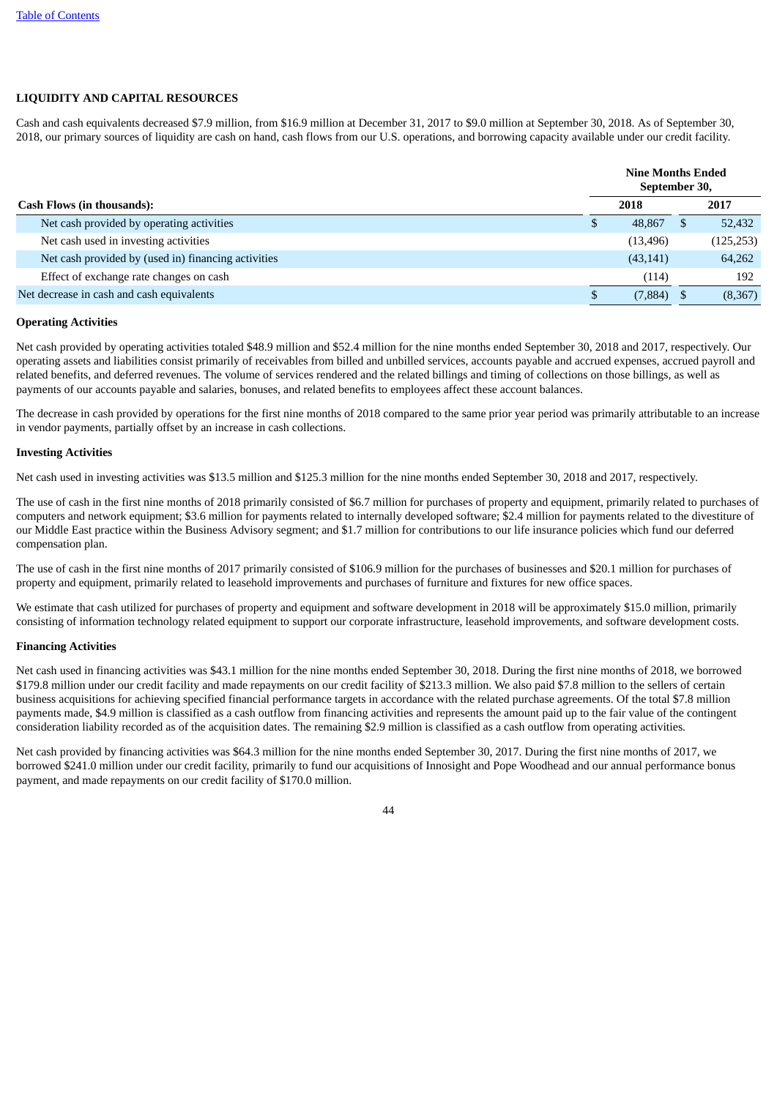## **LIQUIDITY AND CAPITAL RESOURCES**

Cash and cash equivalents decreased \$7.9 million, from \$16.9 million at December 31, 2017 to \$9.0 million at September 30, 2018. As of September 30, 2018, our primary sources of liquidity are cash on hand, cash flows from our U.S. operations, and borrowing capacity available under our credit facility.

|                                                     |           | <b>Nine Months Ended</b><br>September 30, |            |  |  |
|-----------------------------------------------------|-----------|-------------------------------------------|------------|--|--|
| <b>Cash Flows (in thousands):</b>                   | 2018      |                                           | 2017       |  |  |
| Net cash provided by operating activities           | 48,867    |                                           | 52,432     |  |  |
| Net cash used in investing activities               | (13, 496) |                                           | (125, 253) |  |  |
| Net cash provided by (used in) financing activities | (43, 141) |                                           | 64,262     |  |  |
| Effect of exchange rate changes on cash             | (114)     |                                           | 192        |  |  |
| Net decrease in cash and cash equivalents           | (7,884)   |                                           | (8,367)    |  |  |

#### **Operating Activities**

Net cash provided by operating activities totaled \$48.9 million and \$52.4 million for the nine months ended September 30, 2018 and 2017, respectively. Our operating assets and liabilities consist primarily of receivables from billed and unbilled services, accounts payable and accrued expenses, accrued payroll and related benefits, and deferred revenues. The volume of services rendered and the related billings and timing of collections on those billings, as well as payments of our accounts payable and salaries, bonuses, and related benefits to employees affect these account balances.

The decrease in cash provided by operations for the first nine months of 2018 compared to the same prior year period was primarily attributable to an increase in vendor payments, partially offset by an increase in cash collections.

#### **Investing Activities**

Net cash used in investing activities was \$13.5 million and \$125.3 million for the nine months ended September 30, 2018 and 2017, respectively.

The use of cash in the first nine months of 2018 primarily consisted of \$6.7 million for purchases of property and equipment, primarily related to purchases of computers and network equipment; \$3.6 million for payments related to internally developed software; \$2.4 million for payments related to the divestiture of our Middle East practice within the Business Advisory segment; and \$1.7 million for contributions to our life insurance policies which fund our deferred compensation plan.

The use of cash in the first nine months of 2017 primarily consisted of \$106.9 million for the purchases of businesses and \$20.1 million for purchases of property and equipment, primarily related to leasehold improvements and purchases of furniture and fixtures for new office spaces.

We estimate that cash utilized for purchases of property and equipment and software development in 2018 will be approximately \$15.0 million, primarily consisting of information technology related equipment to support our corporate infrastructure, leasehold improvements, and software development costs.

## **Financing Activities**

Net cash used in financing activities was \$43.1 million for the nine months ended September 30, 2018. During the first nine months of 2018, we borrowed \$179.8 million under our credit facility and made repayments on our credit facility of \$213.3 million. We also paid \$7.8 million to the sellers of certain business acquisitions for achieving specified financial performance targets in accordance with the related purchase agreements. Of the total \$7.8 million payments made, \$4.9 million is classified as a cash outflow from financing activities and represents the amount paid up to the fair value of the contingent consideration liability recorded as of the acquisition dates. The remaining \$2.9 million is classified as a cash outflow from operating activities.

Net cash provided by financing activities was \$64.3 million for the nine months ended September 30, 2017. During the first nine months of 2017, we borrowed \$241.0 million under our credit facility, primarily to fund our acquisitions of Innosight and Pope Woodhead and our annual performance bonus payment, and made repayments on our credit facility of \$170.0 million.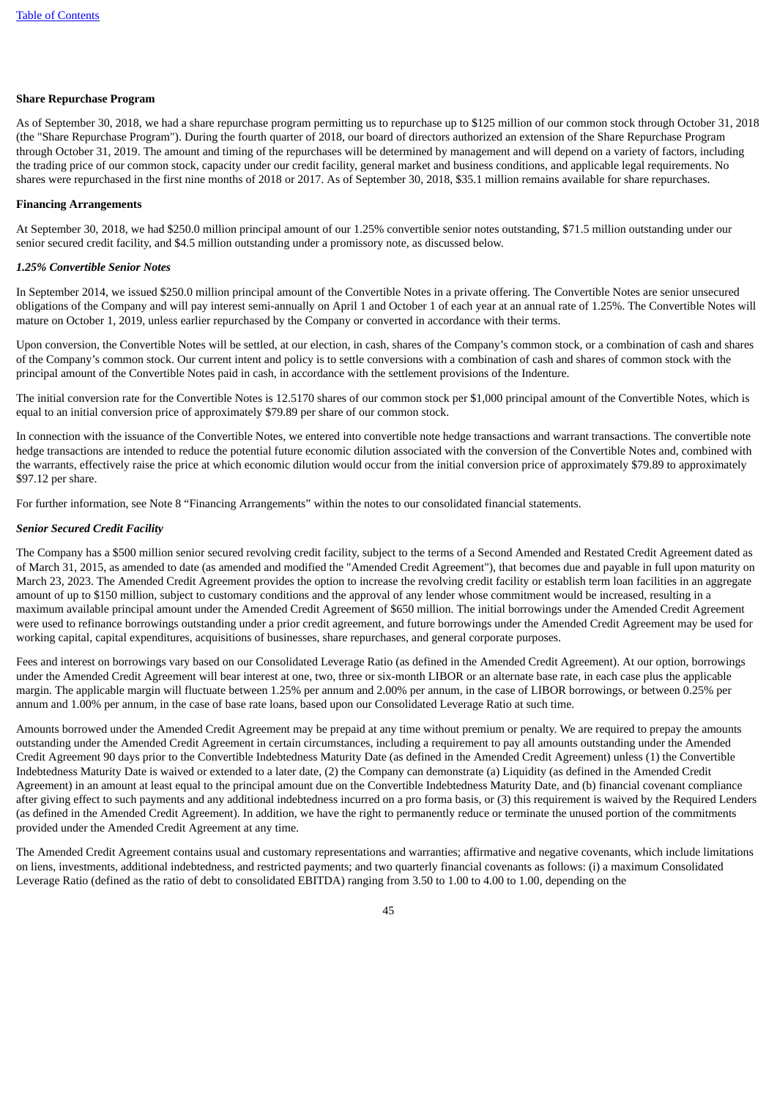# **Share Repurchase Program**

As of September 30, 2018, we had a share repurchase program permitting us to repurchase up to \$125 million of our common stock through October 31, 2018 (the "Share Repurchase Program"). During the fourth quarter of 2018, our board of directors authorized an extension of the Share Repurchase Program through October 31, 2019. The amount and timing of the repurchases will be determined by management and will depend on a variety of factors, including the trading price of our common stock, capacity under our credit facility, general market and business conditions, and applicable legal requirements. No shares were repurchased in the first nine months of 2018 or 2017. As of September 30, 2018, \$35.1 million remains available for share repurchases.

#### **Financing Arrangements**

At September 30, 2018, we had \$250.0 million principal amount of our 1.25% convertible senior notes outstanding, \$71.5 million outstanding under our senior secured credit facility, and \$4.5 million outstanding under a promissory note, as discussed below.

#### *1.25% Convertible Senior Notes*

In September 2014, we issued \$250.0 million principal amount of the Convertible Notes in a private offering. The Convertible Notes are senior unsecured obligations of the Company and will pay interest semi-annually on April 1 and October 1 of each year at an annual rate of 1.25%. The Convertible Notes will mature on October 1, 2019, unless earlier repurchased by the Company or converted in accordance with their terms.

Upon conversion, the Convertible Notes will be settled, at our election, in cash, shares of the Company's common stock, or a combination of cash and shares of the Company's common stock. Our current intent and policy is to settle conversions with a combination of cash and shares of common stock with the principal amount of the Convertible Notes paid in cash, in accordance with the settlement provisions of the Indenture.

The initial conversion rate for the Convertible Notes is 12.5170 shares of our common stock per \$1,000 principal amount of the Convertible Notes, which is equal to an initial conversion price of approximately \$79.89 per share of our common stock.

In connection with the issuance of the Convertible Notes, we entered into convertible note hedge transactions and warrant transactions. The convertible note hedge transactions are intended to reduce the potential future economic dilution associated with the conversion of the Convertible Notes and, combined with the warrants, effectively raise the price at which economic dilution would occur from the initial conversion price of approximately \$79.89 to approximately \$97.12 per share.

For further information, see Note 8 "Financing Arrangements" within the notes to our consolidated financial statements.

#### *Senior Secured Credit Facility*

The Company has a \$500 million senior secured revolving credit facility, subject to the terms of a Second Amended and Restated Credit Agreement dated as of March 31, 2015, as amended to date (as amended and modified the "Amended Credit Agreement"), that becomes due and payable in full upon maturity on March 23, 2023. The Amended Credit Agreement provides the option to increase the revolving credit facility or establish term loan facilities in an aggregate amount of up to \$150 million, subject to customary conditions and the approval of any lender whose commitment would be increased, resulting in a maximum available principal amount under the Amended Credit Agreement of \$650 million. The initial borrowings under the Amended Credit Agreement were used to refinance borrowings outstanding under a prior credit agreement, and future borrowings under the Amended Credit Agreement may be used for working capital, capital expenditures, acquisitions of businesses, share repurchases, and general corporate purposes.

Fees and interest on borrowings vary based on our Consolidated Leverage Ratio (as defined in the Amended Credit Agreement). At our option, borrowings under the Amended Credit Agreement will bear interest at one, two, three or six-month LIBOR or an alternate base rate, in each case plus the applicable margin. The applicable margin will fluctuate between 1.25% per annum and 2.00% per annum, in the case of LIBOR borrowings, or between 0.25% per annum and 1.00% per annum, in the case of base rate loans, based upon our Consolidated Leverage Ratio at such time.

Amounts borrowed under the Amended Credit Agreement may be prepaid at any time without premium or penalty. We are required to prepay the amounts outstanding under the Amended Credit Agreement in certain circumstances, including a requirement to pay all amounts outstanding under the Amended Credit Agreement 90 days prior to the Convertible Indebtedness Maturity Date (as defined in the Amended Credit Agreement) unless (1) the Convertible Indebtedness Maturity Date is waived or extended to a later date, (2) the Company can demonstrate (a) Liquidity (as defined in the Amended Credit Agreement) in an amount at least equal to the principal amount due on the Convertible Indebtedness Maturity Date, and (b) financial covenant compliance after giving effect to such payments and any additional indebtedness incurred on a pro forma basis, or (3) this requirement is waived by the Required Lenders (as defined in the Amended Credit Agreement). In addition, we have the right to permanently reduce or terminate the unused portion of the commitments provided under the Amended Credit Agreement at any time.

The Amended Credit Agreement contains usual and customary representations and warranties; affirmative and negative covenants, which include limitations on liens, investments, additional indebtedness, and restricted payments; and two quarterly financial covenants as follows: (i) a maximum Consolidated Leverage Ratio (defined as the ratio of debt to consolidated EBITDA) ranging from 3.50 to 1.00 to 4.00 to 1.00, depending on the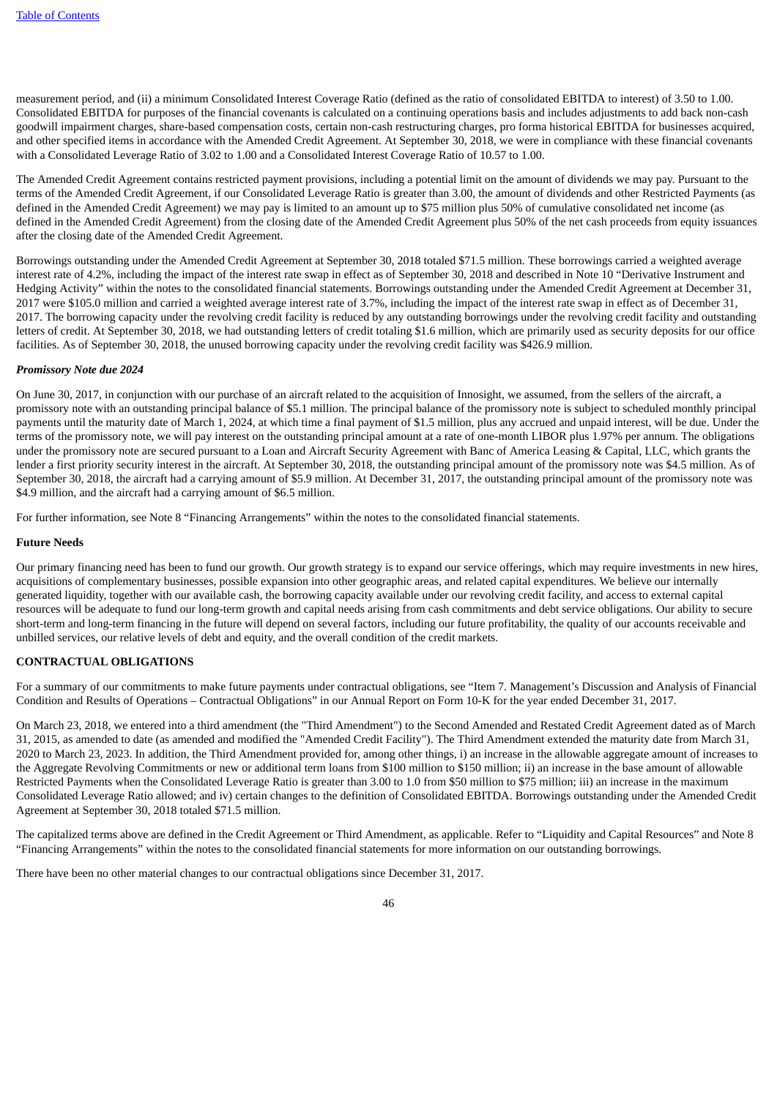measurement period, and (ii) a minimum Consolidated Interest Coverage Ratio (defined as the ratio of consolidated EBITDA to interest) of 3.50 to 1.00. Consolidated EBITDA for purposes of the financial covenants is calculated on a continuing operations basis and includes adjustments to add back non-cash goodwill impairment charges, share-based compensation costs, certain non-cash restructuring charges, pro forma historical EBITDA for businesses acquired, and other specified items in accordance with the Amended Credit Agreement. At September 30, 2018, we were in compliance with these financial covenants with a Consolidated Leverage Ratio of 3.02 to 1.00 and a Consolidated Interest Coverage Ratio of 10.57 to 1.00.

The Amended Credit Agreement contains restricted payment provisions, including a potential limit on the amount of dividends we may pay. Pursuant to the terms of the Amended Credit Agreement, if our Consolidated Leverage Ratio is greater than 3.00, the amount of dividends and other Restricted Payments (as defined in the Amended Credit Agreement) we may pay is limited to an amount up to \$75 million plus 50% of cumulative consolidated net income (as defined in the Amended Credit Agreement) from the closing date of the Amended Credit Agreement plus 50% of the net cash proceeds from equity issuances after the closing date of the Amended Credit Agreement.

Borrowings outstanding under the Amended Credit Agreement at September 30, 2018 totaled \$71.5 million. These borrowings carried a weighted average interest rate of 4.2%, including the impact of the interest rate swap in effect as of September 30, 2018 and described in Note 10 "Derivative Instrument and Hedging Activity" within the notes to the consolidated financial statements. Borrowings outstanding under the Amended Credit Agreement at December 31, 2017 were \$105.0 million and carried a weighted average interest rate of 3.7%, including the impact of the interest rate swap in effect as of December 31, 2017. The borrowing capacity under the revolving credit facility is reduced by any outstanding borrowings under the revolving credit facility and outstanding letters of credit. At September 30, 2018, we had outstanding letters of credit totaling \$1.6 million, which are primarily used as security deposits for our office facilities. As of September 30, 2018, the unused borrowing capacity under the revolving credit facility was \$426.9 million.

#### *Promissory Note due 2024*

On June 30, 2017, in conjunction with our purchase of an aircraft related to the acquisition of Innosight, we assumed, from the sellers of the aircraft, a promissory note with an outstanding principal balance of \$5.1 million. The principal balance of the promissory note is subject to scheduled monthly principal payments until the maturity date of March 1, 2024, at which time a final payment of \$1.5 million, plus any accrued and unpaid interest, will be due. Under the terms of the promissory note, we will pay interest on the outstanding principal amount at a rate of one-month LIBOR plus 1.97% per annum. The obligations under the promissory note are secured pursuant to a Loan and Aircraft Security Agreement with Banc of America Leasing & Capital, LLC, which grants the lender a first priority security interest in the aircraft. At September 30, 2018, the outstanding principal amount of the promissory note was \$4.5 million. As of September 30, 2018, the aircraft had a carrying amount of \$5.9 million. At December 31, 2017, the outstanding principal amount of the promissory note was \$4.9 million, and the aircraft had a carrying amount of \$6.5 million.

For further information, see Note 8 "Financing Arrangements" within the notes to the consolidated financial statements.

#### **Future Needs**

Our primary financing need has been to fund our growth. Our growth strategy is to expand our service offerings, which may require investments in new hires, acquisitions of complementary businesses, possible expansion into other geographic areas, and related capital expenditures. We believe our internally generated liquidity, together with our available cash, the borrowing capacity available under our revolving credit facility, and access to external capital resources will be adequate to fund our long-term growth and capital needs arising from cash commitments and debt service obligations. Our ability to secure short-term and long-term financing in the future will depend on several factors, including our future profitability, the quality of our accounts receivable and unbilled services, our relative levels of debt and equity, and the overall condition of the credit markets.

## **CONTRACTUAL OBLIGATIONS**

For a summary of our commitments to make future payments under contractual obligations, see "Item 7. Management's Discussion and Analysis of Financial Condition and Results of Operations – Contractual Obligations" in our Annual Report on Form 10-K for the year ended December 31, 2017.

On March 23, 2018, we entered into a third amendment (the "Third Amendment") to the Second Amended and Restated Credit Agreement dated as of March 31, 2015, as amended to date (as amended and modified the "Amended Credit Facility"). The Third Amendment extended the maturity date from March 31, 2020 to March 23, 2023. In addition, the Third Amendment provided for, among other things, i) an increase in the allowable aggregate amount of increases to the Aggregate Revolving Commitments or new or additional term loans from \$100 million to \$150 million; ii) an increase in the base amount of allowable Restricted Payments when the Consolidated Leverage Ratio is greater than 3.00 to 1.0 from \$50 million to \$75 million; iii) an increase in the maximum Consolidated Leverage Ratio allowed; and iv) certain changes to the definition of Consolidated EBITDA. Borrowings outstanding under the Amended Credit Agreement at September 30, 2018 totaled \$71.5 million.

The capitalized terms above are defined in the Credit Agreement or Third Amendment, as applicable. Refer to "Liquidity and Capital Resources" and Note 8 "Financing Arrangements" within the notes to the consolidated financial statements for more information on our outstanding borrowings.

There have been no other material changes to our contractual obligations since December 31, 2017.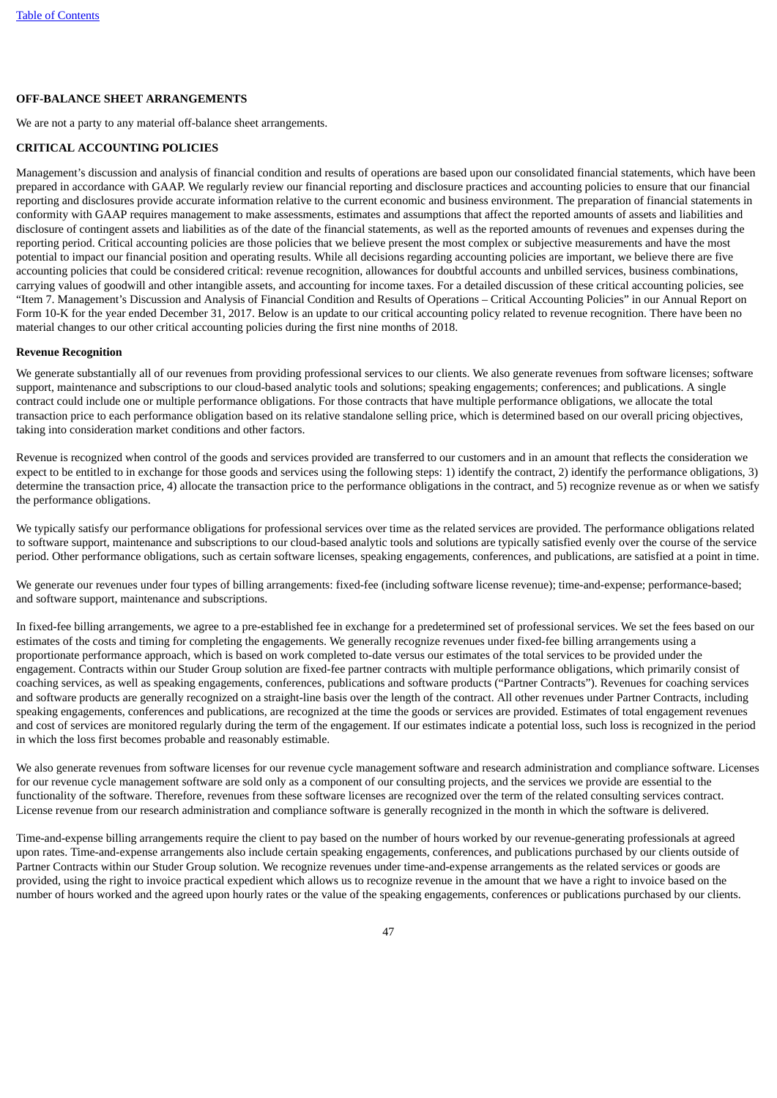## **OFF-BALANCE SHEET ARRANGEMENTS**

We are not a party to any material off-balance sheet arrangements.

#### **CRITICAL ACCOUNTING POLICIES**

Management's discussion and analysis of financial condition and results of operations are based upon our consolidated financial statements, which have been prepared in accordance with GAAP. We regularly review our financial reporting and disclosure practices and accounting policies to ensure that our financial reporting and disclosures provide accurate information relative to the current economic and business environment. The preparation of financial statements in conformity with GAAP requires management to make assessments, estimates and assumptions that affect the reported amounts of assets and liabilities and disclosure of contingent assets and liabilities as of the date of the financial statements, as well as the reported amounts of revenues and expenses during the reporting period. Critical accounting policies are those policies that we believe present the most complex or subjective measurements and have the most potential to impact our financial position and operating results. While all decisions regarding accounting policies are important, we believe there are five accounting policies that could be considered critical: revenue recognition, allowances for doubtful accounts and unbilled services, business combinations, carrying values of goodwill and other intangible assets, and accounting for income taxes. For a detailed discussion of these critical accounting policies, see "Item 7. Management's Discussion and Analysis of Financial Condition and Results of Operations – Critical Accounting Policies" in our Annual Report on Form 10-K for the year ended December 31, 2017. Below is an update to our critical accounting policy related to revenue recognition. There have been no material changes to our other critical accounting policies during the first nine months of 2018.

#### **Revenue Recognition**

We generate substantially all of our revenues from providing professional services to our clients. We also generate revenues from software licenses; software support, maintenance and subscriptions to our cloud-based analytic tools and solutions; speaking engagements; conferences; and publications. A single contract could include one or multiple performance obligations. For those contracts that have multiple performance obligations, we allocate the total transaction price to each performance obligation based on its relative standalone selling price, which is determined based on our overall pricing objectives, taking into consideration market conditions and other factors.

Revenue is recognized when control of the goods and services provided are transferred to our customers and in an amount that reflects the consideration we expect to be entitled to in exchange for those goods and services using the following steps: 1) identify the contract, 2) identify the performance obligations, 3) determine the transaction price, 4) allocate the transaction price to the performance obligations in the contract, and 5) recognize revenue as or when we satisfy the performance obligations.

We typically satisfy our performance obligations for professional services over time as the related services are provided. The performance obligations related to software support, maintenance and subscriptions to our cloud-based analytic tools and solutions are typically satisfied evenly over the course of the service period. Other performance obligations, such as certain software licenses, speaking engagements, conferences, and publications, are satisfied at a point in time.

We generate our revenues under four types of billing arrangements: fixed-fee (including software license revenue); time-and-expense; performance-based; and software support, maintenance and subscriptions.

In fixed-fee billing arrangements, we agree to a pre-established fee in exchange for a predetermined set of professional services. We set the fees based on our estimates of the costs and timing for completing the engagements. We generally recognize revenues under fixed-fee billing arrangements using a proportionate performance approach, which is based on work completed to-date versus our estimates of the total services to be provided under the engagement. Contracts within our Studer Group solution are fixed-fee partner contracts with multiple performance obligations, which primarily consist of coaching services, as well as speaking engagements, conferences, publications and software products ("Partner Contracts"). Revenues for coaching services and software products are generally recognized on a straight-line basis over the length of the contract. All other revenues under Partner Contracts, including speaking engagements, conferences and publications, are recognized at the time the goods or services are provided. Estimates of total engagement revenues and cost of services are monitored regularly during the term of the engagement. If our estimates indicate a potential loss, such loss is recognized in the period in which the loss first becomes probable and reasonably estimable.

We also generate revenues from software licenses for our revenue cycle management software and research administration and compliance software. Licenses for our revenue cycle management software are sold only as a component of our consulting projects, and the services we provide are essential to the functionality of the software. Therefore, revenues from these software licenses are recognized over the term of the related consulting services contract. License revenue from our research administration and compliance software is generally recognized in the month in which the software is delivered.

Time-and-expense billing arrangements require the client to pay based on the number of hours worked by our revenue-generating professionals at agreed upon rates. Time-and-expense arrangements also include certain speaking engagements, conferences, and publications purchased by our clients outside of Partner Contracts within our Studer Group solution. We recognize revenues under time-and-expense arrangements as the related services or goods are provided, using the right to invoice practical expedient which allows us to recognize revenue in the amount that we have a right to invoice based on the number of hours worked and the agreed upon hourly rates or the value of the speaking engagements, conferences or publications purchased by our clients.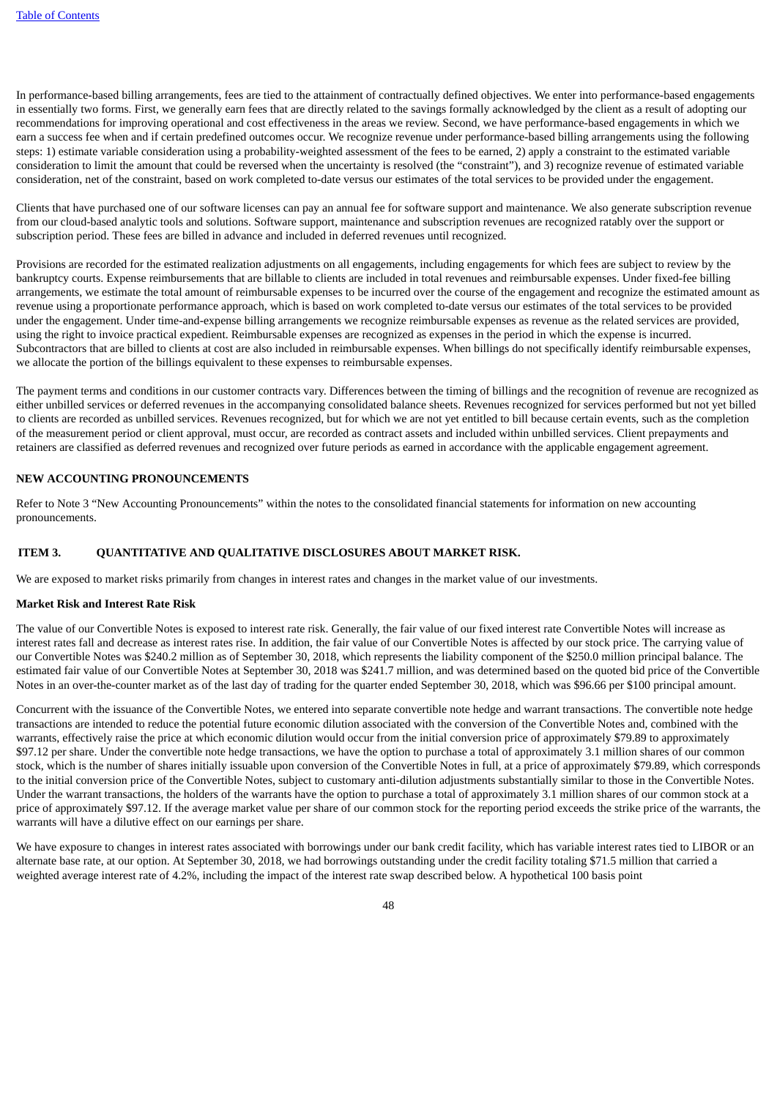In performance-based billing arrangements, fees are tied to the attainment of contractually defined objectives. We enter into performance-based engagements in essentially two forms. First, we generally earn fees that are directly related to the savings formally acknowledged by the client as a result of adopting our recommendations for improving operational and cost effectiveness in the areas we review. Second, we have performance-based engagements in which we earn a success fee when and if certain predefined outcomes occur. We recognize revenue under performance-based billing arrangements using the following steps: 1) estimate variable consideration using a probability-weighted assessment of the fees to be earned, 2) apply a constraint to the estimated variable consideration to limit the amount that could be reversed when the uncertainty is resolved (the "constraint"), and 3) recognize revenue of estimated variable consideration, net of the constraint, based on work completed to-date versus our estimates of the total services to be provided under the engagement.

Clients that have purchased one of our software licenses can pay an annual fee for software support and maintenance. We also generate subscription revenue from our cloud-based analytic tools and solutions. Software support, maintenance and subscription revenues are recognized ratably over the support or subscription period. These fees are billed in advance and included in deferred revenues until recognized.

Provisions are recorded for the estimated realization adjustments on all engagements, including engagements for which fees are subject to review by the bankruptcy courts. Expense reimbursements that are billable to clients are included in total revenues and reimbursable expenses. Under fixed-fee billing arrangements, we estimate the total amount of reimbursable expenses to be incurred over the course of the engagement and recognize the estimated amount as revenue using a proportionate performance approach, which is based on work completed to-date versus our estimates of the total services to be provided under the engagement. Under time-and-expense billing arrangements we recognize reimbursable expenses as revenue as the related services are provided, using the right to invoice practical expedient. Reimbursable expenses are recognized as expenses in the period in which the expense is incurred. Subcontractors that are billed to clients at cost are also included in reimbursable expenses. When billings do not specifically identify reimbursable expenses, we allocate the portion of the billings equivalent to these expenses to reimbursable expenses.

The payment terms and conditions in our customer contracts vary. Differences between the timing of billings and the recognition of revenue are recognized as either unbilled services or deferred revenues in the accompanying consolidated balance sheets. Revenues recognized for services performed but not yet billed to clients are recorded as unbilled services. Revenues recognized, but for which we are not yet entitled to bill because certain events, such as the completion of the measurement period or client approval, must occur, are recorded as contract assets and included within unbilled services. Client prepayments and retainers are classified as deferred revenues and recognized over future periods as earned in accordance with the applicable engagement agreement.

#### **NEW ACCOUNTING PRONOUNCEMENTS**

Refer to Note 3 "New Accounting Pronouncements" within the notes to the consolidated financial statements for information on new accounting pronouncements.

## <span id="page-49-0"></span>**ITEM 3. QUANTITATIVE AND QUALITATIVE DISCLOSURES ABOUT MARKET RISK.**

We are exposed to market risks primarily from changes in interest rates and changes in the market value of our investments.

#### **Market Risk and Interest Rate Risk**

The value of our Convertible Notes is exposed to interest rate risk. Generally, the fair value of our fixed interest rate Convertible Notes will increase as interest rates fall and decrease as interest rates rise. In addition, the fair value of our Convertible Notes is affected by our stock price. The carrying value of our Convertible Notes was \$240.2 million as of September 30, 2018, which represents the liability component of the \$250.0 million principal balance. The estimated fair value of our Convertible Notes at September 30, 2018 was \$241.7 million, and was determined based on the quoted bid price of the Convertible Notes in an over-the-counter market as of the last day of trading for the quarter ended September 30, 2018, which was \$96.66 per \$100 principal amount.

Concurrent with the issuance of the Convertible Notes, we entered into separate convertible note hedge and warrant transactions. The convertible note hedge transactions are intended to reduce the potential future economic dilution associated with the conversion of the Convertible Notes and, combined with the warrants, effectively raise the price at which economic dilution would occur from the initial conversion price of approximately \$79.89 to approximately \$97.12 per share. Under the convertible note hedge transactions, we have the option to purchase a total of approximately 3.1 million shares of our common stock, which is the number of shares initially issuable upon conversion of the Convertible Notes in full, at a price of approximately \$79.89, which corresponds to the initial conversion price of the Convertible Notes, subject to customary anti-dilution adjustments substantially similar to those in the Convertible Notes. Under the warrant transactions, the holders of the warrants have the option to purchase a total of approximately 3.1 million shares of our common stock at a price of approximately \$97.12. If the average market value per share of our common stock for the reporting period exceeds the strike price of the warrants, the warrants will have a dilutive effect on our earnings per share.

We have exposure to changes in interest rates associated with borrowings under our bank credit facility, which has variable interest rates tied to LIBOR or an alternate base rate, at our option. At September 30, 2018, we had borrowings outstanding under the credit facility totaling \$71.5 million that carried a weighted average interest rate of 4.2%, including the impact of the interest rate swap described below. A hypothetical 100 basis point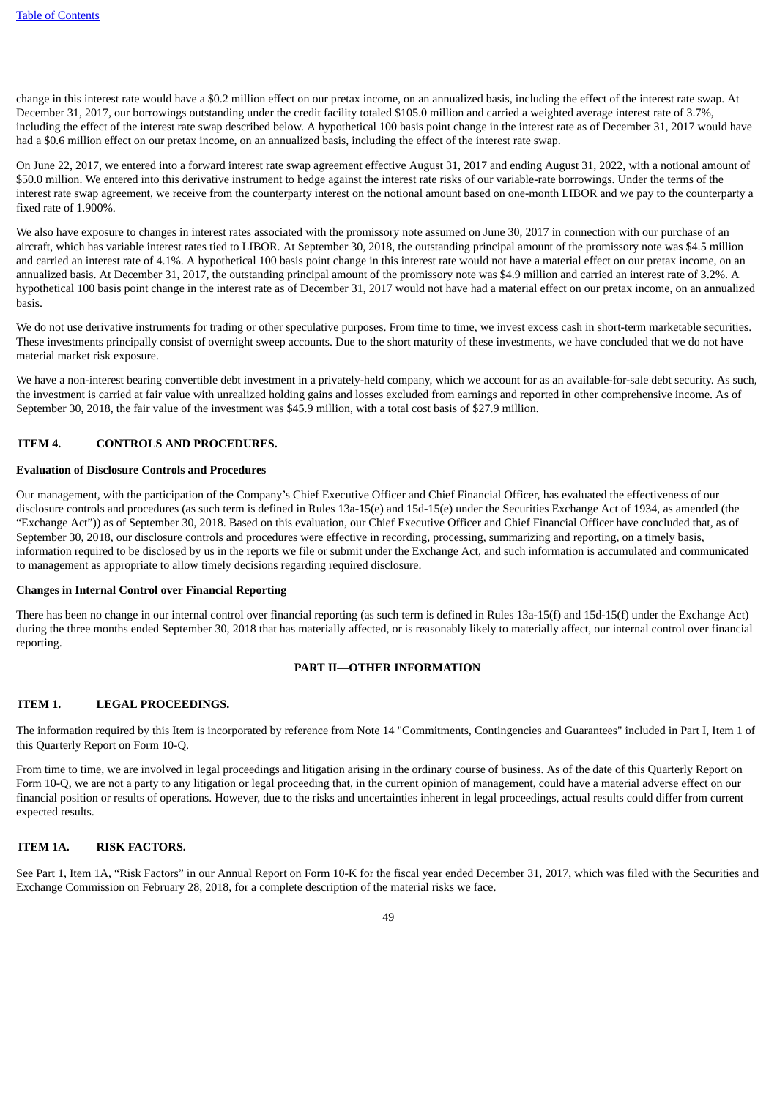change in this interest rate would have a \$0.2 million effect on our pretax income, on an annualized basis, including the effect of the interest rate swap. At December 31, 2017, our borrowings outstanding under the credit facility totaled \$105.0 million and carried a weighted average interest rate of 3.7%, including the effect of the interest rate swap described below. A hypothetical 100 basis point change in the interest rate as of December 31, 2017 would have had a \$0.6 million effect on our pretax income, on an annualized basis, including the effect of the interest rate swap.

On June 22, 2017, we entered into a forward interest rate swap agreement effective August 31, 2017 and ending August 31, 2022, with a notional amount of \$50.0 million. We entered into this derivative instrument to hedge against the interest rate risks of our variable-rate borrowings. Under the terms of the interest rate swap agreement, we receive from the counterparty interest on the notional amount based on one-month LIBOR and we pay to the counterparty a fixed rate of 1.900%.

We also have exposure to changes in interest rates associated with the promissory note assumed on June 30, 2017 in connection with our purchase of an aircraft, which has variable interest rates tied to LIBOR. At September 30, 2018, the outstanding principal amount of the promissory note was \$4.5 million and carried an interest rate of 4.1%. A hypothetical 100 basis point change in this interest rate would not have a material effect on our pretax income, on an annualized basis. At December 31, 2017, the outstanding principal amount of the promissory note was \$4.9 million and carried an interest rate of 3.2%. A hypothetical 100 basis point change in the interest rate as of December 31, 2017 would not have had a material effect on our pretax income, on an annualized basis.

We do not use derivative instruments for trading or other speculative purposes. From time to time, we invest excess cash in short-term marketable securities. These investments principally consist of overnight sweep accounts. Due to the short maturity of these investments, we have concluded that we do not have material market risk exposure.

We have a non-interest bearing convertible debt investment in a privately-held company, which we account for as an available-for-sale debt security. As such, the investment is carried at fair value with unrealized holding gains and losses excluded from earnings and reported in other comprehensive income. As of September 30, 2018, the fair value of the investment was \$45.9 million, with a total cost basis of \$27.9 million.

## <span id="page-50-0"></span>**ITEM 4. CONTROLS AND PROCEDURES.**

#### **Evaluation of Disclosure Controls and Procedures**

Our management, with the participation of the Company's Chief Executive Officer and Chief Financial Officer, has evaluated the effectiveness of our disclosure controls and procedures (as such term is defined in Rules 13a-15(e) and 15d-15(e) under the Securities Exchange Act of 1934, as amended (the "Exchange Act")) as of September 30, 2018. Based on this evaluation, our Chief Executive Officer and Chief Financial Officer have concluded that, as of September 30, 2018, our disclosure controls and procedures were effective in recording, processing, summarizing and reporting, on a timely basis, information required to be disclosed by us in the reports we file or submit under the Exchange Act, and such information is accumulated and communicated to management as appropriate to allow timely decisions regarding required disclosure.

#### **Changes in Internal Control over Financial Reporting**

<span id="page-50-1"></span>There has been no change in our internal control over financial reporting (as such term is defined in Rules 13a-15(f) and 15d-15(f) under the Exchange Act) during the three months ended September 30, 2018 that has materially affected, or is reasonably likely to materially affect, our internal control over financial reporting.

## **PART II—OTHER INFORMATION**

## <span id="page-50-2"></span>**ITEM 1. LEGAL PROCEEDINGS.**

The information required by this Item is incorporated by reference from Note 14 "Commitments, Contingencies and Guarantees" included in Part I, Item 1 of this Quarterly Report on Form 10-Q.

From time to time, we are involved in legal proceedings and litigation arising in the ordinary course of business. As of the date of this Quarterly Report on Form 10-Q, we are not a party to any litigation or legal proceeding that, in the current opinion of management, could have a material adverse effect on our financial position or results of operations. However, due to the risks and uncertainties inherent in legal proceedings, actual results could differ from current expected results.

#### <span id="page-50-3"></span>**ITEM 1A. RISK FACTORS.**

See Part 1, Item 1A, "Risk Factors" in our Annual Report on Form 10-K for the fiscal year ended December 31, 2017, which was filed with the Securities and Exchange Commission on February 28, 2018, for a complete description of the material risks we face.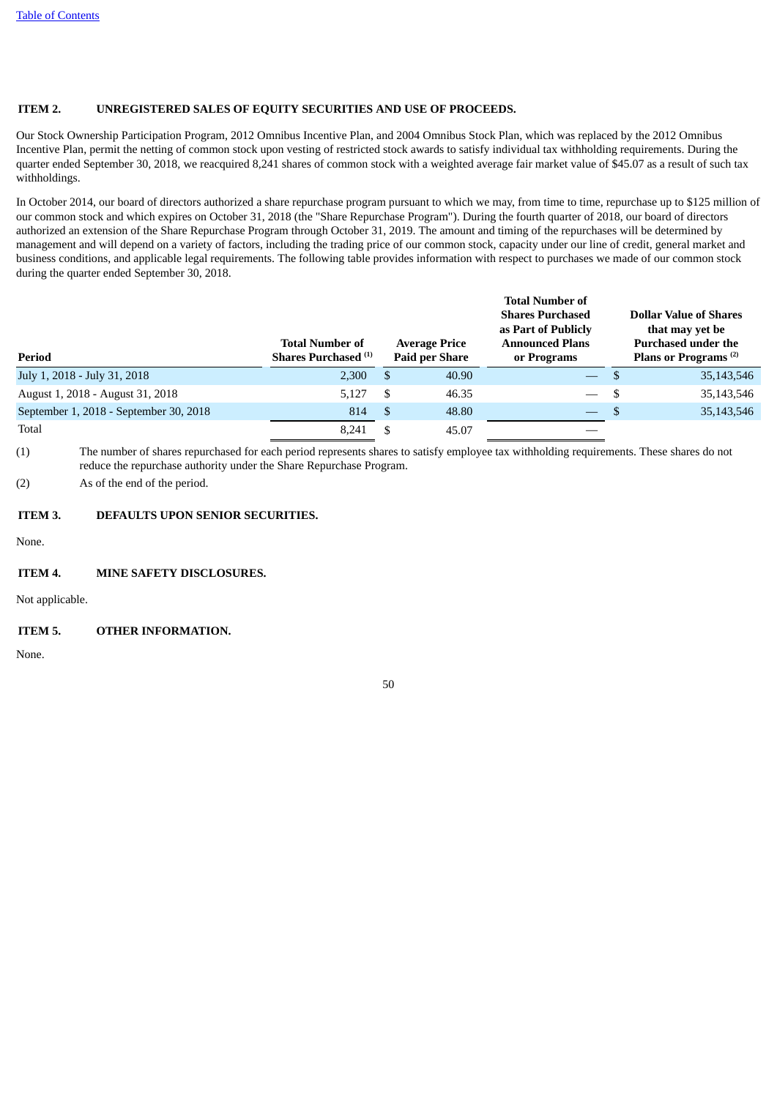# <span id="page-51-0"></span>**ITEM 2. UNREGISTERED SALES OF EQUITY SECURITIES AND USE OF PROCEEDS.**

Our Stock Ownership Participation Program, 2012 Omnibus Incentive Plan, and 2004 Omnibus Stock Plan, which was replaced by the 2012 Omnibus Incentive Plan, permit the netting of common stock upon vesting of restricted stock awards to satisfy individual tax withholding requirements. During the quarter ended September 30, 2018, we reacquired 8,241 shares of common stock with a weighted average fair market value of \$45.07 as a result of such tax withholdings.

In October 2014, our board of directors authorized a share repurchase program pursuant to which we may, from time to time, repurchase up to \$125 million of our common stock and which expires on October 31, 2018 (the "Share Repurchase Program"). During the fourth quarter of 2018, our board of directors authorized an extension of the Share Repurchase Program through October 31, 2019. The amount and timing of the repurchases will be determined by management and will depend on a variety of factors, including the trading price of our common stock, capacity under our line of credit, general market and business conditions, and applicable legal requirements. The following table provides information with respect to purchases we made of our common stock during the quarter ended September 30, 2018.

| Period                                 | <b>Total Number of</b><br><b>Shares Purchased</b> <sup>(1)</sup> |              | <b>Average Price</b><br><b>Paid per Share</b> | <b>Total Number of</b><br><b>Shares Purchased</b><br>as Part of Publicly<br><b>Announced Plans</b><br>or Programs |      | <b>Dollar Value of Shares</b><br>that may yet be<br><b>Purchased under the</b><br>Plans or Programs <sup>(2)</sup> |
|----------------------------------------|------------------------------------------------------------------|--------------|-----------------------------------------------|-------------------------------------------------------------------------------------------------------------------|------|--------------------------------------------------------------------------------------------------------------------|
| July 1, 2018 - July 31, 2018           | 2,300                                                            | <sup>S</sup> | 40.90                                         |                                                                                                                   |      | 35,143,546                                                                                                         |
| August 1, 2018 - August 31, 2018       | 5.127                                                            | - \$         | 46.35                                         | $\frac{1}{2}$                                                                                                     | - \$ | 35,143,546                                                                                                         |
| September 1, 2018 - September 30, 2018 | 814                                                              | - \$         | 48.80                                         | $\overline{\phantom{a}}$                                                                                          | - \$ | 35,143,546                                                                                                         |
| Total                                  | 8,241                                                            | S.           | 45.07                                         |                                                                                                                   |      |                                                                                                                    |

(1) The number of shares repurchased for each period represents shares to satisfy employee tax withholding requirements. These shares do not reduce the repurchase authority under the Share Repurchase Program.

<span id="page-51-1"></span>(2) As of the end of the period.

# **ITEM 3. DEFAULTS UPON SENIOR SECURITIES.**

<span id="page-51-2"></span>None.

## **ITEM 4. MINE SAFETY DISCLOSURES.**

<span id="page-51-3"></span>Not applicable.

## **ITEM 5. OTHER INFORMATION.**

None.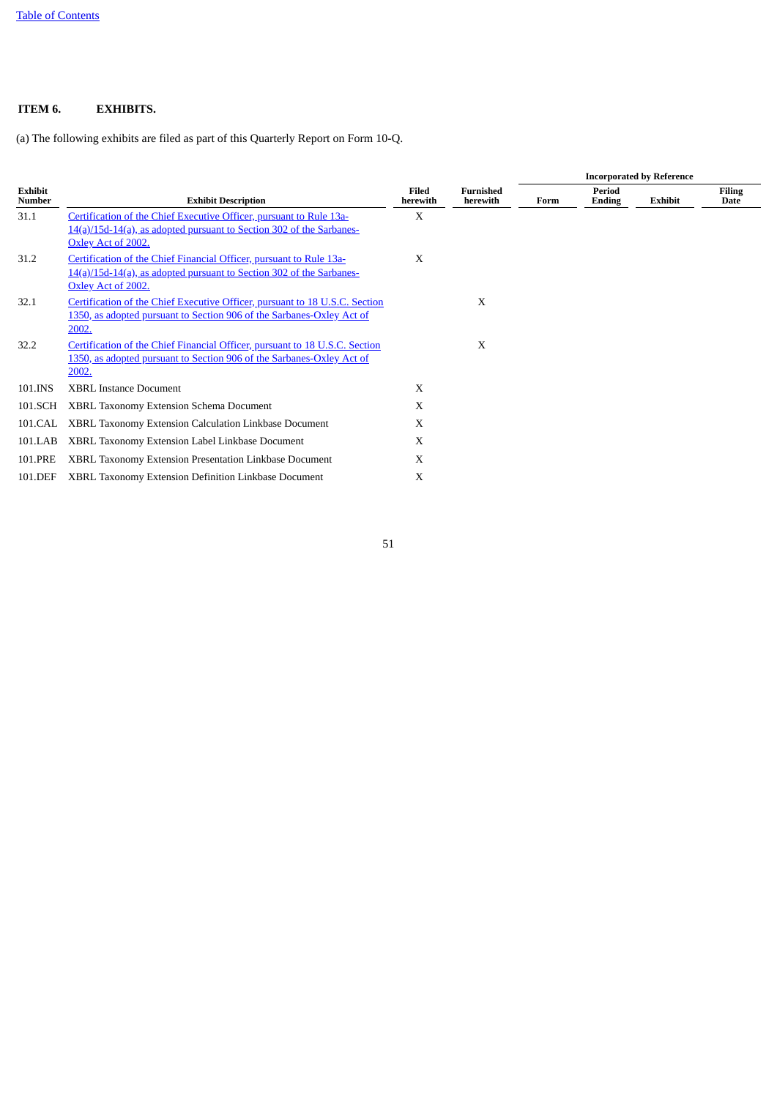# <span id="page-52-0"></span>**ITEM 6. EXHIBITS.**

(a) The following exhibits are filed as part of this Quarterly Report on Form 10-Q.

|                   |                                                                                                                                                                   |                   |                              | <b>Incorporated by Reference</b> |                  |                |                       |  |  |  |
|-------------------|-------------------------------------------------------------------------------------------------------------------------------------------------------------------|-------------------|------------------------------|----------------------------------|------------------|----------------|-----------------------|--|--|--|
| Exhibit<br>Number | <b>Exhibit Description</b>                                                                                                                                        | Filed<br>herewith | <b>Furnished</b><br>herewith | Form                             | Period<br>Ending | <b>Exhibit</b> | <b>Filing</b><br>Date |  |  |  |
| 31.1              | Certification of the Chief Executive Officer, pursuant to Rule 13a-<br>14(a)/15d-14(a), as adopted pursuant to Section 302 of the Sarbanes-<br>Oxley Act of 2002. | X                 |                              |                                  |                  |                |                       |  |  |  |
| 31.2              | Certification of the Chief Financial Officer, pursuant to Rule 13a-<br>14(a)/15d-14(a), as adopted pursuant to Section 302 of the Sarbanes-<br>Oxley Act of 2002. | X                 |                              |                                  |                  |                |                       |  |  |  |
| 32.1              | Certification of the Chief Executive Officer, pursuant to 18 U.S.C. Section<br>1350, as adopted pursuant to Section 906 of the Sarbanes-Oxley Act of<br>2002.     |                   | X                            |                                  |                  |                |                       |  |  |  |
| 32.2              | Certification of the Chief Financial Officer, pursuant to 18 U.S.C. Section<br>1350, as adopted pursuant to Section 906 of the Sarbanes-Oxley Act of<br>2002.     |                   | X                            |                                  |                  |                |                       |  |  |  |
| 101.INS           | <b>XBRL Instance Document</b>                                                                                                                                     | X                 |                              |                                  |                  |                |                       |  |  |  |
| 101.SCH           | XBRL Taxonomy Extension Schema Document                                                                                                                           | X                 |                              |                                  |                  |                |                       |  |  |  |
| 101.CAL           | XBRL Taxonomy Extension Calculation Linkbase Document                                                                                                             | X                 |                              |                                  |                  |                |                       |  |  |  |
| 101.LAB           | XBRL Taxonomy Extension Label Linkbase Document                                                                                                                   | X                 |                              |                                  |                  |                |                       |  |  |  |
| 101.PRE           | XBRL Taxonomy Extension Presentation Linkbase Document                                                                                                            | X                 |                              |                                  |                  |                |                       |  |  |  |
| 101.DEF           | XBRL Taxonomy Extension Definition Linkbase Document                                                                                                              | X                 |                              |                                  |                  |                |                       |  |  |  |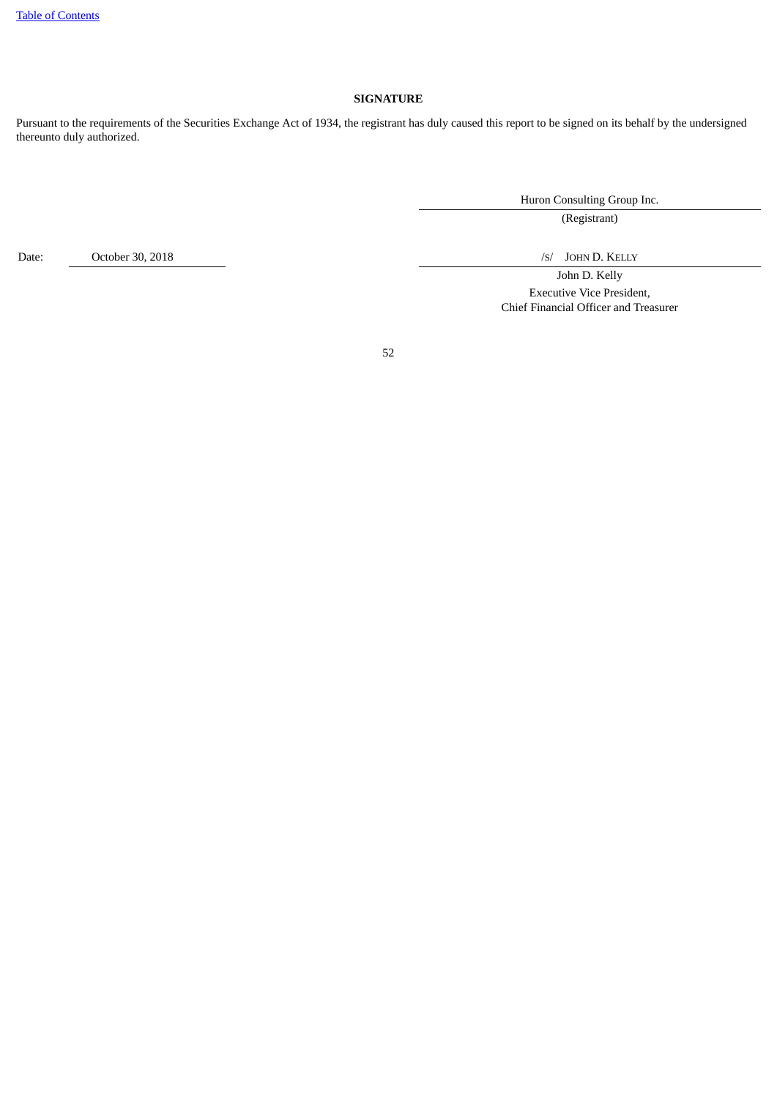## **SIGNATURE**

<span id="page-53-0"></span>Pursuant to the requirements of the Securities Exchange Act of 1934, the registrant has duly caused this report to be signed on its behalf by the undersigned thereunto duly authorized.

Huron Consulting Group Inc.

(Registrant)

Date: October 30, 2018 /S/ JOHN D. KELLY

John D. Kelly Executive Vice President, Chief Financial Officer and Treasurer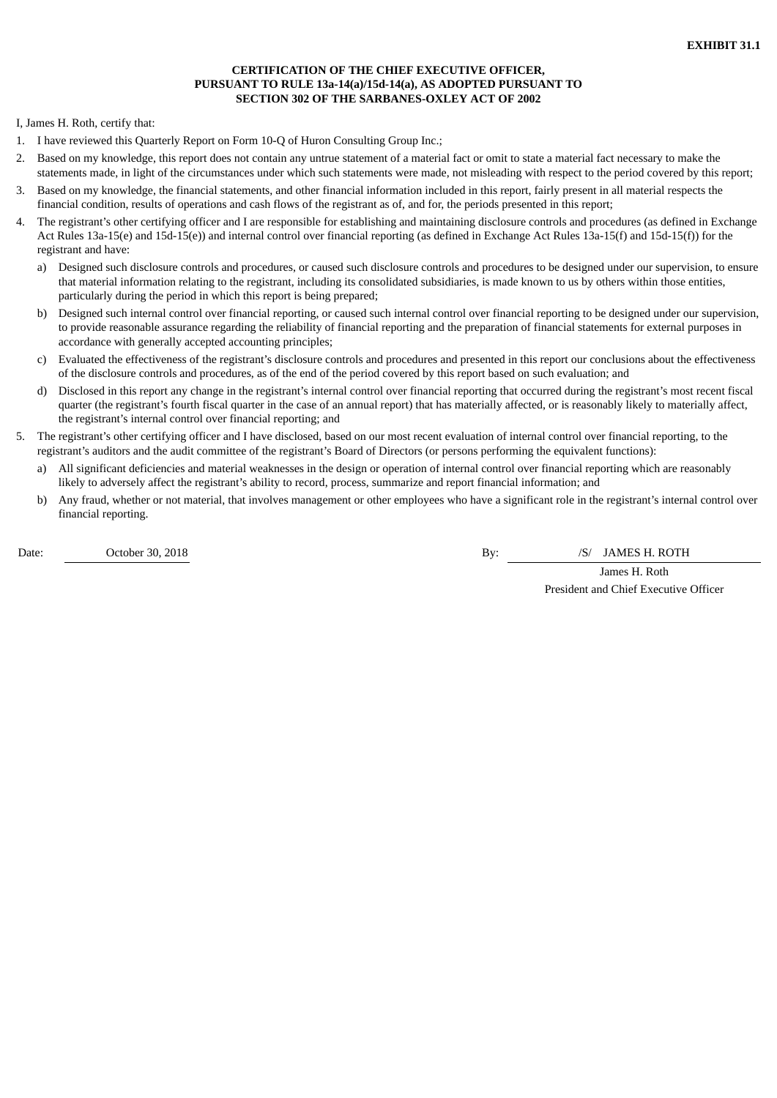## **CERTIFICATION OF THE CHIEF EXECUTIVE OFFICER, PURSUANT TO RULE 13a-14(a)/15d-14(a), AS ADOPTED PURSUANT TO SECTION 302 OF THE SARBANES-OXLEY ACT OF 2002**

<span id="page-54-0"></span>I, James H. Roth, certify that:

- 1. I have reviewed this Quarterly Report on Form 10-Q of Huron Consulting Group Inc.;
- 2. Based on my knowledge, this report does not contain any untrue statement of a material fact or omit to state a material fact necessary to make the statements made, in light of the circumstances under which such statements were made, not misleading with respect to the period covered by this report;
- 3. Based on my knowledge, the financial statements, and other financial information included in this report, fairly present in all material respects the financial condition, results of operations and cash flows of the registrant as of, and for, the periods presented in this report;
- 4. The registrant's other certifying officer and I are responsible for establishing and maintaining disclosure controls and procedures (as defined in Exchange Act Rules 13a-15(e) and 15d-15(e)) and internal control over financial reporting (as defined in Exchange Act Rules 13a-15(f) and 15d-15(f)) for the registrant and have:
	- a) Designed such disclosure controls and procedures, or caused such disclosure controls and procedures to be designed under our supervision, to ensure that material information relating to the registrant, including its consolidated subsidiaries, is made known to us by others within those entities, particularly during the period in which this report is being prepared;
	- b) Designed such internal control over financial reporting, or caused such internal control over financial reporting to be designed under our supervision, to provide reasonable assurance regarding the reliability of financial reporting and the preparation of financial statements for external purposes in accordance with generally accepted accounting principles;
	- c) Evaluated the effectiveness of the registrant's disclosure controls and procedures and presented in this report our conclusions about the effectiveness of the disclosure controls and procedures, as of the end of the period covered by this report based on such evaluation; and
	- d) Disclosed in this report any change in the registrant's internal control over financial reporting that occurred during the registrant's most recent fiscal quarter (the registrant's fourth fiscal quarter in the case of an annual report) that has materially affected, or is reasonably likely to materially affect, the registrant's internal control over financial reporting; and
- 5. The registrant's other certifying officer and I have disclosed, based on our most recent evaluation of internal control over financial reporting, to the registrant's auditors and the audit committee of the registrant's Board of Directors (or persons performing the equivalent functions):
	- a) All significant deficiencies and material weaknesses in the design or operation of internal control over financial reporting which are reasonably likely to adversely affect the registrant's ability to record, process, summarize and report financial information; and
	- b) Any fraud, whether or not material, that involves management or other employees who have a significant role in the registrant's internal control over financial reporting.

Date: Corollars Corollars Corollars Corollars Corollars Corollars Corollars By: Corollars Corollars Corollars Corollars Corollars Corollars Corollars Corollars Corollars Corollars Corollars Corollars Corollars Corollars Co

James H. Roth President and Chief Executive Officer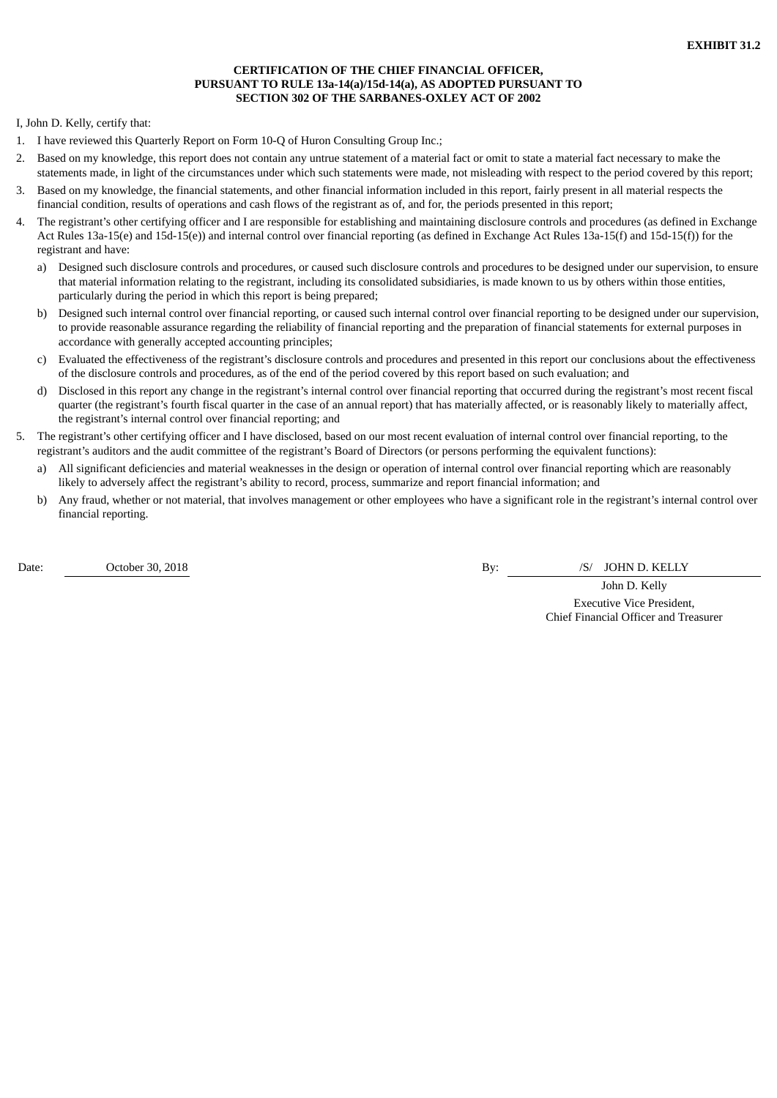## **CERTIFICATION OF THE CHIEF FINANCIAL OFFICER, PURSUANT TO RULE 13a-14(a)/15d-14(a), AS ADOPTED PURSUANT TO SECTION 302 OF THE SARBANES-OXLEY ACT OF 2002**

<span id="page-55-0"></span>I, John D. Kelly, certify that:

- 1. I have reviewed this Quarterly Report on Form 10-Q of Huron Consulting Group Inc.;
- 2. Based on my knowledge, this report does not contain any untrue statement of a material fact or omit to state a material fact necessary to make the statements made, in light of the circumstances under which such statements were made, not misleading with respect to the period covered by this report;
- 3. Based on my knowledge, the financial statements, and other financial information included in this report, fairly present in all material respects the financial condition, results of operations and cash flows of the registrant as of, and for, the periods presented in this report;
- 4. The registrant's other certifying officer and I are responsible for establishing and maintaining disclosure controls and procedures (as defined in Exchange Act Rules 13a-15(e) and 15d-15(e)) and internal control over financial reporting (as defined in Exchange Act Rules 13a-15(f) and 15d-15(f)) for the registrant and have:
	- a) Designed such disclosure controls and procedures, or caused such disclosure controls and procedures to be designed under our supervision, to ensure that material information relating to the registrant, including its consolidated subsidiaries, is made known to us by others within those entities, particularly during the period in which this report is being prepared;
	- b) Designed such internal control over financial reporting, or caused such internal control over financial reporting to be designed under our supervision, to provide reasonable assurance regarding the reliability of financial reporting and the preparation of financial statements for external purposes in accordance with generally accepted accounting principles;
	- c) Evaluated the effectiveness of the registrant's disclosure controls and procedures and presented in this report our conclusions about the effectiveness of the disclosure controls and procedures, as of the end of the period covered by this report based on such evaluation; and
	- d) Disclosed in this report any change in the registrant's internal control over financial reporting that occurred during the registrant's most recent fiscal quarter (the registrant's fourth fiscal quarter in the case of an annual report) that has materially affected, or is reasonably likely to materially affect, the registrant's internal control over financial reporting; and
- 5. The registrant's other certifying officer and I have disclosed, based on our most recent evaluation of internal control over financial reporting, to the registrant's auditors and the audit committee of the registrant's Board of Directors (or persons performing the equivalent functions):
	- a) All significant deficiencies and material weaknesses in the design or operation of internal control over financial reporting which are reasonably likely to adversely affect the registrant's ability to record, process, summarize and report financial information; and
	- b) Any fraud, whether or not material, that involves management or other employees who have a significant role in the registrant's internal control over financial reporting.

Date: October 30, 2018 COME COME CONSERVERSIALLY By: /S/ JOHN D. KELLY

John D. Kelly Executive Vice President, Chief Financial Officer and Treasurer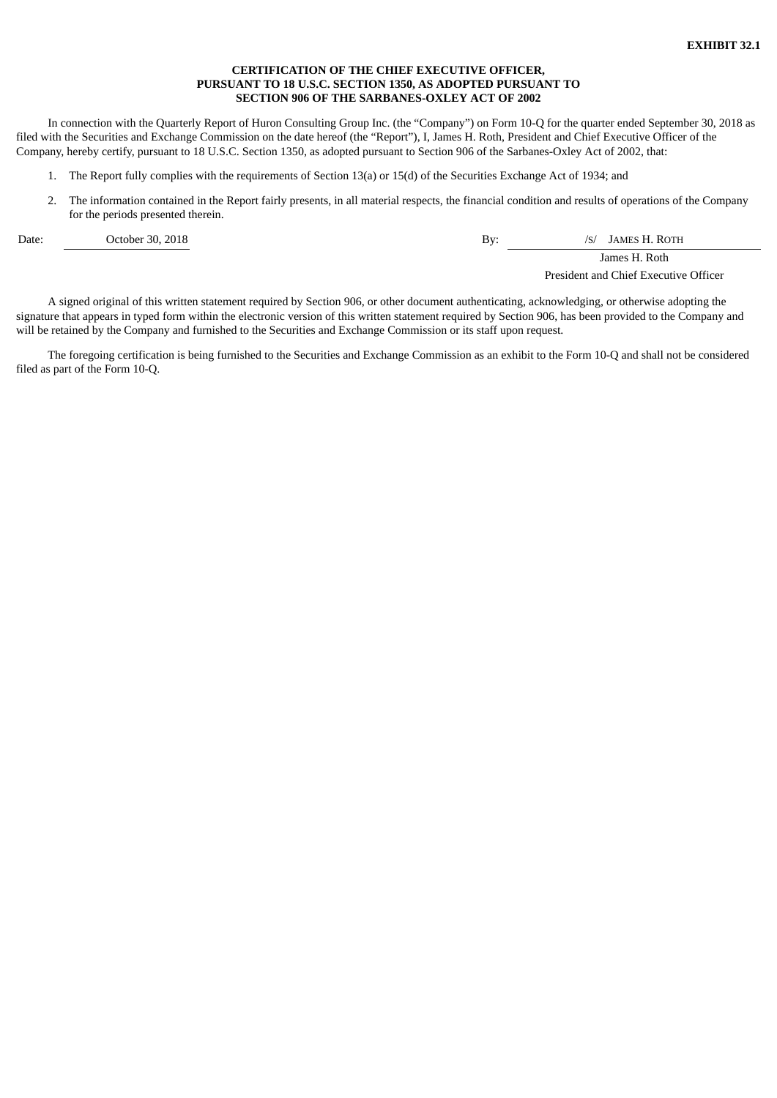## **CERTIFICATION OF THE CHIEF EXECUTIVE OFFICER, PURSUANT TO 18 U.S.C. SECTION 1350, AS ADOPTED PURSUANT TO SECTION 906 OF THE SARBANES-OXLEY ACT OF 2002**

<span id="page-56-0"></span>In connection with the Quarterly Report of Huron Consulting Group Inc. (the "Company") on Form 10-Q for the quarter ended September 30, 2018 as filed with the Securities and Exchange Commission on the date hereof (the "Report"), I, James H. Roth, President and Chief Executive Officer of the Company, hereby certify, pursuant to 18 U.S.C. Section 1350, as adopted pursuant to Section 906 of the Sarbanes-Oxley Act of 2002, that:

- 1. The Report fully complies with the requirements of Section 13(a) or 15(d) of the Securities Exchange Act of 1934; and
- 2. The information contained in the Report fairly presents, in all material respects, the financial condition and results of operations of the Company for the periods presented therein.

Date: Corober 30, 2018 COROS CORO By: By: /S/ JAMES H. ROTH

James H. Roth

President and Chief Executive Officer

A signed original of this written statement required by Section 906, or other document authenticating, acknowledging, or otherwise adopting the signature that appears in typed form within the electronic version of this written statement required by Section 906, has been provided to the Company and will be retained by the Company and furnished to the Securities and Exchange Commission or its staff upon request.

The foregoing certification is being furnished to the Securities and Exchange Commission as an exhibit to the Form 10-Q and shall not be considered filed as part of the Form 10-Q.